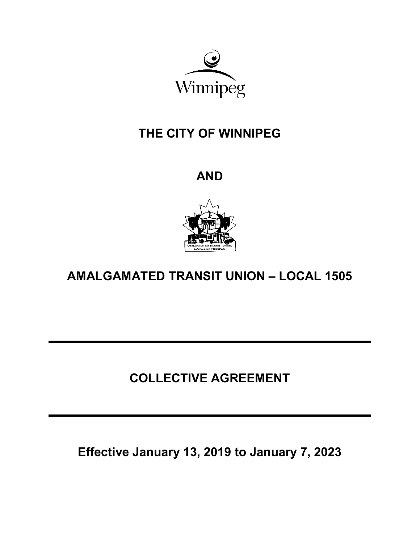

# THE CITY OF WINNIPEG

AND



AMALGAMATED TRANSIT UNION – LOCAL 1505

# COLLECTIVE AGREEMENT

Effective January 13, 2019 to January 7, 2023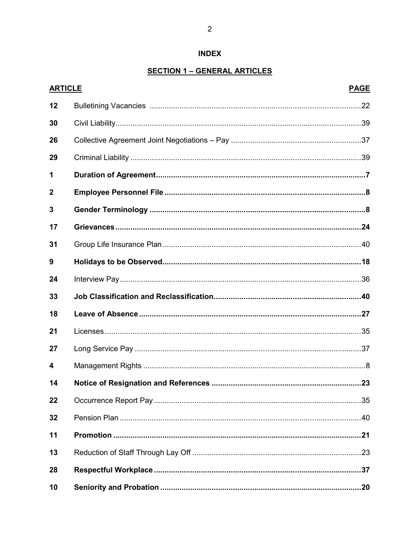# **INDEX**

# **SECTION 1 - GENERAL ARTICLES**

| <b>ARTICLE</b>   | <b>PAGE</b> |
|------------------|-------------|
| 12               |             |
| 30               |             |
| 26               |             |
| 29               |             |
| 1                |             |
| $\boldsymbol{2}$ |             |
| 3                |             |
| 17               |             |
| 31               |             |
| 9                |             |
| 24               |             |
| 33               |             |
| 18               |             |
| 21               |             |
| 27               |             |
| 4                |             |
| 14               |             |
| 22               |             |
| 32               |             |
| 11               |             |
| 13               |             |
| 28               |             |
| 10               |             |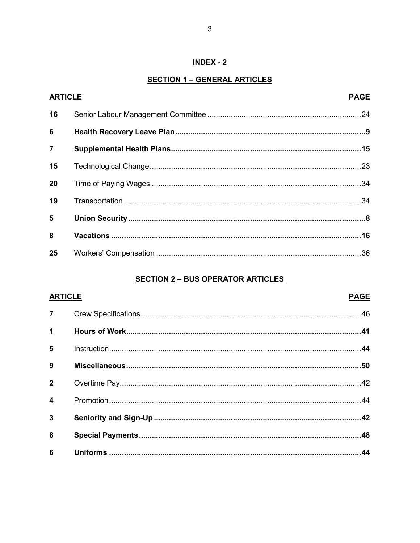# $INDEX - 2$

# **SECTION 1 - GENERAL ARTICLES**

| <b>ARTICLE</b> | <b>PAGE</b> |
|----------------|-------------|
| 16             |             |
| 6              |             |
| $\overline{7}$ |             |
| 15             |             |
| 20             |             |
| 19             |             |
| 5              |             |
| 8              |             |
| 25             |             |

# **SECTION 2 - BUS OPERATOR ARTICLES**

| <b>ARTICLE</b>          | <b>PAGE</b> |
|-------------------------|-------------|
| $\overline{7}$          |             |
| $\mathbf 1$             |             |
| 5                       |             |
| 9                       |             |
| $\overline{2}$          |             |
| $\overline{\mathbf{4}}$ |             |
| $\mathbf{3}$            |             |
| 8                       |             |
| $6\phantom{a}$          |             |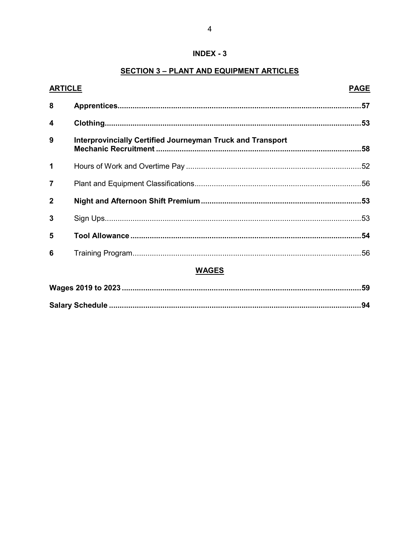# $INDEX - 3$

# **SECTION 3 - PLANT AND EQUIPMENT ARTICLES**

| <b>ARTICLE</b> |                                                            | <b>PAGE</b> |
|----------------|------------------------------------------------------------|-------------|
| 8              |                                                            |             |
| 4              |                                                            |             |
| 9              | Interprovincially Certified Journeyman Truck and Transport |             |
| 1              |                                                            |             |
| $\overline{7}$ |                                                            |             |
| $\mathbf{2}$   |                                                            |             |
| 3              |                                                            |             |
| 5              |                                                            |             |
| 6              |                                                            |             |
| WAGES          |                                                            |             |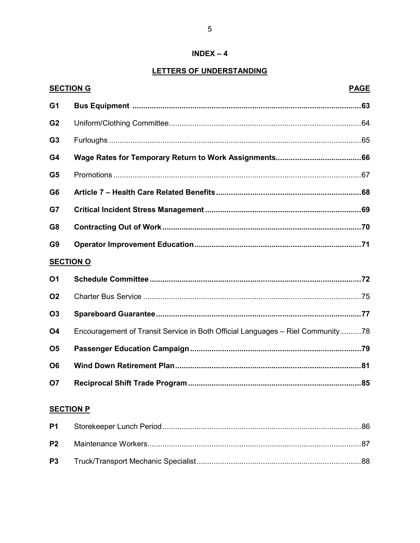### $INDEX - 4$

 $\overline{5}$ 

# LETTERS OF UNDERSTANDING

|                | <b>SECTION G</b><br><b>PAGE</b>                                                |
|----------------|--------------------------------------------------------------------------------|
| G <sub>1</sub> |                                                                                |
| G <sub>2</sub> |                                                                                |
| G <sub>3</sub> |                                                                                |
| G4             |                                                                                |
| G <sub>5</sub> |                                                                                |
| G <sub>6</sub> |                                                                                |
| G7             |                                                                                |
| G <sub>8</sub> |                                                                                |
| G <sub>9</sub> |                                                                                |
|                | <b>SECTION O</b>                                                               |
| <b>O1</b>      |                                                                                |
| <b>O2</b>      |                                                                                |
| <b>O3</b>      |                                                                                |
| O <sub>4</sub> | Encouragement of Transit Service in Both Official Languages - Riel Community78 |
| O <sub>5</sub> |                                                                                |
| O <sub>6</sub> |                                                                                |
| <b>O7</b>      |                                                                                |
|                | <b>SECTION P</b>                                                               |
| P <sub>1</sub> | .86                                                                            |
| P <sub>2</sub> | .87                                                                            |

**P3**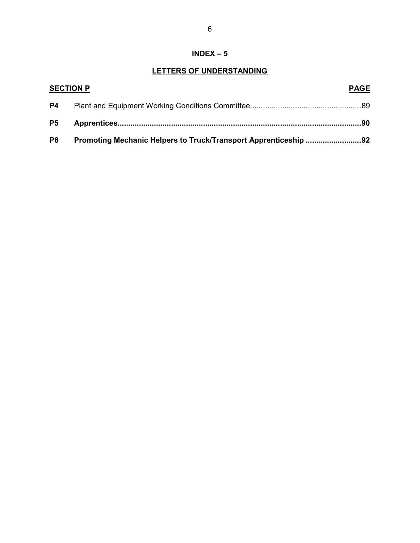# INDEX – 5

# LETTERS OF UNDERSTANDING

| <b>SECTION P</b> |                                                                 | <b>PAGE</b> |
|------------------|-----------------------------------------------------------------|-------------|
| <b>P4</b>        |                                                                 |             |
| P <sub>5</sub>   |                                                                 |             |
| <b>P6</b>        | Promoting Mechanic Helpers to Truck/Transport Apprenticeship 92 |             |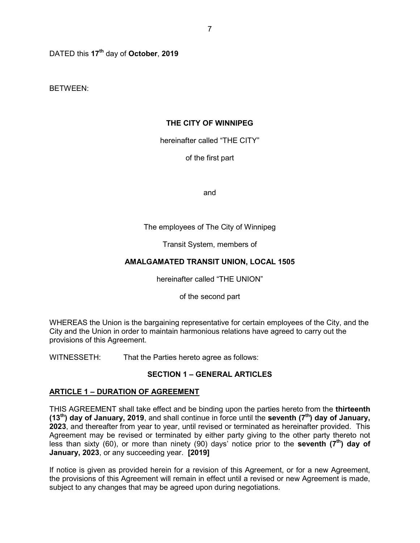DATED this 17<sup>th</sup> day of October, 2019

BETWEEN:

# THE CITY OF WINNIPEG

hereinafter called "THE CITY"

of the first part

and

# The employees of The City of Winnipeg

Transit System, members of

# AMALGAMATED TRANSIT UNION, LOCAL 1505

hereinafter called "THE UNION"

of the second part

WHEREAS the Union is the bargaining representative for certain employees of the City, and the City and the Union in order to maintain harmonious relations have agreed to carry out the provisions of this Agreement.

WITNESSETH: That the Parties hereto agree as follows:

# SECTION 1 – GENERAL ARTICLES

# ARTICLE 1 – DURATION OF AGREEMENT

THIS AGREEMENT shall take effect and be binding upon the parties hereto from the thirteenth (13<sup>th</sup>) day of January, 2019, and shall continue in force until the seventh ( $7<sup>th</sup>$ ) day of January, 2023, and thereafter from year to year, until revised or terminated as hereinafter provided. This Agreement may be revised or terminated by either party giving to the other party thereto not less than sixty (60), or more than ninety (90) days' notice prior to the **seventh (7<sup>th</sup>) day of** January, 2023, or any succeeding year. [2019]

If notice is given as provided herein for a revision of this Agreement, or for a new Agreement, the provisions of this Agreement will remain in effect until a revised or new Agreement is made, subject to any changes that may be agreed upon during negotiations.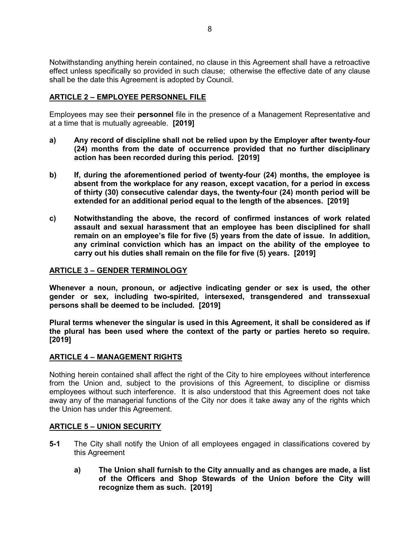8

Notwithstanding anything herein contained, no clause in this Agreement shall have a retroactive effect unless specifically so provided in such clause; otherwise the effective date of any clause shall be the date this Agreement is adopted by Council.

# ARTICLE 2 – EMPLOYEE PERSONNEL FILE

Employees may see their personnel file in the presence of a Management Representative and at a time that is mutually agreeable. [2019]

- a) Any record of discipline shall not be relied upon by the Employer after twenty-four (24) months from the date of occurrence provided that no further disciplinary action has been recorded during this period. [2019]
- b) If, during the aforementioned period of twenty-four (24) months, the employee is absent from the workplace for any reason, except vacation, for a period in excess of thirty (30) consecutive calendar days, the twenty-four (24) month period will be extended for an additional period equal to the length of the absences. [2019]
- c) Notwithstanding the above, the record of confirmed instances of work related assault and sexual harassment that an employee has been disciplined for shall remain on an employee's file for five (5) years from the date of issue. In addition, any criminal conviction which has an impact on the ability of the employee to carry out his duties shall remain on the file for five (5) years. [2019]

#### ARTICLE 3 – GENDER TERMINOLOGY

Whenever a noun, pronoun, or adjective indicating gender or sex is used, the other gender or sex, including two-spirited, intersexed, transgendered and transsexual persons shall be deemed to be included. [2019]

Plural terms whenever the singular is used in this Agreement, it shall be considered as if the plural has been used where the context of the party or parties hereto so require. [2019]

#### ARTICLE 4 – MANAGEMENT RIGHTS

Nothing herein contained shall affect the right of the City to hire employees without interference from the Union and, subject to the provisions of this Agreement, to discipline or dismiss employees without such interference. It is also understood that this Agreement does not take away any of the managerial functions of the City nor does it take away any of the rights which the Union has under this Agreement.

#### ARTICLE 5 – UNION SECURITY

- 5-1 The City shall notify the Union of all employees engaged in classifications covered by this Agreement
	- a) The Union shall furnish to the City annually and as changes are made, a list of the Officers and Shop Stewards of the Union before the City will recognize them as such. [2019]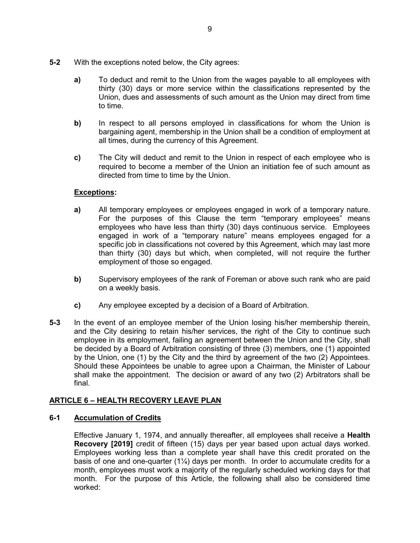- 5-2 With the exceptions noted below, the City agrees:
	- a) To deduct and remit to the Union from the wages payable to all employees with thirty (30) days or more service within the classifications represented by the Union, dues and assessments of such amount as the Union may direct from time to time.
	- b) In respect to all persons employed in classifications for whom the Union is bargaining agent, membership in the Union shall be a condition of employment at all times, during the currency of this Agreement.
	- c) The City will deduct and remit to the Union in respect of each employee who is required to become a member of the Union an initiation fee of such amount as directed from time to time by the Union.

# Exceptions:

- a) All temporary employees or employees engaged in work of a temporary nature. For the purposes of this Clause the term "temporary employees" means employees who have less than thirty (30) days continuous service. Employees engaged in work of a "temporary nature" means employees engaged for a specific job in classifications not covered by this Agreement, which may last more than thirty (30) days but which, when completed, will not require the further employment of those so engaged.
- b) Supervisory employees of the rank of Foreman or above such rank who are paid on a weekly basis.
- c) Any employee excepted by a decision of a Board of Arbitration.
- 5-3 In the event of an employee member of the Union losing his/her membership therein, and the City desiring to retain his/her services, the right of the City to continue such employee in its employment, failing an agreement between the Union and the City, shall be decided by a Board of Arbitration consisting of three (3) members, one (1) appointed by the Union, one (1) by the City and the third by agreement of the two (2) Appointees. Should these Appointees be unable to agree upon a Chairman, the Minister of Labour shall make the appointment. The decision or award of any two (2) Arbitrators shall be final.

# ARTICLE 6 – HEALTH RECOVERY LEAVE PLAN

#### 6-1 Accumulation of Credits

Effective January 1, 1974, and annually thereafter, all employees shall receive a Health Recovery [2019] credit of fifteen (15) days per year based upon actual days worked. Employees working less than a complete year shall have this credit prorated on the basis of one and one-quarter  $(1/4)$  days per month. In order to accumulate credits for a month, employees must work a majority of the regularly scheduled working days for that month. For the purpose of this Article, the following shall also be considered time worked: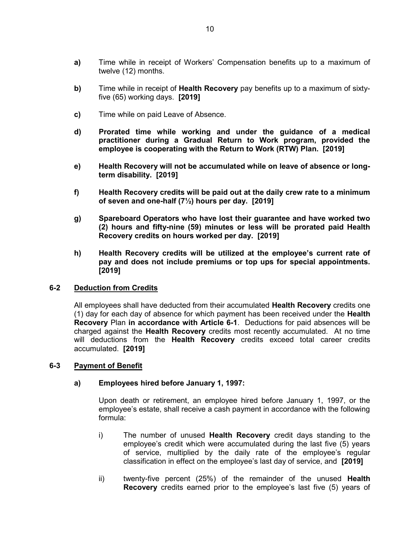- a) Time while in receipt of Workers' Compensation benefits up to a maximum of twelve (12) months.
- b) Time while in receipt of **Health Recovery** pay benefits up to a maximum of sixtyfive (65) working days. [2019]
- c) Time while on paid Leave of Absence.
- d) Prorated time while working and under the guidance of a medical practitioner during a Gradual Return to Work program, provided the employee is cooperating with the Return to Work (RTW) Plan. [2019]
- e) Health Recovery will not be accumulated while on leave of absence or longterm disability. [2019]
- f) Health Recovery credits will be paid out at the daily crew rate to a minimum of seven and one-half  $(7\frac{1}{2})$  hours per day.  $[2019]$
- g) Spareboard Operators who have lost their guarantee and have worked two (2) hours and fifty-nine (59) minutes or less will be prorated paid Health Recovery credits on hours worked per day. [2019]
- h) Health Recovery credits will be utilized at the employee's current rate of pay and does not include premiums or top ups for special appointments. [2019]

#### 6-2 Deduction from Credits

All employees shall have deducted from their accumulated Health Recovery credits one (1) day for each day of absence for which payment has been received under the **Health** Recovery Plan in accordance with Article 6-1. Deductions for paid absences will be charged against the **Health Recovery** credits most recently accumulated. At no time will deductions from the Health Recovery credits exceed total career credits accumulated. [2019]

#### 6-3 Payment of Benefit

#### a) Employees hired before January 1, 1997:

Upon death or retirement, an employee hired before January 1, 1997, or the employee's estate, shall receive a cash payment in accordance with the following formula:

- i) The number of unused Health Recovery credit days standing to the employee's credit which were accumulated during the last five (5) years of service, multiplied by the daily rate of the employee's regular classification in effect on the employee's last day of service, and [2019]
- ii) twenty-five percent (25%) of the remainder of the unused Health Recovery credits earned prior to the employee's last five (5) years of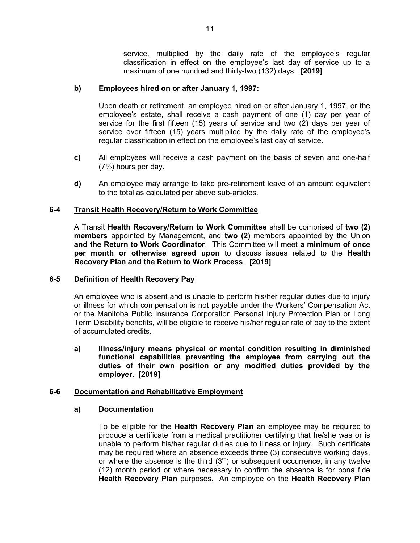service, multiplied by the daily rate of the employee's regular classification in effect on the employee's last day of service up to a maximum of one hundred and thirty-two (132) days. [2019]

#### b) Employees hired on or after January 1, 1997:

Upon death or retirement, an employee hired on or after January 1, 1997, or the employee's estate, shall receive a cash payment of one (1) day per year of service for the first fifteen (15) years of service and two (2) days per year of service over fifteen (15) years multiplied by the daily rate of the employee's regular classification in effect on the employee's last day of service.

- c) All employees will receive a cash payment on the basis of seven and one-half (7½) hours per day.
- d) An employee may arrange to take pre-retirement leave of an amount equivalent to the total as calculated per above sub-articles.

#### 6-4 Transit Health Recovery/Return to Work Committee

A Transit Health Recovery/Return to Work Committee shall be comprised of two (2) members appointed by Management, and two (2) members appointed by the Union and the Return to Work Coordinator. This Committee will meet a minimum of once per month or otherwise agreed upon to discuss issues related to the Health Recovery Plan and the Return to Work Process. [2019]

#### 6-5 Definition of Health Recovery Pay

An employee who is absent and is unable to perform his/her regular duties due to injury or illness for which compensation is not payable under the Workers' Compensation Act or the Manitoba Public Insurance Corporation Personal Injury Protection Plan or Long Term Disability benefits, will be eligible to receive his/her regular rate of pay to the extent of accumulated credits.

a) Illness/injury means physical or mental condition resulting in diminished functional capabilities preventing the employee from carrying out the duties of their own position or any modified duties provided by the employer. [2019]

#### 6-6 Documentation and Rehabilitative Employment

#### a) Documentation

To be eligible for the Health Recovery Plan an employee may be required to produce a certificate from a medical practitioner certifying that he/she was or is unable to perform his/her regular duties due to illness or injury. Such certificate may be required where an absence exceeds three (3) consecutive working days, or where the absence is the third  $(3<sup>rd</sup>)$  or subsequent occurrence, in any twelve (12) month period or where necessary to confirm the absence is for bona fide Health Recovery Plan purposes. An employee on the Health Recovery Plan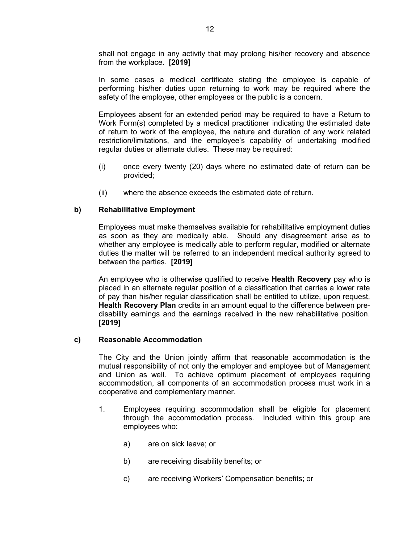shall not engage in any activity that may prolong his/her recovery and absence from the workplace. [2019]

In some cases a medical certificate stating the employee is capable of performing his/her duties upon returning to work may be required where the safety of the employee, other employees or the public is a concern.

Employees absent for an extended period may be required to have a Return to Work Form(s) completed by a medical practitioner indicating the estimated date of return to work of the employee, the nature and duration of any work related restriction/limitations, and the employee's capability of undertaking modified regular duties or alternate duties. These may be required:

- (i) once every twenty (20) days where no estimated date of return can be provided;
- (ii) where the absence exceeds the estimated date of return.

# b) Rehabilitative Employment

Employees must make themselves available for rehabilitative employment duties as soon as they are medically able. Should any disagreement arise as to whether any employee is medically able to perform regular, modified or alternate duties the matter will be referred to an independent medical authority agreed to between the parties. [2019]

An employee who is otherwise qualified to receive Health Recovery pay who is placed in an alternate regular position of a classification that carries a lower rate of pay than his/her regular classification shall be entitled to utilize, upon request, Health Recovery Plan credits in an amount equal to the difference between predisability earnings and the earnings received in the new rehabilitative position. [2019]

#### c) Reasonable Accommodation

The City and the Union jointly affirm that reasonable accommodation is the mutual responsibility of not only the employer and employee but of Management and Union as well. To achieve optimum placement of employees requiring accommodation, all components of an accommodation process must work in a cooperative and complementary manner.

- 1. Employees requiring accommodation shall be eligible for placement through the accommodation process. Included within this group are employees who:
	- a) are on sick leave; or
	- b) are receiving disability benefits; or
	- c) are receiving Workers' Compensation benefits; or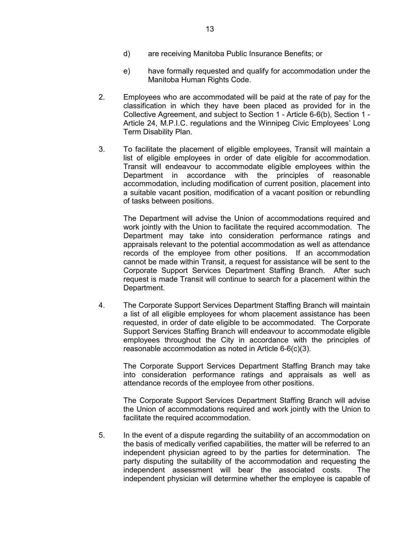- e) have formally requested and qualify for accommodation under the Manitoba Human Rights Code.
- 2. Employees who are accommodated will be paid at the rate of pay for the classification in which they have been placed as provided for in the Collective Agreement, and subject to Section 1 - Article 6-6(b), Section 1 - Article 24, M.P.I.C. regulations and the Winnipeg Civic Employees' Long Term Disability Plan.
- 3. To facilitate the placement of eligible employees, Transit will maintain a list of eligible employees in order of date eligible for accommodation. Transit will endeavour to accommodate eligible employees within the Department in accordance with the principles of reasonable accommodation, including modification of current position, placement into a suitable vacant position, modification of a vacant position or rebundling of tasks between positions.

The Department will advise the Union of accommodations required and work jointly with the Union to facilitate the required accommodation. The Department may take into consideration performance ratings and appraisals relevant to the potential accommodation as well as attendance records of the employee from other positions. If an accommodation cannot be made within Transit, a request for assistance will be sent to the Corporate Support Services Department Staffing Branch. After such request is made Transit will continue to search for a placement within the Department.

4. The Corporate Support Services Department Staffing Branch will maintain a list of all eligible employees for whom placement assistance has been requested, in order of date eligible to be accommodated. The Corporate Support Services Staffing Branch will endeavour to accommodate eligible employees throughout the City in accordance with the principles of reasonable accommodation as noted in Article 6-6(c)(3).

The Corporate Support Services Department Staffing Branch may take into consideration performance ratings and appraisals as well as attendance records of the employee from other positions.

The Corporate Support Services Department Staffing Branch will advise the Union of accommodations required and work jointly with the Union to facilitate the required accommodation.

5. In the event of a dispute regarding the suitability of an accommodation on the basis of medically verified capabilities, the matter will be referred to an independent physician agreed to by the parties for determination. The party disputing the suitability of the accommodation and requesting the independent assessment will bear the associated costs. The independent physician will determine whether the employee is capable of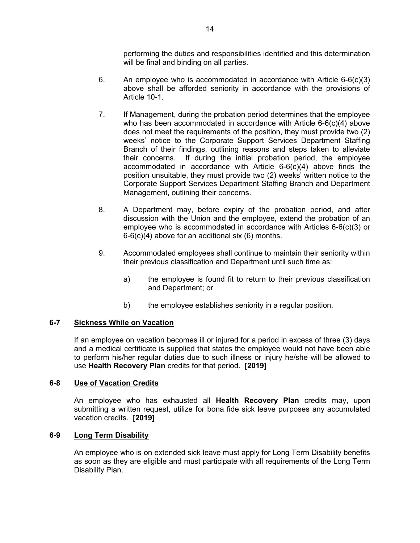performing the duties and responsibilities identified and this determination will be final and binding on all parties.

- 6. An employee who is accommodated in accordance with Article  $6-6(c)(3)$ above shall be afforded seniority in accordance with the provisions of Article 10-1.
- 7. If Management, during the probation period determines that the employee who has been accommodated in accordance with Article 6-6(c)(4) above does not meet the requirements of the position, they must provide two (2) weeks' notice to the Corporate Support Services Department Staffing Branch of their findings, outlining reasons and steps taken to alleviate their concerns. If during the initial probation period, the employee accommodated in accordance with Article 6-6(c)(4) above finds the position unsuitable, they must provide two (2) weeks' written notice to the Corporate Support Services Department Staffing Branch and Department Management, outlining their concerns.
- 8. A Department may, before expiry of the probation period, and after discussion with the Union and the employee, extend the probation of an employee who is accommodated in accordance with Articles 6-6(c)(3) or 6-6(c)(4) above for an additional six (6) months.
- 9. Accommodated employees shall continue to maintain their seniority within their previous classification and Department until such time as:
	- a) the employee is found fit to return to their previous classification and Department; or
	- b) the employee establishes seniority in a regular position.

# 6-7 Sickness While on Vacation

If an employee on vacation becomes ill or injured for a period in excess of three (3) days and a medical certificate is supplied that states the employee would not have been able to perform his/her regular duties due to such illness or injury he/she will be allowed to use Health Recovery Plan credits for that period. [2019]

# 6-8 Use of Vacation Credits

An employee who has exhausted all **Health Recovery Plan** credits may, upon submitting a written request, utilize for bona fide sick leave purposes any accumulated vacation credits. [2019]

# 6-9 Long Term Disability

An employee who is on extended sick leave must apply for Long Term Disability benefits as soon as they are eligible and must participate with all requirements of the Long Term Disability Plan.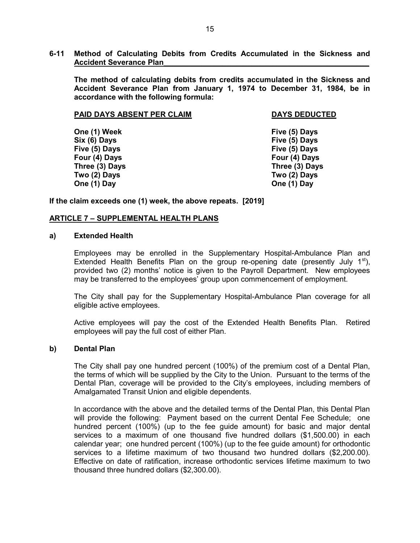#### 6-11 Method of Calculating Debits from Credits Accumulated in the Sickness and Accident Severance Plan\_\_\_\_\_\_\_\_\_\_\_\_\_\_\_\_\_\_\_\_\_\_\_\_\_\_\_\_\_\_\_\_\_\_\_\_\_\_\_\_\_\_\_\_\_\_\_\_\_

The method of calculating debits from credits accumulated in the Sickness and Accident Severance Plan from January 1, 1974 to December 31, 1984, be in accordance with the following formula:

#### PAID DAYS ABSENT PER CLAIM DAYS DEDUCTED

One (1) Week Five (5) Days Six (6) Days Five (5) Days Five (5) Days Five (5) Days Four (4) Days Four (4) Days Three (3) Days Three (3) Days Two (2) Days Two (2) Days One (1) Day **One (1) Day** 

If the claim exceeds one (1) week, the above repeats. [2019]

#### ARTICLE 7 – SUPPLEMENTAL HEALTH PLANS

#### a) Extended Health

Employees may be enrolled in the Supplementary Hospital-Ambulance Plan and Extended Health Benefits Plan on the group re-opening date (presently July  $1^{st}$ ), provided two (2) months' notice is given to the Payroll Department. New employees may be transferred to the employees' group upon commencement of employment.

The City shall pay for the Supplementary Hospital-Ambulance Plan coverage for all eligible active employees.

Active employees will pay the cost of the Extended Health Benefits Plan. Retired employees will pay the full cost of either Plan.

#### b) Dental Plan

The City shall pay one hundred percent (100%) of the premium cost of a Dental Plan, the terms of which will be supplied by the City to the Union. Pursuant to the terms of the Dental Plan, coverage will be provided to the City's employees, including members of Amalgamated Transit Union and eligible dependents.

In accordance with the above and the detailed terms of the Dental Plan, this Dental Plan will provide the following: Payment based on the current Dental Fee Schedule; one hundred percent (100%) (up to the fee guide amount) for basic and major dental services to a maximum of one thousand five hundred dollars (\$1,500.00) in each calendar year; one hundred percent (100%) (up to the fee guide amount) for orthodontic services to a lifetime maximum of two thousand two hundred dollars (\$2,200.00). Effective on date of ratification, increase orthodontic services lifetime maximum to two thousand three hundred dollars (\$2,300.00).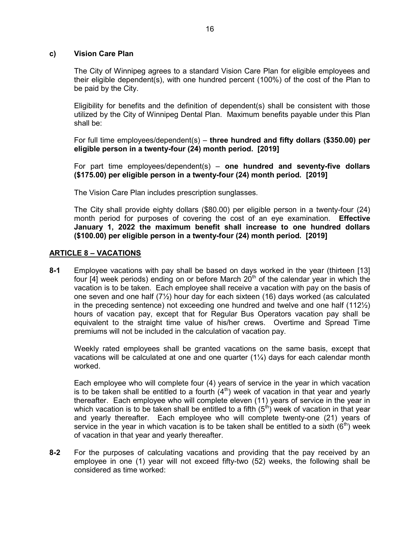#### c) Vision Care Plan

The City of Winnipeg agrees to a standard Vision Care Plan for eligible employees and their eligible dependent(s), with one hundred percent (100%) of the cost of the Plan to be paid by the City.

Eligibility for benefits and the definition of dependent(s) shall be consistent with those utilized by the City of Winnipeg Dental Plan. Maximum benefits payable under this Plan shall be:

For full time employees/dependent(s) – three hundred and fifty dollars (\$350.00) per eligible person in a twenty-four (24) month period. [2019]

For part time employees/dependent(s) – one hundred and seventy-five dollars (\$175.00) per eligible person in a twenty-four (24) month period. [2019]

The Vision Care Plan includes prescription sunglasses.

The City shall provide eighty dollars (\$80.00) per eligible person in a twenty-four (24) month period for purposes of covering the cost of an eye examination. Effective January 1, 2022 the maximum benefit shall increase to one hundred dollars (\$100.00) per eligible person in a twenty-four (24) month period. [2019]

# ARTICLE 8 – VACATIONS

8-1 Employee vacations with pay shall be based on days worked in the year (thirteen [13] four  $[4]$  week periods) ending on or before March  $20<sup>th</sup>$  of the calendar year in which the vacation is to be taken. Each employee shall receive a vacation with pay on the basis of one seven and one half  $(7/2)$  hour day for each sixteen (16) days worked (as calculated in the preceding sentence) not exceeding one hundred and twelve and one half (112½) hours of vacation pay, except that for Regular Bus Operators vacation pay shall be equivalent to the straight time value of his/her crews. Overtime and Spread Time premiums will not be included in the calculation of vacation pay.

Weekly rated employees shall be granted vacations on the same basis, except that vacations will be calculated at one and one quarter (1¼) days for each calendar month worked.

Each employee who will complete four (4) years of service in the year in which vacation is to be taken shall be entitled to a fourth  $(4<sup>th</sup>)$  week of vacation in that year and yearly thereafter. Each employee who will complete eleven (11) years of service in the year in which vacation is to be taken shall be entitled to a fifth  $(5<sup>th</sup>)$  week of vacation in that year and yearly thereafter. Each employee who will complete twenty-one (21) years of service in the year in which vacation is to be taken shall be entitled to a sixth  $(6<sup>th</sup>)$  week of vacation in that year and yearly thereafter.

8-2 For the purposes of calculating vacations and providing that the pay received by an employee in one (1) year will not exceed fifty-two (52) weeks, the following shall be considered as time worked: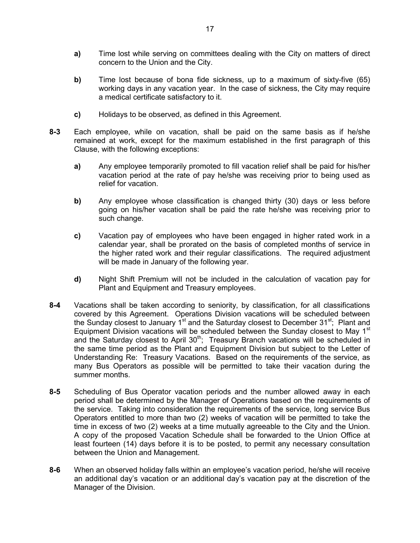- a) Time lost while serving on committees dealing with the City on matters of direct concern to the Union and the City.
- b) Time lost because of bona fide sickness, up to a maximum of sixty-five (65) working days in any vacation year. In the case of sickness, the City may require a medical certificate satisfactory to it.
- c) Holidays to be observed, as defined in this Agreement.
- 8-3 Each employee, while on vacation, shall be paid on the same basis as if he/she remained at work, except for the maximum established in the first paragraph of this Clause, with the following exceptions:
	- a) Any employee temporarily promoted to fill vacation relief shall be paid for his/her vacation period at the rate of pay he/she was receiving prior to being used as relief for vacation.
	- b) Any employee whose classification is changed thirty (30) days or less before going on his/her vacation shall be paid the rate he/she was receiving prior to such change.
	- c) Vacation pay of employees who have been engaged in higher rated work in a calendar year, shall be prorated on the basis of completed months of service in the higher rated work and their regular classifications. The required adjustment will be made in January of the following year.
	- d) Night Shift Premium will not be included in the calculation of vacation pay for Plant and Equipment and Treasury employees.
- 8-4 Vacations shall be taken according to seniority, by classification, for all classifications covered by this Agreement. Operations Division vacations will be scheduled between the Sunday closest to January 1<sup>st</sup> and the Saturday closest to December 31<sup>st</sup>; Plant and Equipment Division vacations will be scheduled between the Sunday closest to May  $1<sup>st</sup>$ and the Saturday closest to April 30<sup>th</sup>; Treasury Branch vacations will be scheduled in the same time period as the Plant and Equipment Division but subject to the Letter of Understanding Re: Treasury Vacations. Based on the requirements of the service, as many Bus Operators as possible will be permitted to take their vacation during the summer months.
- 8-5 Scheduling of Bus Operator vacation periods and the number allowed away in each period shall be determined by the Manager of Operations based on the requirements of the service. Taking into consideration the requirements of the service, long service Bus Operators entitled to more than two (2) weeks of vacation will be permitted to take the time in excess of two (2) weeks at a time mutually agreeable to the City and the Union. A copy of the proposed Vacation Schedule shall be forwarded to the Union Office at least fourteen (14) days before it is to be posted, to permit any necessary consultation between the Union and Management.
- 8-6 When an observed holiday falls within an employee's vacation period, he/she will receive an additional day's vacation or an additional day's vacation pay at the discretion of the Manager of the Division.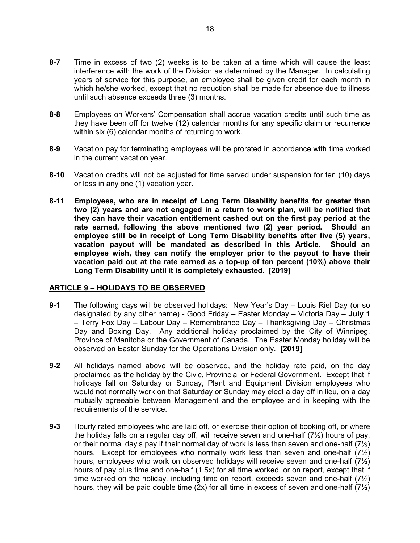- 8-7 Time in excess of two (2) weeks is to be taken at a time which will cause the least interference with the work of the Division as determined by the Manager. In calculating years of service for this purpose, an employee shall be given credit for each month in which he/she worked, except that no reduction shall be made for absence due to illness until such absence exceeds three (3) months.
- 8-8 Employees on Workers' Compensation shall accrue vacation credits until such time as they have been off for twelve (12) calendar months for any specific claim or recurrence within six (6) calendar months of returning to work.
- 8-9 Vacation pay for terminating employees will be prorated in accordance with time worked in the current vacation year.
- 8-10 Vacation credits will not be adjusted for time served under suspension for ten (10) days or less in any one (1) vacation year.
- 8-11 Employees, who are in receipt of Long Term Disability benefits for greater than two (2) years and are not engaged in a return to work plan, will be notified that they can have their vacation entitlement cashed out on the first pay period at the rate earned, following the above mentioned two (2) year period. Should an employee still be in receipt of Long Term Disability benefits after five (5) years, vacation payout will be mandated as described in this Article. Should an employee wish, they can notify the employer prior to the payout to have their vacation paid out at the rate earned as a top-up of ten percent (10%) above their Long Term Disability until it is completely exhausted. [2019]

#### ARTICLE 9 – HOLIDAYS TO BE OBSERVED

- 9-1 The following days will be observed holidays: New Year's Day Louis Riel Day (or so designated by any other name) - Good Friday – Easter Monday – Victoria Day – July 1 – Terry Fox Day – Labour Day – Remembrance Day – Thanksgiving Day – Christmas Day and Boxing Day. Any additional holiday proclaimed by the City of Winnipeg, Province of Manitoba or the Government of Canada. The Easter Monday holiday will be observed on Easter Sunday for the Operations Division only. [2019]
- 9-2 All holidays named above will be observed, and the holiday rate paid, on the day proclaimed as the holiday by the Civic, Provincial or Federal Government. Except that if holidays fall on Saturday or Sunday, Plant and Equipment Division employees who would not normally work on that Saturday or Sunday may elect a day off in lieu, on a day mutually agreeable between Management and the employee and in keeping with the requirements of the service.
- 9-3 Hourly rated employees who are laid off, or exercise their option of booking off, or where the holiday falls on a regular day off, will receive seven and one-half (7½) hours of pay, or their normal day's pay if their normal day of work is less than seven and one-half  $(7/2)$ hours. Except for employees who normally work less than seven and one-half  $(7/2)$ hours, employees who work on observed holidays will receive seven and one-half  $(7\frac{1}{2})$ hours of pay plus time and one-half (1.5x) for all time worked, or on report, except that if time worked on the holiday, including time on report, exceeds seven and one-half  $(7\frac{1}{2})$ hours, they will be paid double time (2x) for all time in excess of seven and one-half  $(7/2)$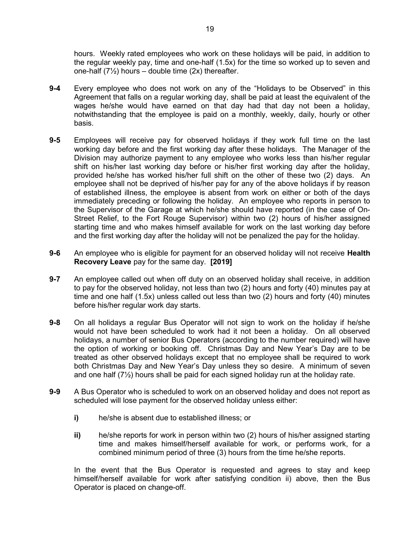hours. Weekly rated employees who work on these holidays will be paid, in addition to the regular weekly pay, time and one-half (1.5x) for the time so worked up to seven and one-half  $(7\frac{1}{2})$  hours – double time  $(2x)$  thereafter.

- 9-4 Every employee who does not work on any of the "Holidays to be Observed" in this Agreement that falls on a regular working day, shall be paid at least the equivalent of the wages he/she would have earned on that day had that day not been a holiday, notwithstanding that the employee is paid on a monthly, weekly, daily, hourly or other basis.
- 9-5 Employees will receive pay for observed holidays if they work full time on the last working day before and the first working day after these holidays. The Manager of the Division may authorize payment to any employee who works less than his/her regular shift on his/her last working day before or his/her first working day after the holiday, provided he/she has worked his/her full shift on the other of these two (2) days. An employee shall not be deprived of his/her pay for any of the above holidays if by reason of established illness, the employee is absent from work on either or both of the days immediately preceding or following the holiday. An employee who reports in person to the Supervisor of the Garage at which he/she should have reported (in the case of On-Street Relief, to the Fort Rouge Supervisor) within two (2) hours of his/her assigned starting time and who makes himself available for work on the last working day before and the first working day after the holiday will not be penalized the pay for the holiday.
- 9-6 An employee who is eligible for payment for an observed holiday will not receive Health Recovery Leave pay for the same day. [2019]
- 9-7 An employee called out when off duty on an observed holiday shall receive, in addition to pay for the observed holiday, not less than two (2) hours and forty (40) minutes pay at time and one half (1.5x) unless called out less than two (2) hours and forty (40) minutes before his/her regular work day starts.
- 9-8 On all holidays a regular Bus Operator will not sign to work on the holiday if he/she would not have been scheduled to work had it not been a holiday. On all observed holidays, a number of senior Bus Operators (according to the number required) will have the option of working or booking off. Christmas Day and New Year's Day are to be treated as other observed holidays except that no employee shall be required to work both Christmas Day and New Year's Day unless they so desire. A minimum of seven and one half  $(7\frac{1}{2})$  hours shall be paid for each signed holiday run at the holiday rate.
- 9-9 A Bus Operator who is scheduled to work on an observed holiday and does not report as scheduled will lose payment for the observed holiday unless either:
	- i) he/she is absent due to established illness; or
	- ii) he/she reports for work in person within two (2) hours of his/her assigned starting time and makes himself/herself available for work, or performs work, for a combined minimum period of three (3) hours from the time he/she reports.

In the event that the Bus Operator is requested and agrees to stay and keep himself/herself available for work after satisfying condition ii) above, then the Bus Operator is placed on change-off.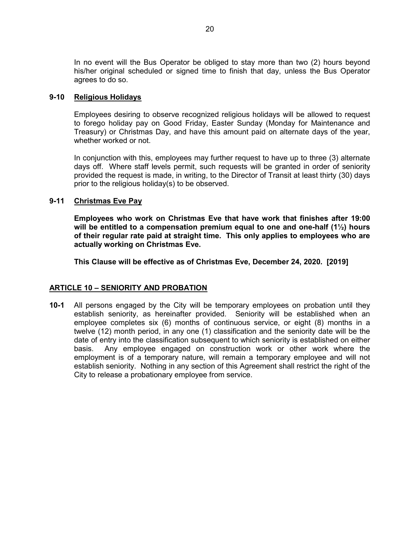In no event will the Bus Operator be obliged to stay more than two (2) hours beyond his/her original scheduled or signed time to finish that day, unless the Bus Operator agrees to do so.

#### 9-10 Religious Holidays

Employees desiring to observe recognized religious holidays will be allowed to request to forego holiday pay on Good Friday, Easter Sunday (Monday for Maintenance and Treasury) or Christmas Day, and have this amount paid on alternate days of the year, whether worked or not.

In conjunction with this, employees may further request to have up to three (3) alternate days off. Where staff levels permit, such requests will be granted in order of seniority provided the request is made, in writing, to the Director of Transit at least thirty (30) days prior to the religious holiday(s) to be observed.

# 9-11 Christmas Eve Pay

Employees who work on Christmas Eve that have work that finishes after 19:00 will be entitled to a compensation premium equal to one and one-half  $(1\frac{1}{2})$  hours of their regular rate paid at straight time. This only applies to employees who are actually working on Christmas Eve.

This Clause will be effective as of Christmas Eve, December 24, 2020. [2019]

# ARTICLE 10 – SENIORITY AND PROBATION

10-1 All persons engaged by the City will be temporary employees on probation until they establish seniority, as hereinafter provided. Seniority will be established when an employee completes six (6) months of continuous service, or eight (8) months in a twelve (12) month period, in any one (1) classification and the seniority date will be the date of entry into the classification subsequent to which seniority is established on either basis. Any employee engaged on construction work or other work where the employment is of a temporary nature, will remain a temporary employee and will not establish seniority. Nothing in any section of this Agreement shall restrict the right of the City to release a probationary employee from service.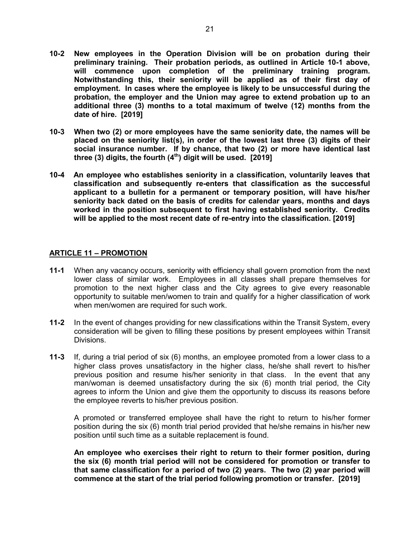- 10-2 New employees in the Operation Division will be on probation during their preliminary training. Their probation periods, as outlined in Article 10-1 above, will commence upon completion of the preliminary training program. Notwithstanding this, their seniority will be applied as of their first day of employment. In cases where the employee is likely to be unsuccessful during the probation, the employer and the Union may agree to extend probation up to an additional three (3) months to a total maximum of twelve (12) months from the date of hire. [2019]
- 10-3 When two (2) or more employees have the same seniority date, the names will be placed on the seniority list(s), in order of the lowest last three (3) digits of their social insurance number. If by chance, that two (2) or more have identical last three (3) digits, the fourth  $(4<sup>th</sup>)$  digit will be used. [2019]
- 10-4 An employee who establishes seniority in a classification, voluntarily leaves that classification and subsequently re-enters that classification as the successful applicant to a bulletin for a permanent or temporary position, will have his/her seniority back dated on the basis of credits for calendar years, months and days worked in the position subsequent to first having established seniority. Credits will be applied to the most recent date of re-entry into the classification. [2019]

#### ARTICLE 11 – PROMOTION

- 11-1 When any vacancy occurs, seniority with efficiency shall govern promotion from the next lower class of similar work. Employees in all classes shall prepare themselves for promotion to the next higher class and the City agrees to give every reasonable opportunity to suitable men/women to train and qualify for a higher classification of work when men/women are required for such work.
- 11-2 In the event of changes providing for new classifications within the Transit System, every consideration will be given to filling these positions by present employees within Transit Divisions.
- 11-3 If, during a trial period of six (6) months, an employee promoted from a lower class to a higher class proves unsatisfactory in the higher class, he/she shall revert to his/her previous position and resume his/her seniority in that class. In the event that any man/woman is deemed unsatisfactory during the six (6) month trial period, the City agrees to inform the Union and give them the opportunity to discuss its reasons before the employee reverts to his/her previous position.

A promoted or transferred employee shall have the right to return to his/her former position during the six (6) month trial period provided that he/she remains in his/her new position until such time as a suitable replacement is found.

An employee who exercises their right to return to their former position, during the six (6) month trial period will not be considered for promotion or transfer to that same classification for a period of two (2) years. The two (2) year period will commence at the start of the trial period following promotion or transfer. [2019]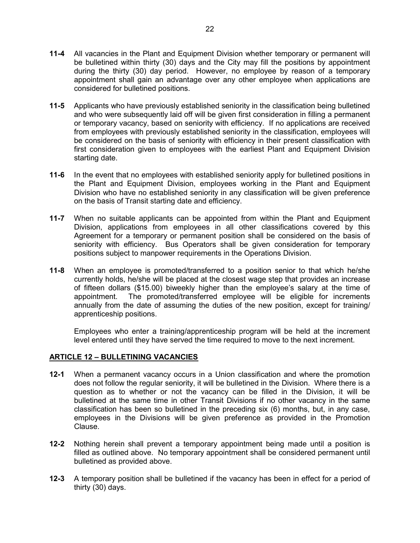- 11-4 All vacancies in the Plant and Equipment Division whether temporary or permanent will be bulletined within thirty (30) days and the City may fill the positions by appointment during the thirty (30) day period. However, no employee by reason of a temporary appointment shall gain an advantage over any other employee when applications are considered for bulletined positions.
- 11-5 Applicants who have previously established seniority in the classification being bulletined and who were subsequently laid off will be given first consideration in filling a permanent or temporary vacancy, based on seniority with efficiency. If no applications are received from employees with previously established seniority in the classification, employees will be considered on the basis of seniority with efficiency in their present classification with first consideration given to employees with the earliest Plant and Equipment Division starting date.
- 11-6 In the event that no employees with established seniority apply for bulletined positions in the Plant and Equipment Division, employees working in the Plant and Equipment Division who have no established seniority in any classification will be given preference on the basis of Transit starting date and efficiency.
- 11-7 When no suitable applicants can be appointed from within the Plant and Equipment Division, applications from employees in all other classifications covered by this Agreement for a temporary or permanent position shall be considered on the basis of seniority with efficiency. Bus Operators shall be given consideration for temporary positions subject to manpower requirements in the Operations Division.
- 11-8 When an employee is promoted/transferred to a position senior to that which he/she currently holds, he/she will be placed at the closest wage step that provides an increase of fifteen dollars (\$15.00) biweekly higher than the employee's salary at the time of appointment. The promoted/transferred employee will be eligible for increments annually from the date of assuming the duties of the new position, except for training/ apprenticeship positions.

 Employees who enter a training/apprenticeship program will be held at the increment level entered until they have served the time required to move to the next increment.

#### ARTICLE 12 – BULLETINING VACANCIES

- 12-1 When a permanent vacancy occurs in a Union classification and where the promotion does not follow the regular seniority, it will be bulletined in the Division. Where there is a question as to whether or not the vacancy can be filled in the Division, it will be bulletined at the same time in other Transit Divisions if no other vacancy in the same classification has been so bulletined in the preceding six (6) months, but, in any case, employees in the Divisions will be given preference as provided in the Promotion Clause.
- 12-2 Nothing herein shall prevent a temporary appointment being made until a position is filled as outlined above. No temporary appointment shall be considered permanent until bulletined as provided above.
- 12-3 A temporary position shall be bulletined if the vacancy has been in effect for a period of thirty (30) days.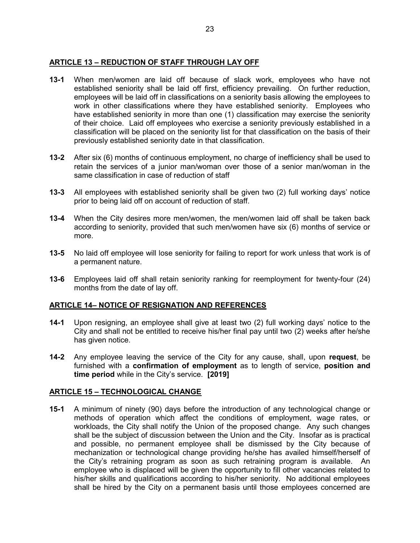# ARTICLE 13 – REDUCTION OF STAFF THROUGH LAY OFF

- 13-1 When men/women are laid off because of slack work, employees who have not established seniority shall be laid off first, efficiency prevailing. On further reduction, employees will be laid off in classifications on a seniority basis allowing the employees to work in other classifications where they have established seniority. Employees who have established seniority in more than one (1) classification may exercise the seniority of their choice. Laid off employees who exercise a seniority previously established in a classification will be placed on the seniority list for that classification on the basis of their previously established seniority date in that classification.
- 13-2 After six (6) months of continuous employment, no charge of inefficiency shall be used to retain the services of a junior man/woman over those of a senior man/woman in the same classification in case of reduction of staff
- 13-3 All employees with established seniority shall be given two (2) full working days' notice prior to being laid off on account of reduction of staff.
- 13-4 When the City desires more men/women, the men/women laid off shall be taken back according to seniority, provided that such men/women have six (6) months of service or more.
- 13-5 No laid off employee will lose seniority for failing to report for work unless that work is of a permanent nature.
- 13-6 Employees laid off shall retain seniority ranking for reemployment for twenty-four (24) months from the date of lay off.

# ARTICLE 14– NOTICE OF RESIGNATION AND REFERENCES

- 14-1 Upon resigning, an employee shall give at least two (2) full working days' notice to the City and shall not be entitled to receive his/her final pay until two (2) weeks after he/she has given notice.
- 14-2 Any employee leaving the service of the City for any cause, shall, upon request, be furnished with a confirmation of employment as to length of service, position and time period while in the City's service. [2019]

# ARTICLE 15 – TECHNOLOGICAL CHANGE

15-1 A minimum of ninety (90) days before the introduction of any technological change or methods of operation which affect the conditions of employment, wage rates, or workloads, the City shall notify the Union of the proposed change. Any such changes shall be the subject of discussion between the Union and the City. Insofar as is practical and possible, no permanent employee shall be dismissed by the City because of mechanization or technological change providing he/she has availed himself/herself of the City's retraining program as soon as such retraining program is available. An employee who is displaced will be given the opportunity to fill other vacancies related to his/her skills and qualifications according to his/her seniority. No additional employees shall be hired by the City on a permanent basis until those employees concerned are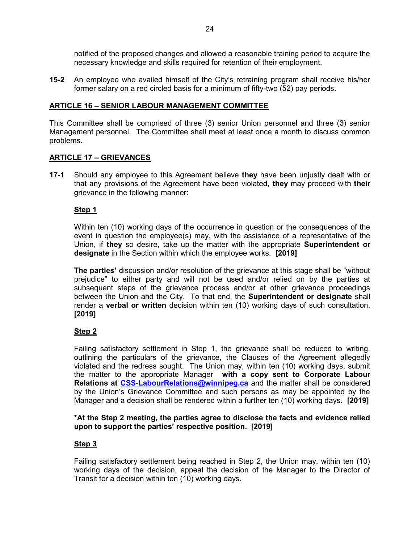notified of the proposed changes and allowed a reasonable training period to acquire the necessary knowledge and skills required for retention of their employment.

15-2 An employee who availed himself of the City's retraining program shall receive his/her former salary on a red circled basis for a minimum of fifty-two (52) pay periods.

#### ARTICLE 16 – SENIOR LABOUR MANAGEMENT COMMITTEE

This Committee shall be comprised of three (3) senior Union personnel and three (3) senior Management personnel. The Committee shall meet at least once a month to discuss common problems.

#### ARTICLE 17 – GRIEVANCES

**17-1** Should any employee to this Agreement believe they have been unjustly dealt with or that any provisions of the Agreement have been violated, they may proceed with their grievance in the following manner:

#### Step 1

Within ten (10) working days of the occurrence in question or the consequences of the event in question the employee(s) may, with the assistance of a representative of the Union, if they so desire, take up the matter with the appropriate **Superintendent or** designate in the Section within which the employee works. [2019]

**The parties'** discussion and/or resolution of the grievance at this stage shall be "without prejudice" to either party and will not be used and/or relied on by the parties at subsequent steps of the grievance process and/or at other grievance proceedings between the Union and the City. To that end, the Superintendent or designate shall render a verbal or written decision within ten (10) working days of such consultation. [2019]

# Step<sub>2</sub>

Failing satisfactory settlement in Step 1, the grievance shall be reduced to writing, outlining the particulars of the grievance, the Clauses of the Agreement allegedly violated and the redress sought. The Union may, within ten (10) working days, submit the matter to the appropriate Manager with a copy sent to Corporate Labour Relations at CSS-LabourRelations@winnipeg.ca and the matter shall be considered by the Union's Grievance Committee and such persons as may be appointed by the Manager and a decision shall be rendered within a further ten (10) working days. [2019]

#### \*At the Step 2 meeting, the parties agree to disclose the facts and evidence relied upon to support the parties' respective position. [2019]

# Step 3

Failing satisfactory settlement being reached in Step 2, the Union may, within ten (10) working days of the decision, appeal the decision of the Manager to the Director of Transit for a decision within ten (10) working days.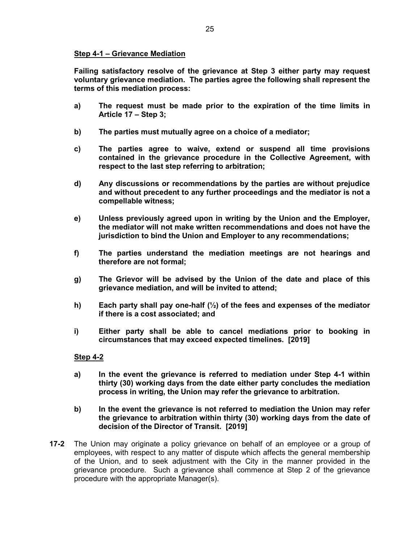# Step 4-1 – Grievance Mediation

Failing satisfactory resolve of the grievance at Step 3 either party may request voluntary grievance mediation. The parties agree the following shall represent the terms of this mediation process:

- a) The request must be made prior to the expiration of the time limits in Article 17 – Step 3;
- b) The parties must mutually agree on a choice of a mediator;
- c) The parties agree to waive, extend or suspend all time provisions contained in the grievance procedure in the Collective Agreement, with respect to the last step referring to arbitration;
- d) Any discussions or recommendations by the parties are without prejudice and without precedent to any further proceedings and the mediator is not a compellable witness;
- e) Unless previously agreed upon in writing by the Union and the Employer, the mediator will not make written recommendations and does not have the jurisdiction to bind the Union and Employer to any recommendations;
- f) The parties understand the mediation meetings are not hearings and therefore are not formal;
- g) The Grievor will be advised by the Union of the date and place of this grievance mediation, and will be invited to attend;
- h) Each party shall pay one-half  $\left(\frac{1}{2}\right)$  of the fees and expenses of the mediator if there is a cost associated; and
- i) Either party shall be able to cancel mediations prior to booking in circumstances that may exceed expected timelines. [2019]

#### Step 4-2

- a) In the event the grievance is referred to mediation under Step 4-1 within thirty (30) working days from the date either party concludes the mediation process in writing, the Union may refer the grievance to arbitration.
- b) In the event the grievance is not referred to mediation the Union may refer the grievance to arbitration within thirty (30) working days from the date of decision of the Director of Transit. [2019]
- 17-2 The Union may originate a policy grievance on behalf of an employee or a group of employees, with respect to any matter of dispute which affects the general membership of the Union, and to seek adjustment with the City in the manner provided in the grievance procedure. Such a grievance shall commence at Step 2 of the grievance procedure with the appropriate Manager(s).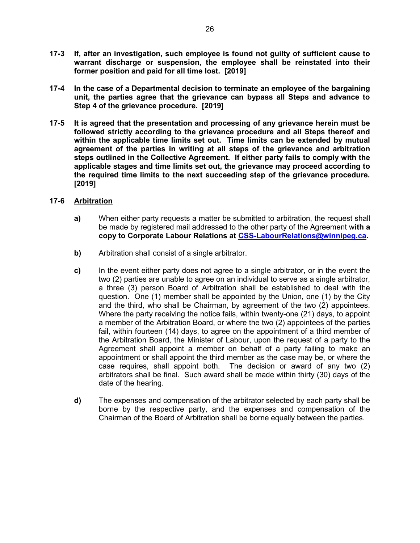- 17-3 If, after an investigation, such employee is found not guilty of sufficient cause to warrant discharge or suspension, the employee shall be reinstated into their former position and paid for all time lost. [2019]
- 17-4 In the case of a Departmental decision to terminate an employee of the bargaining unit, the parties agree that the grievance can bypass all Steps and advance to Step 4 of the grievance procedure. [2019]
- 17-5 It is agreed that the presentation and processing of any grievance herein must be followed strictly according to the grievance procedure and all Steps thereof and within the applicable time limits set out. Time limits can be extended by mutual agreement of the parties in writing at all steps of the grievance and arbitration steps outlined in the Collective Agreement. If either party fails to comply with the applicable stages and time limits set out, the grievance may proceed according to the required time limits to the next succeeding step of the grievance procedure. [2019]

# 17-6 Arbitration

- a) When either party requests a matter be submitted to arbitration, the request shall be made by registered mail addressed to the other party of the Agreement with a copy to Corporate Labour Relations at CSS-LabourRelations@winnipeg.ca.
- b) Arbitration shall consist of a single arbitrator.
- c) In the event either party does not agree to a single arbitrator, or in the event the two (2) parties are unable to agree on an individual to serve as a single arbitrator, a three (3) person Board of Arbitration shall be established to deal with the question. One (1) member shall be appointed by the Union, one (1) by the City and the third, who shall be Chairman, by agreement of the two (2) appointees. Where the party receiving the notice fails, within twenty-one (21) days, to appoint a member of the Arbitration Board, or where the two (2) appointees of the parties fail, within fourteen (14) days, to agree on the appointment of a third member of the Arbitration Board, the Minister of Labour, upon the request of a party to the Agreement shall appoint a member on behalf of a party failing to make an appointment or shall appoint the third member as the case may be, or where the case requires, shall appoint both. The decision or award of any two (2) arbitrators shall be final. Such award shall be made within thirty (30) days of the date of the hearing.
- d) The expenses and compensation of the arbitrator selected by each party shall be borne by the respective party, and the expenses and compensation of the Chairman of the Board of Arbitration shall be borne equally between the parties.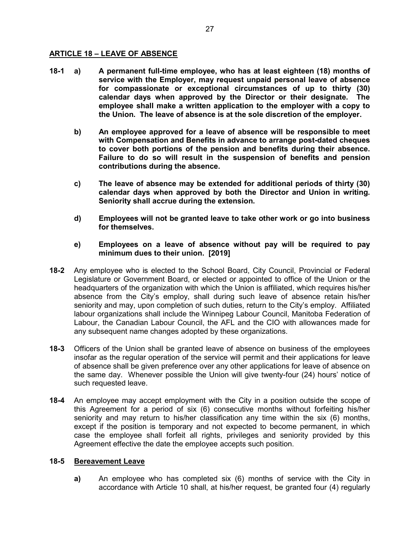# ARTICLE 18 – LEAVE OF ABSENCE

- 18-1 a) A permanent full-time employee, who has at least eighteen (18) months of service with the Employer, may request unpaid personal leave of absence for compassionate or exceptional circumstances of up to thirty (30) calendar days when approved by the Director or their designate. The employee shall make a written application to the employer with a copy to the Union. The leave of absence is at the sole discretion of the employer.
	- b) An employee approved for a leave of absence will be responsible to meet with Compensation and Benefits in advance to arrange post-dated cheques to cover both portions of the pension and benefits during their absence. Failure to do so will result in the suspension of benefits and pension contributions during the absence.
	- c) The leave of absence may be extended for additional periods of thirty (30) calendar days when approved by both the Director and Union in writing. Seniority shall accrue during the extension.
	- d) Employees will not be granted leave to take other work or go into business for themselves.
	- e) Employees on a leave of absence without pay will be required to pay minimum dues to their union. [2019]
- 18-2 Any employee who is elected to the School Board, City Council, Provincial or Federal Legislature or Government Board, or elected or appointed to office of the Union or the headquarters of the organization with which the Union is affiliated, which requires his/her absence from the City's employ, shall during such leave of absence retain his/her seniority and may, upon completion of such duties, return to the City's employ. Affiliated labour organizations shall include the Winnipeg Labour Council, Manitoba Federation of Labour, the Canadian Labour Council, the AFL and the CIO with allowances made for any subsequent name changes adopted by these organizations.
- 18-3 Officers of the Union shall be granted leave of absence on business of the employees insofar as the regular operation of the service will permit and their applications for leave of absence shall be given preference over any other applications for leave of absence on the same day. Whenever possible the Union will give twenty-four (24) hours' notice of such requested leave.
- **18-4** An employee may accept employment with the City in a position outside the scope of this Agreement for a period of six (6) consecutive months without forfeiting his/her seniority and may return to his/her classification any time within the six (6) months, except if the position is temporary and not expected to become permanent, in which case the employee shall forfeit all rights, privileges and seniority provided by this Agreement effective the date the employee accepts such position.

# 18-5 Bereavement Leave

a) An employee who has completed six (6) months of service with the City in accordance with Article 10 shall, at his/her request, be granted four (4) regularly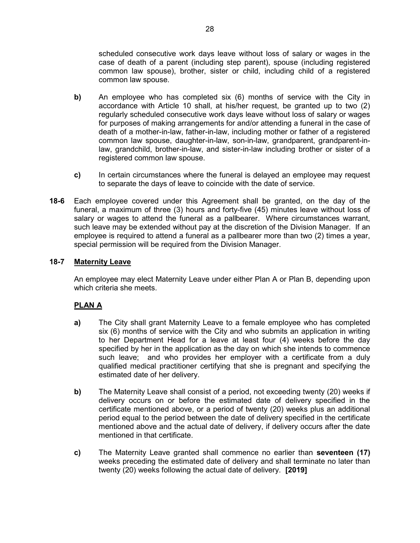scheduled consecutive work days leave without loss of salary or wages in the case of death of a parent (including step parent), spouse (including registered common law spouse), brother, sister or child, including child of a registered common law spouse.

- b) An employee who has completed six (6) months of service with the City in accordance with Article 10 shall, at his/her request, be granted up to two (2) regularly scheduled consecutive work days leave without loss of salary or wages for purposes of making arrangements for and/or attending a funeral in the case of death of a mother-in-law, father-in-law, including mother or father of a registered common law spouse, daughter-in-law, son-in-law, grandparent, grandparent-inlaw, grandchild, brother-in-law, and sister-in-law including brother or sister of a registered common law spouse.
- c) In certain circumstances where the funeral is delayed an employee may request to separate the days of leave to coincide with the date of service.
- 18-6 Each employee covered under this Agreement shall be granted, on the day of the funeral, a maximum of three (3) hours and forty-five (45) minutes leave without loss of salary or wages to attend the funeral as a pallbearer. Where circumstances warrant, such leave may be extended without pay at the discretion of the Division Manager. If an employee is required to attend a funeral as a pallbearer more than two (2) times a year, special permission will be required from the Division Manager.

# 18-7 Maternity Leave

An employee may elect Maternity Leave under either Plan A or Plan B, depending upon which criteria she meets.

# PLAN A

- a) The City shall grant Maternity Leave to a female employee who has completed six (6) months of service with the City and who submits an application in writing to her Department Head for a leave at least four (4) weeks before the day specified by her in the application as the day on which she intends to commence such leave; and who provides her employer with a certificate from a duly qualified medical practitioner certifying that she is pregnant and specifying the estimated date of her delivery.
- b) The Maternity Leave shall consist of a period, not exceeding twenty (20) weeks if delivery occurs on or before the estimated date of delivery specified in the certificate mentioned above, or a period of twenty (20) weeks plus an additional period equal to the period between the date of delivery specified in the certificate mentioned above and the actual date of delivery, if delivery occurs after the date mentioned in that certificate.
- c) The Maternity Leave granted shall commence no earlier than seventeen (17) weeks preceding the estimated date of delivery and shall terminate no later than twenty (20) weeks following the actual date of delivery. [2019]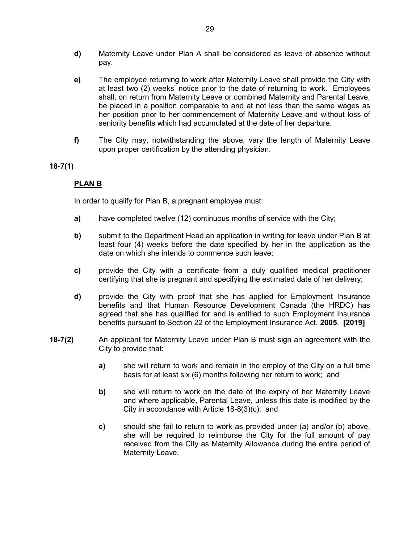- d) Maternity Leave under Plan A shall be considered as leave of absence without pay.
- e) The employee returning to work after Maternity Leave shall provide the City with at least two (2) weeks' notice prior to the date of returning to work. Employees shall, on return from Maternity Leave or combined Maternity and Parental Leave, be placed in a position comparable to and at not less than the same wages as her position prior to her commencement of Maternity Leave and without loss of seniority benefits which had accumulated at the date of her departure.
- f) The City may, notwithstanding the above, vary the length of Maternity Leave upon proper certification by the attending physician.

#### 18-7(1)

# PLAN B

In order to qualify for Plan B, a pregnant employee must:

- a) have completed twelve (12) continuous months of service with the City;
- b) submit to the Department Head an application in writing for leave under Plan B at least four (4) weeks before the date specified by her in the application as the date on which she intends to commence such leave;
- c) provide the City with a certificate from a duly qualified medical practitioner certifying that she is pregnant and specifying the estimated date of her delivery;
- d) provide the City with proof that she has applied for Employment Insurance benefits and that Human Resource Development Canada (the HRDC) has agreed that she has qualified for and is entitled to such Employment Insurance benefits pursuant to Section 22 of the Employment Insurance Act, 2005. [2019]
- 18-7(2) An applicant for Maternity Leave under Plan B must sign an agreement with the City to provide that:
	- a) she will return to work and remain in the employ of the City on a full time basis for at least six (6) months following her return to work; and
	- b) she will return to work on the date of the expiry of her Maternity Leave and where applicable, Parental Leave, unless this date is modified by the City in accordance with Article 18-8(3)(c); and
	- c) should she fail to return to work as provided under (a) and/or (b) above, she will be required to reimburse the City for the full amount of pay received from the City as Maternity Allowance during the entire period of Maternity Leave.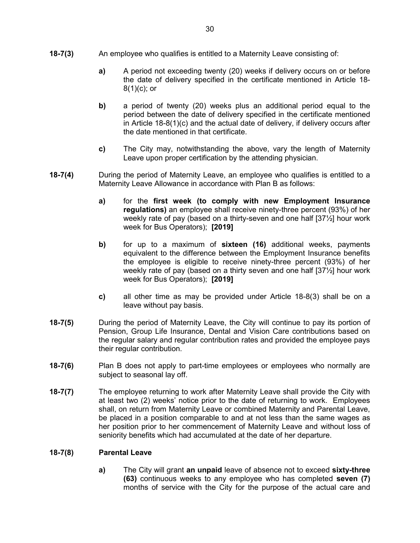- 18-7(3) An employee who qualifies is entitled to a Maternity Leave consisting of:
	- a) A period not exceeding twenty (20) weeks if delivery occurs on or before the date of delivery specified in the certificate mentioned in Article 18-  $8(1)(c)$ ; or
	- b) a period of twenty (20) weeks plus an additional period equal to the period between the date of delivery specified in the certificate mentioned in Article 18-8(1)(c) and the actual date of delivery, if delivery occurs after the date mentioned in that certificate.
	- c) The City may, notwithstanding the above, vary the length of Maternity Leave upon proper certification by the attending physician.
- **18-7(4)** During the period of Maternity Leave, an employee who qualifies is entitled to a Maternity Leave Allowance in accordance with Plan B as follows:
	- a) for the first week (to comply with new Employment Insurance regulations) an employee shall receive ninety-three percent (93%) of her weekly rate of pay (based on a thirty-seven and one half [37½] hour work week for Bus Operators); [2019]
	- b) for up to a maximum of **sixteen (16)** additional weeks, payments equivalent to the difference between the Employment Insurance benefits the employee is eligible to receive ninety-three percent (93%) of her weekly rate of pay (based on a thirty seven and one half [37½] hour work week for Bus Operators); [2019]
	- c) all other time as may be provided under Article 18-8(3) shall be on a leave without pay basis.
- 18-7(5) During the period of Maternity Leave, the City will continue to pay its portion of Pension, Group Life Insurance, Dental and Vision Care contributions based on the regular salary and regular contribution rates and provided the employee pays their regular contribution.
- 18-7(6) Plan B does not apply to part-time employees or employees who normally are subject to seasonal lay off.
- 18-7(7) The employee returning to work after Maternity Leave shall provide the City with at least two (2) weeks' notice prior to the date of returning to work. Employees shall, on return from Maternity Leave or combined Maternity and Parental Leave, be placed in a position comparable to and at not less than the same wages as her position prior to her commencement of Maternity Leave and without loss of seniority benefits which had accumulated at the date of her departure.

#### 18-7(8) Parental Leave

a) The City will grant an unpaid leave of absence not to exceed sixty-three (63) continuous weeks to any employee who has completed seven (7) months of service with the City for the purpose of the actual care and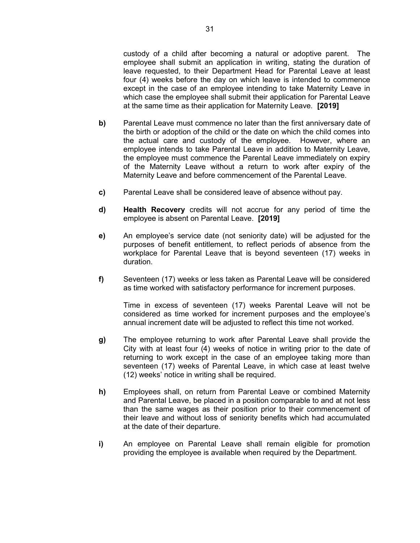custody of a child after becoming a natural or adoptive parent. The employee shall submit an application in writing, stating the duration of leave requested, to their Department Head for Parental Leave at least four (4) weeks before the day on which leave is intended to commence except in the case of an employee intending to take Maternity Leave in which case the employee shall submit their application for Parental Leave at the same time as their application for Maternity Leave. [2019]

- b) Parental Leave must commence no later than the first anniversary date of the birth or adoption of the child or the date on which the child comes into the actual care and custody of the employee. However, where an employee intends to take Parental Leave in addition to Maternity Leave, the employee must commence the Parental Leave immediately on expiry of the Maternity Leave without a return to work after expiry of the Maternity Leave and before commencement of the Parental Leave.
- c) Parental Leave shall be considered leave of absence without pay.
- d) Health Recovery credits will not accrue for any period of time the employee is absent on Parental Leave. [2019]
- e) An employee's service date (not seniority date) will be adjusted for the purposes of benefit entitlement, to reflect periods of absence from the workplace for Parental Leave that is beyond seventeen (17) weeks in duration.
- f) Seventeen (17) weeks or less taken as Parental Leave will be considered as time worked with satisfactory performance for increment purposes.

Time in excess of seventeen (17) weeks Parental Leave will not be considered as time worked for increment purposes and the employee's annual increment date will be adjusted to reflect this time not worked.

- g) The employee returning to work after Parental Leave shall provide the City with at least four (4) weeks of notice in writing prior to the date of returning to work except in the case of an employee taking more than seventeen (17) weeks of Parental Leave, in which case at least twelve (12) weeks' notice in writing shall be required.
- h) Employees shall, on return from Parental Leave or combined Maternity and Parental Leave, be placed in a position comparable to and at not less than the same wages as their position prior to their commencement of their leave and without loss of seniority benefits which had accumulated at the date of their departure.
- i) An employee on Parental Leave shall remain eligible for promotion providing the employee is available when required by the Department.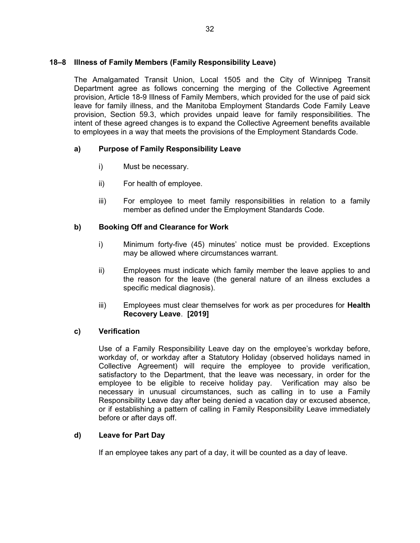# 18–8 Illness of Family Members (Family Responsibility Leave)

The Amalgamated Transit Union, Local 1505 and the City of Winnipeg Transit Department agree as follows concerning the merging of the Collective Agreement provision, Article 18-9 Illness of Family Members, which provided for the use of paid sick leave for family illness, and the Manitoba Employment Standards Code Family Leave provision, Section 59.3, which provides unpaid leave for family responsibilities. The intent of these agreed changes is to expand the Collective Agreement benefits available to employees in a way that meets the provisions of the Employment Standards Code.

# a) Purpose of Family Responsibility Leave

- i) Must be necessary.
- ii) For health of employee.
- iii) For employee to meet family responsibilities in relation to a family member as defined under the Employment Standards Code.

#### b) Booking Off and Clearance for Work

- i) Minimum forty-five (45) minutes' notice must be provided. Exceptions may be allowed where circumstances warrant.
- ii) Employees must indicate which family member the leave applies to and the reason for the leave (the general nature of an illness excludes a specific medical diagnosis).
- iii) Employees must clear themselves for work as per procedures for **Health** Recovery Leave. [2019]

#### c) Verification

Use of a Family Responsibility Leave day on the employee's workday before, workday of, or workday after a Statutory Holiday (observed holidays named in Collective Agreement) will require the employee to provide verification, satisfactory to the Department, that the leave was necessary, in order for the employee to be eligible to receive holiday pay. Verification may also be necessary in unusual circumstances, such as calling in to use a Family Responsibility Leave day after being denied a vacation day or excused absence, or if establishing a pattern of calling in Family Responsibility Leave immediately before or after days off.

#### d) Leave for Part Day

If an employee takes any part of a day, it will be counted as a day of leave.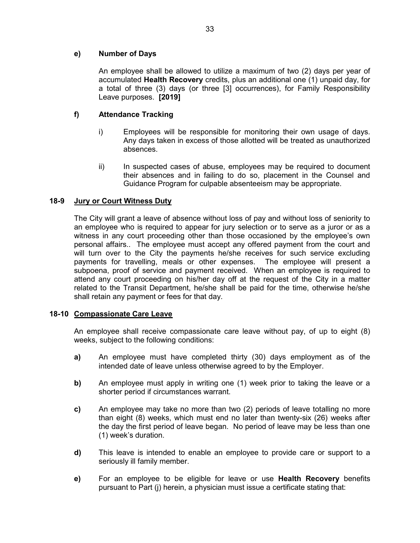# e) Number of Days

An employee shall be allowed to utilize a maximum of two (2) days per year of accumulated Health Recovery credits, plus an additional one (1) unpaid day, for a total of three (3) days (or three [3] occurrences), for Family Responsibility Leave purposes. [2019]

# f) Attendance Tracking

- i) Employees will be responsible for monitoring their own usage of days. Any days taken in excess of those allotted will be treated as unauthorized absences.
- ii) In suspected cases of abuse, employees may be required to document their absences and in failing to do so, placement in the Counsel and Guidance Program for culpable absenteeism may be appropriate.

# 18-9 Jury or Court Witness Duty

The City will grant a leave of absence without loss of pay and without loss of seniority to an employee who is required to appear for jury selection or to serve as a juror or as a witness in any court proceeding other than those occasioned by the employee's own personal affairs.. The employee must accept any offered payment from the court and will turn over to the City the payments he/she receives for such service excluding payments for travelling, meals or other expenses. The employee will present a subpoena, proof of service and payment received. When an employee is required to attend any court proceeding on his/her day off at the request of the City in a matter related to the Transit Department, he/she shall be paid for the time, otherwise he/she shall retain any payment or fees for that day.

# 18-10 Compassionate Care Leave

An employee shall receive compassionate care leave without pay, of up to eight (8) weeks, subject to the following conditions:

- a) An employee must have completed thirty (30) days employment as of the intended date of leave unless otherwise agreed to by the Employer.
- b) An employee must apply in writing one (1) week prior to taking the leave or a shorter period if circumstances warrant.
- c) An employee may take no more than two (2) periods of leave totalling no more than eight (8) weeks, which must end no later than twenty-six (26) weeks after the day the first period of leave began. No period of leave may be less than one (1) week's duration.
- d) This leave is intended to enable an employee to provide care or support to a seriously ill family member.
- e) For an employee to be eligible for leave or use Health Recovery benefits pursuant to Part (j) herein, a physician must issue a certificate stating that: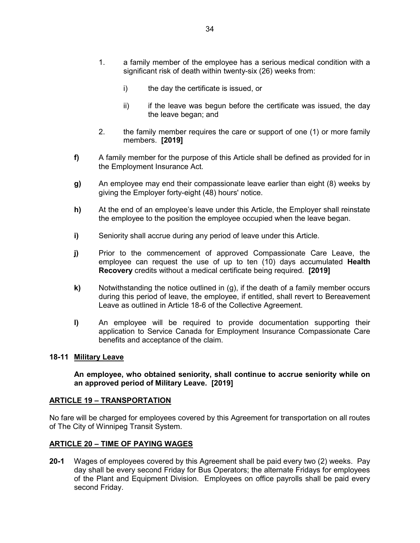- 1. a family member of the employee has a serious medical condition with a significant risk of death within twenty-six (26) weeks from:
	- i) the day the certificate is issued, or
	- ii) if the leave was begun before the certificate was issued, the day the leave began; and
- 2. the family member requires the care or support of one (1) or more family members. [2019]
- f) A family member for the purpose of this Article shall be defined as provided for in the Employment Insurance Act.
- g) An employee may end their compassionate leave earlier than eight (8) weeks by giving the Employer forty-eight (48) hours' notice.
- h) At the end of an employee's leave under this Article, the Employer shall reinstate the employee to the position the employee occupied when the leave began.
- i) Seniority shall accrue during any period of leave under this Article.
- j) Prior to the commencement of approved Compassionate Care Leave, the employee can request the use of up to ten (10) days accumulated Health Recovery credits without a medical certificate being required. [2019]
- $k$ ) Notwithstanding the notice outlined in (g), if the death of a family member occurs during this period of leave, the employee, if entitled, shall revert to Bereavement Leave as outlined in Article 18-6 of the Collective Agreement.
- l) An employee will be required to provide documentation supporting their application to Service Canada for Employment Insurance Compassionate Care benefits and acceptance of the claim.

#### 18-11 Military Leave

#### An employee, who obtained seniority, shall continue to accrue seniority while on an approved period of Military Leave. [2019]

#### ARTICLE 19 – TRANSPORTATION

No fare will be charged for employees covered by this Agreement for transportation on all routes of The City of Winnipeg Transit System.

#### ARTICLE 20 – TIME OF PAYING WAGES

20-1 Wages of employees covered by this Agreement shall be paid every two (2) weeks. Pay day shall be every second Friday for Bus Operators; the alternate Fridays for employees of the Plant and Equipment Division. Employees on office payrolls shall be paid every second Friday.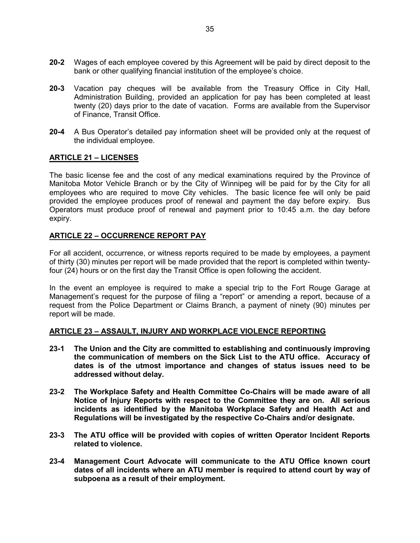- 20-2 Wages of each employee covered by this Agreement will be paid by direct deposit to the bank or other qualifying financial institution of the employee's choice.
- 20-3 Vacation pay cheques will be available from the Treasury Office in City Hall, Administration Building, provided an application for pay has been completed at least twenty (20) days prior to the date of vacation. Forms are available from the Supervisor of Finance, Transit Office.
- 20-4 A Bus Operator's detailed pay information sheet will be provided only at the request of the individual employee.

#### ARTICLE 21 – LICENSES

The basic license fee and the cost of any medical examinations required by the Province of Manitoba Motor Vehicle Branch or by the City of Winnipeg will be paid for by the City for all employees who are required to move City vehicles. The basic licence fee will only be paid provided the employee produces proof of renewal and payment the day before expiry. Bus Operators must produce proof of renewal and payment prior to 10:45 a.m. the day before expiry.

#### ARTICLE 22 – OCCURRENCE REPORT PAY

For all accident, occurrence, or witness reports required to be made by employees, a payment of thirty (30) minutes per report will be made provided that the report is completed within twentyfour (24) hours or on the first day the Transit Office is open following the accident.

In the event an employee is required to make a special trip to the Fort Rouge Garage at Management's request for the purpose of filing a "report" or amending a report, because of a request from the Police Department or Claims Branch, a payment of ninety (90) minutes per report will be made.

#### ARTICLE 23 – ASSAULT, INJURY AND WORKPLACE VIOLENCE REPORTING

- 23-1 The Union and the City are committed to establishing and continuously improving the communication of members on the Sick List to the ATU office. Accuracy of dates is of the utmost importance and changes of status issues need to be addressed without delay.
- 23-2 The Workplace Safety and Health Committee Co-Chairs will be made aware of all Notice of Injury Reports with respect to the Committee they are on. All serious incidents as identified by the Manitoba Workplace Safety and Health Act and Regulations will be investigated by the respective Co-Chairs and/or designate.
- 23-3 The ATU office will be provided with copies of written Operator Incident Reports related to violence.
- 23-4 Management Court Advocate will communicate to the ATU Office known court dates of all incidents where an ATU member is required to attend court by way of subpoena as a result of their employment.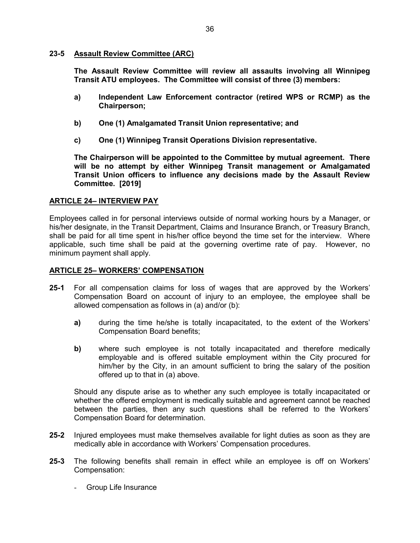#### 23-5 Assault Review Committee (ARC)

 The Assault Review Committee will review all assaults involving all Winnipeg Transit ATU employees. The Committee will consist of three (3) members:

- a) Independent Law Enforcement contractor (retired WPS or RCMP) as the Chairperson;
- b) One (1) Amalgamated Transit Union representative; and
- c) One (1) Winnipeg Transit Operations Division representative.

The Chairperson will be appointed to the Committee by mutual agreement. There will be no attempt by either Winnipeg Transit management or Amalgamated Transit Union officers to influence any decisions made by the Assault Review Committee. [2019]

# ARTICLE 24– INTERVIEW PAY

Employees called in for personal interviews outside of normal working hours by a Manager, or his/her designate, in the Transit Department, Claims and Insurance Branch, or Treasury Branch, shall be paid for all time spent in his/her office beyond the time set for the interview. Where applicable, such time shall be paid at the governing overtime rate of pay. However, no minimum payment shall apply.

#### ARTICLE 25– WORKERS' COMPENSATION

- 25-1 For all compensation claims for loss of wages that are approved by the Workers' Compensation Board on account of injury to an employee, the employee shall be allowed compensation as follows in (a) and/or (b):
	- a) during the time he/she is totally incapacitated, to the extent of the Workers' Compensation Board benefits;
	- b) where such employee is not totally incapacitated and therefore medically employable and is offered suitable employment within the City procured for him/her by the City, in an amount sufficient to bring the salary of the position offered up to that in (a) above.

Should any dispute arise as to whether any such employee is totally incapacitated or whether the offered employment is medically suitable and agreement cannot be reached between the parties, then any such questions shall be referred to the Workers' Compensation Board for determination.

- 25-2 Injured employees must make themselves available for light duties as soon as they are medically able in accordance with Workers' Compensation procedures.
- 25-3 The following benefits shall remain in effect while an employee is off on Workers' Compensation:
	- Group Life Insurance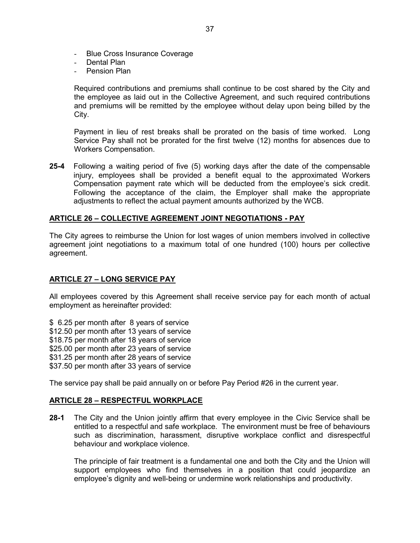- Blue Cross Insurance Coverage
- Dental Plan
- Pension Plan

Required contributions and premiums shall continue to be cost shared by the City and the employee as laid out in the Collective Agreement, and such required contributions and premiums will be remitted by the employee without delay upon being billed by the City.

Payment in lieu of rest breaks shall be prorated on the basis of time worked. Long Service Pay shall not be prorated for the first twelve (12) months for absences due to Workers Compensation.

25-4 Following a waiting period of five (5) working days after the date of the compensable injury, employees shall be provided a benefit equal to the approximated Workers Compensation payment rate which will be deducted from the employee's sick credit. Following the acceptance of the claim, the Employer shall make the appropriate adjustments to reflect the actual payment amounts authorized by the WCB.

## ARTICLE 26 – COLLECTIVE AGREEMENT JOINT NEGOTIATIONS - PAY

The City agrees to reimburse the Union for lost wages of union members involved in collective agreement joint negotiations to a maximum total of one hundred (100) hours per collective agreement.

# ARTICLE 27 – LONG SERVICE PAY

All employees covered by this Agreement shall receive service pay for each month of actual employment as hereinafter provided:

\$ 6.25 per month after 8 years of service \$12.50 per month after 13 years of service \$18.75 per month after 18 years of service \$25.00 per month after 23 years of service \$31.25 per month after 28 years of service \$37.50 per month after 33 years of service

The service pay shall be paid annually on or before Pay Period #26 in the current year.

## ARTICLE 28 – RESPECTFUL WORKPLACE

28-1 The City and the Union jointly affirm that every employee in the Civic Service shall be entitled to a respectful and safe workplace. The environment must be free of behaviours such as discrimination, harassment, disruptive workplace conflict and disrespectful behaviour and workplace violence.

The principle of fair treatment is a fundamental one and both the City and the Union will support employees who find themselves in a position that could jeopardize an employee's dignity and well-being or undermine work relationships and productivity.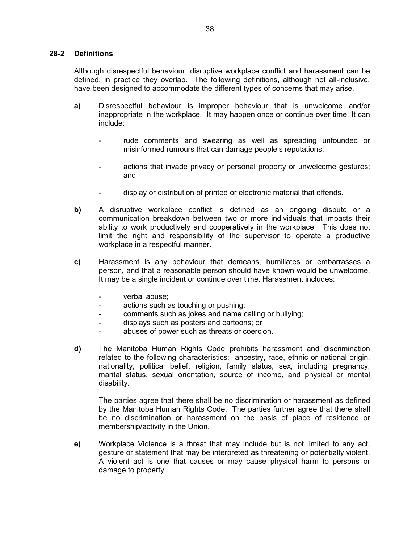## 28-2 Definitions

Although disrespectful behaviour, disruptive workplace conflict and harassment can be defined, in practice they overlap. The following definitions, although not all-inclusive, have been designed to accommodate the different types of concerns that may arise.

- a) Disrespectful behaviour is improper behaviour that is unwelcome and/or inappropriate in the workplace. It may happen once or continue over time. It can include:
	- rude comments and swearing as well as spreading unfounded or misinformed rumours that can damage people's reputations;
	- actions that invade privacy or personal property or unwelcome gestures; and
	- display or distribution of printed or electronic material that offends.
- b) A disruptive workplace conflict is defined as an ongoing dispute or a communication breakdown between two or more individuals that impacts their ability to work productively and cooperatively in the workplace. This does not limit the right and responsibility of the supervisor to operate a productive workplace in a respectful manner.
- c) Harassment is any behaviour that demeans, humiliates or embarrasses a person, and that a reasonable person should have known would be unwelcome. It may be a single incident or continue over time. Harassment includes:
	- verbal abuse:
	- actions such as touching or pushing;
	- comments such as jokes and name calling or bullying;
	- displays such as posters and cartoons; or
	- abuses of power such as threats or coercion.
- d) The Manitoba Human Rights Code prohibits harassment and discrimination related to the following characteristics: ancestry, race, ethnic or national origin, nationality, political belief, religion, family status, sex, including pregnancy, marital status, sexual orientation, source of income, and physical or mental disability.

The parties agree that there shall be no discrimination or harassment as defined by the Manitoba Human Rights Code. The parties further agree that there shall be no discrimination or harassment on the basis of place of residence or membership/activity in the Union.

e) Workplace Violence is a threat that may include but is not limited to any act, gesture or statement that may be interpreted as threatening or potentially violent. A violent act is one that causes or may cause physical harm to persons or damage to property.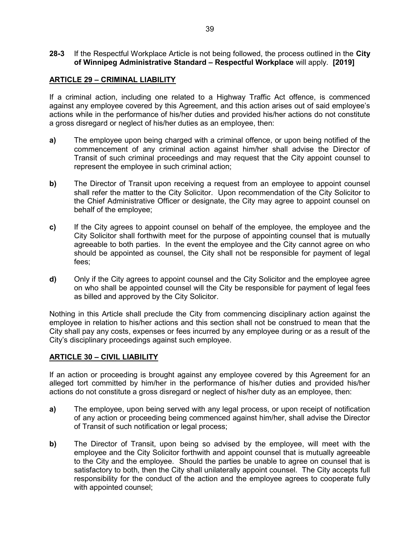## 28-3 If the Respectful Workplace Article is not being followed, the process outlined in the City of Winnipeg Administrative Standard – Respectful Workplace will apply. [2019]

## ARTICLE 29 – CRIMINAL LIABILITY

If a criminal action, including one related to a Highway Traffic Act offence, is commenced against any employee covered by this Agreement, and this action arises out of said employee's actions while in the performance of his/her duties and provided his/her actions do not constitute a gross disregard or neglect of his/her duties as an employee, then:

- a) The employee upon being charged with a criminal offence, or upon being notified of the commencement of any criminal action against him/her shall advise the Director of Transit of such criminal proceedings and may request that the City appoint counsel to represent the employee in such criminal action;
- b) The Director of Transit upon receiving a request from an employee to appoint counsel shall refer the matter to the City Solicitor. Upon recommendation of the City Solicitor to the Chief Administrative Officer or designate, the City may agree to appoint counsel on behalf of the employee;
- c) If the City agrees to appoint counsel on behalf of the employee, the employee and the City Solicitor shall forthwith meet for the purpose of appointing counsel that is mutually agreeable to both parties. In the event the employee and the City cannot agree on who should be appointed as counsel, the City shall not be responsible for payment of legal fees;
- d) Only if the City agrees to appoint counsel and the City Solicitor and the employee agree on who shall be appointed counsel will the City be responsible for payment of legal fees as billed and approved by the City Solicitor.

Nothing in this Article shall preclude the City from commencing disciplinary action against the employee in relation to his/her actions and this section shall not be construed to mean that the City shall pay any costs, expenses or fees incurred by any employee during or as a result of the City's disciplinary proceedings against such employee.

## ARTICLE 30 – CIVIL LIABILITY

If an action or proceeding is brought against any employee covered by this Agreement for an alleged tort committed by him/her in the performance of his/her duties and provided his/her actions do not constitute a gross disregard or neglect of his/her duty as an employee, then:

- a) The employee, upon being served with any legal process, or upon receipt of notification of any action or proceeding being commenced against him/her, shall advise the Director of Transit of such notification or legal process;
- b) The Director of Transit, upon being so advised by the employee, will meet with the employee and the City Solicitor forthwith and appoint counsel that is mutually agreeable to the City and the employee. Should the parties be unable to agree on counsel that is satisfactory to both, then the City shall unilaterally appoint counsel. The City accepts full responsibility for the conduct of the action and the employee agrees to cooperate fully with appointed counsel;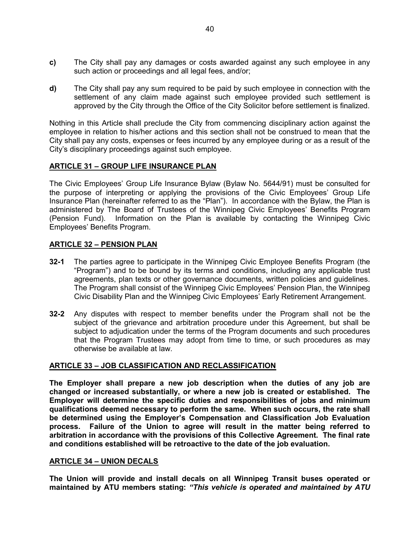- c) The City shall pay any damages or costs awarded against any such employee in any such action or proceedings and all legal fees, and/or;
- d) The City shall pay any sum required to be paid by such employee in connection with the settlement of any claim made against such employee provided such settlement is approved by the City through the Office of the City Solicitor before settlement is finalized.

Nothing in this Article shall preclude the City from commencing disciplinary action against the employee in relation to his/her actions and this section shall not be construed to mean that the City shall pay any costs, expenses or fees incurred by any employee during or as a result of the City's disciplinary proceedings against such employee.

# ARTICLE 31 – GROUP LIFE INSURANCE PLAN

The Civic Employees' Group Life Insurance Bylaw (Bylaw No. 5644/91) must be consulted for the purpose of interpreting or applying the provisions of the Civic Employees' Group Life Insurance Plan (hereinafter referred to as the "Plan"). In accordance with the Bylaw, the Plan is administered by The Board of Trustees of the Winnipeg Civic Employees' Benefits Program (Pension Fund). Information on the Plan is available by contacting the Winnipeg Civic Employees' Benefits Program.

## ARTICLE 32 – PENSION PLAN

- 32-1 The parties agree to participate in the Winnipeg Civic Employee Benefits Program (the "Program") and to be bound by its terms and conditions, including any applicable trust agreements, plan texts or other governance documents, written policies and guidelines. The Program shall consist of the Winnipeg Civic Employees' Pension Plan, the Winnipeg Civic Disability Plan and the Winnipeg Civic Employees' Early Retirement Arrangement.
- 32-2 Any disputes with respect to member benefits under the Program shall not be the subject of the grievance and arbitration procedure under this Agreement, but shall be subject to adjudication under the terms of the Program documents and such procedures that the Program Trustees may adopt from time to time, or such procedures as may otherwise be available at law.

## ARTICLE 33 – JOB CLASSIFICATION AND RECLASSIFICATION

The Employer shall prepare a new job description when the duties of any job are changed or increased substantially, or where a new job is created or established. The Employer will determine the specific duties and responsibilities of jobs and minimum qualifications deemed necessary to perform the same. When such occurs, the rate shall be determined using the Employer's Compensation and Classification Job Evaluation process. Failure of the Union to agree will result in the matter being referred to arbitration in accordance with the provisions of this Collective Agreement. The final rate and conditions established will be retroactive to the date of the job evaluation.

## ARTICLE 34 – UNION DECALS

The Union will provide and install decals on all Winnipeg Transit buses operated or maintained by ATU members stating: "This vehicle is operated and maintained by ATU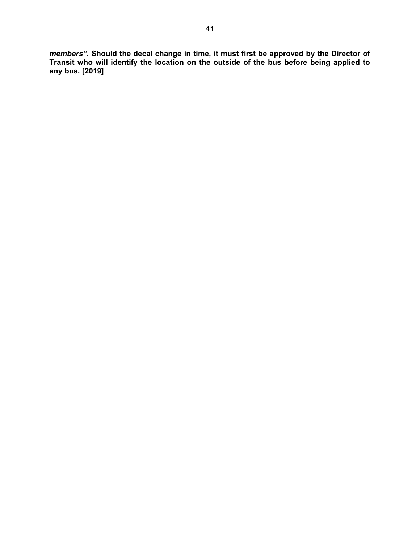members". Should the decal change in time, it must first be approved by the Director of Transit who will identify the location on the outside of the bus before being applied to any bus. [2019]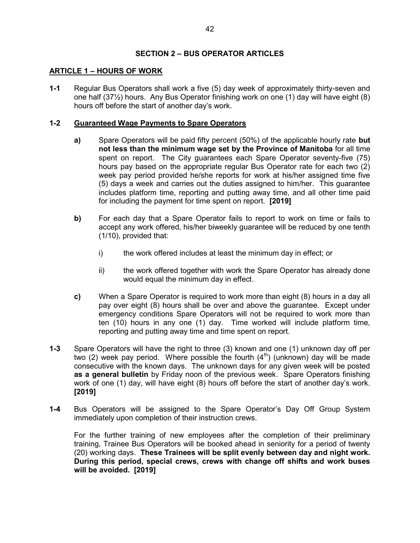# SECTION 2 – BUS OPERATOR ARTICLES

# ARTICLE 1 – HOURS OF WORK

1-1 Regular Bus Operators shall work a five (5) day week of approximately thirty-seven and one half (37½) hours. Any Bus Operator finishing work on one (1) day will have eight (8) hours off before the start of another day's work.

# 1-2 Guaranteed Wage Payments to Spare Operators

- a) Spare Operators will be paid fifty percent (50%) of the applicable hourly rate but not less than the minimum wage set by the Province of Manitoba for all time spent on report. The City guarantees each Spare Operator seventy-five (75) hours pay based on the appropriate regular Bus Operator rate for each two (2) week pay period provided he/she reports for work at his/her assigned time five (5) days a week and carries out the duties assigned to him/her. This guarantee includes platform time, reporting and putting away time, and all other time paid for including the payment for time spent on report. [2019]
- b) For each day that a Spare Operator fails to report to work on time or fails to accept any work offered, his/her biweekly guarantee will be reduced by one tenth (1/10), provided that:
	- i) the work offered includes at least the minimum day in effect; or
	- ii) the work offered together with work the Spare Operator has already done would equal the minimum day in effect.
- c) When a Spare Operator is required to work more than eight (8) hours in a day all pay over eight (8) hours shall be over and above the guarantee. Except under emergency conditions Spare Operators will not be required to work more than ten (10) hours in any one (1) day. Time worked will include platform time, reporting and putting away time and time spent on report.
- 1-3 Spare Operators will have the right to three (3) known and one (1) unknown day off per two (2) week pay period. Where possible the fourth  $(4<sup>th</sup>)$  (unknown) day will be made consecutive with the known days. The unknown days for any given week will be posted as a general bulletin by Friday noon of the previous week. Spare Operators finishing work of one (1) day, will have eight (8) hours off before the start of another day's work. [2019]
- 1-4 Bus Operators will be assigned to the Spare Operator's Day Off Group System immediately upon completion of their instruction crews.

For the further training of new employees after the completion of their preliminary training, Trainee Bus Operators will be booked ahead in seniority for a period of twenty (20) working days. These Trainees will be split evenly between day and night work. During this period, special crews, crews with change off shifts and work buses will be avoided. [2019]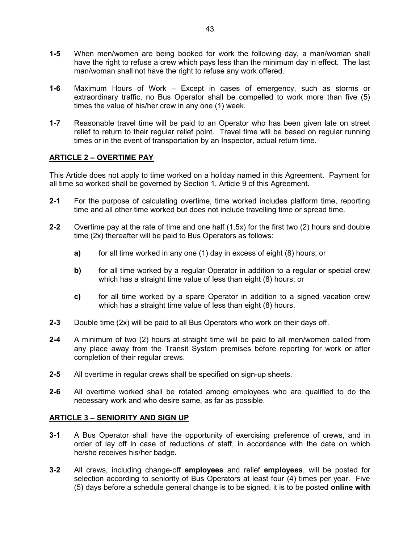- 1-5 When men/women are being booked for work the following day, a man/woman shall have the right to refuse a crew which pays less than the minimum day in effect. The last man/woman shall not have the right to refuse any work offered.
- 1-6 Maximum Hours of Work Except in cases of emergency, such as storms or extraordinary traffic, no Bus Operator shall be compelled to work more than five (5) times the value of his/her crew in any one (1) week.
- 1-7 Reasonable travel time will be paid to an Operator who has been given late on street relief to return to their regular relief point. Travel time will be based on regular running times or in the event of transportation by an Inspector, actual return time.

# ARTICLE 2 – OVERTIME PAY

This Article does not apply to time worked on a holiday named in this Agreement. Payment for all time so worked shall be governed by Section 1, Article 9 of this Agreement.

- 2-1 For the purpose of calculating overtime, time worked includes platform time, reporting time and all other time worked but does not include travelling time or spread time.
- 2-2 Overtime pay at the rate of time and one half (1.5x) for the first two (2) hours and double time (2x) thereafter will be paid to Bus Operators as follows:
	- a) for all time worked in any one (1) day in excess of eight (8) hours; or
	- b) for all time worked by a regular Operator in addition to a regular or special crew which has a straight time value of less than eight (8) hours; or
	- c) for all time worked by a spare Operator in addition to a signed vacation crew which has a straight time value of less than eight (8) hours.
- 2-3 Double time (2x) will be paid to all Bus Operators who work on their days off.
- 2-4 A minimum of two (2) hours at straight time will be paid to all men/women called from any place away from the Transit System premises before reporting for work or after completion of their regular crews.
- 2-5 All overtime in regular crews shall be specified on sign-up sheets.
- 2-6 All overtime worked shall be rotated among employees who are qualified to do the necessary work and who desire same, as far as possible.

# ARTICLE 3 – SENIORITY AND SIGN UP

- 3-1 A Bus Operator shall have the opportunity of exercising preference of crews, and in order of lay off in case of reductions of staff, in accordance with the date on which he/she receives his/her badge.
- 3-2 All crews, including change-off employees and relief employees, will be posted for selection according to seniority of Bus Operators at least four (4) times per year. Five (5) days before a schedule general change is to be signed, it is to be posted online with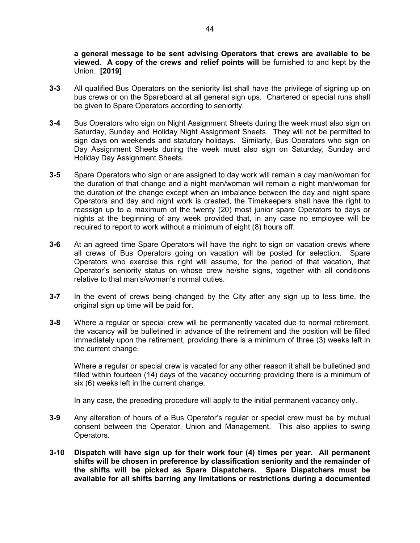a general message to be sent advising Operators that crews are available to be viewed. A copy of the crews and relief points will be furnished to and kept by the Union. [2019]

- 3-3 All qualified Bus Operators on the seniority list shall have the privilege of signing up on bus crews or on the Spareboard at all general sign ups. Chartered or special runs shall be given to Spare Operators according to seniority.
- 3-4 Bus Operators who sign on Night Assignment Sheets during the week must also sign on Saturday, Sunday and Holiday Night Assignment Sheets. They will not be permitted to sign days on weekends and statutory holidays. Similarly, Bus Operators who sign on Day Assignment Sheets during the week must also sign on Saturday, Sunday and Holiday Day Assignment Sheets.
- 3-5 Spare Operators who sign or are assigned to day work will remain a day man/woman for the duration of that change and a night man/woman will remain a night man/woman for the duration of the change except when an imbalance between the day and night spare Operators and day and night work is created, the Timekeepers shall have the right to reassign up to a maximum of the twenty (20) most junior spare Operators to days or nights at the beginning of any week provided that, in any case no employee will be required to report to work without a minimum of eight (8) hours off.
- 3-6 At an agreed time Spare Operators will have the right to sign on vacation crews where all crews of Bus Operators going on vacation will be posted for selection. Spare Operators who exercise this right will assume, for the period of that vacation, that Operator's seniority status on whose crew he/she signs, together with all conditions relative to that man's/woman's normal duties.
- 3-7 In the event of crews being changed by the City after any sign up to less time, the original sign up time will be paid for.
- 3-8 Where a regular or special crew will be permanently vacated due to normal retirement, the vacancy will be bulletined in advance of the retirement and the position will be filled immediately upon the retirement, providing there is a minimum of three (3) weeks left in the current change.

Where a regular or special crew is vacated for any other reason it shall be bulletined and filled within fourteen (14) days of the vacancy occurring providing there is a minimum of six (6) weeks left in the current change.

In any case, the preceding procedure will apply to the initial permanent vacancy only.

- 3-9 Any alteration of hours of a Bus Operator's regular or special crew must be by mutual consent between the Operator, Union and Management. This also applies to swing Operators.
- 3-10 Dispatch will have sign up for their work four (4) times per year. All permanent shifts will be chosen in preference by classification seniority and the remainder of the shifts will be picked as Spare Dispatchers. Spare Dispatchers must be available for all shifts barring any limitations or restrictions during a documented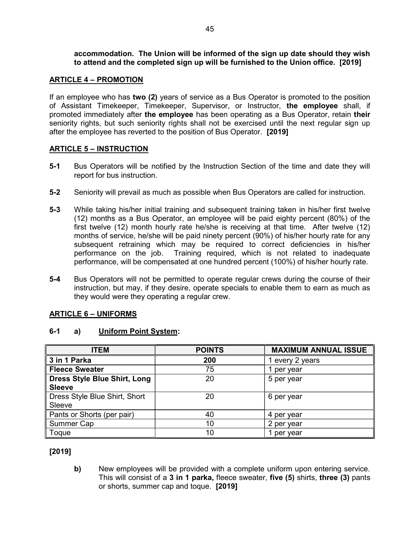accommodation. The Union will be informed of the sign up date should they wish to attend and the completed sign up will be furnished to the Union office. [2019]

## ARTICLE 4 – PROMOTION

If an employee who has two (2) years of service as a Bus Operator is promoted to the position of Assistant Timekeeper, Timekeeper, Supervisor, or Instructor, the employee shall, if promoted immediately after the employee has been operating as a Bus Operator, retain their seniority rights, but such seniority rights shall not be exercised until the next regular sign up after the employee has reverted to the position of Bus Operator. [2019]

## ARTICLE 5 – INSTRUCTION

- 5-1 Bus Operators will be notified by the Instruction Section of the time and date they will report for bus instruction.
- 5-2 Seniority will prevail as much as possible when Bus Operators are called for instruction.
- 5-3 While taking his/her initial training and subsequent training taken in his/her first twelve (12) months as a Bus Operator, an employee will be paid eighty percent (80%) of the first twelve (12) month hourly rate he/she is receiving at that time. After twelve (12) months of service, he/she will be paid ninety percent (90%) of his/her hourly rate for any subsequent retraining which may be required to correct deficiencies in his/her performance on the job. Training required, which is not related to inadequate performance, will be compensated at one hundred percent (100%) of his/her hourly rate.
- 5-4 Bus Operators will not be permitted to operate regular crews during the course of their instruction, but may, if they desire, operate specials to enable them to earn as much as they would were they operating a regular crew.

## ARTICLE 6 – UNIFORMS

## 6-1 a) Uniform Point System:

| <b>ITEM</b>                         | <b>POINTS</b> | <b>MAXIMUM ANNUAL ISSUE</b> |
|-------------------------------------|---------------|-----------------------------|
| 3 in 1 Parka                        | 200           | 1 every 2 years             |
| <b>Fleece Sweater</b>               | 75            | 1 per year                  |
| <b>Dress Style Blue Shirt, Long</b> | 20            | 5 per year                  |
| <b>Sleeve</b>                       |               |                             |
| Dress Style Blue Shirt, Short       | 20            | 6 per year                  |
| Sleeve                              |               |                             |
| Pants or Shorts (per pair)          | 40            | 4 per year                  |
| Summer Cap                          | 10            | 2 per year                  |
| Toque                               | 10            | per year                    |

[2019]

b) New employees will be provided with a complete uniform upon entering service. This will consist of a 3 in 1 parka, fleece sweater, five (5) shirts, three (3) pants or shorts, summer cap and toque. [2019]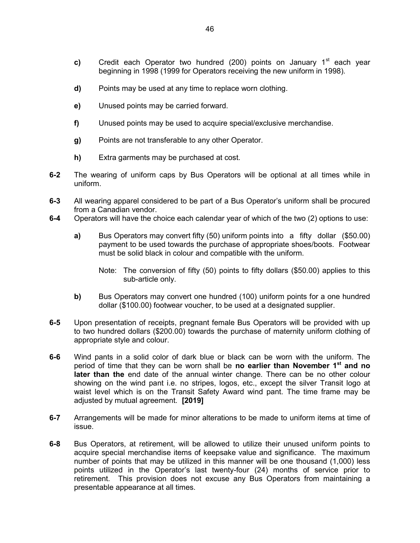- c) Credit each Operator two hundred (200) points on January  $1<sup>st</sup>$  each year beginning in 1998 (1999 for Operators receiving the new uniform in 1998).
- d) Points may be used at any time to replace worn clothing.
- e) Unused points may be carried forward.
- f) Unused points may be used to acquire special/exclusive merchandise.
- g) Points are not transferable to any other Operator.
- h) Extra garments may be purchased at cost.
- 6-2 The wearing of uniform caps by Bus Operators will be optional at all times while in uniform.
- 6-3 All wearing apparel considered to be part of a Bus Operator's uniform shall be procured from a Canadian vendor.
- 6-4 Operators will have the choice each calendar year of which of the two (2) options to use:
	- a) Bus Operators may convert fifty (50) uniform points into a fifty dollar (\$50.00) payment to be used towards the purchase of appropriate shoes/boots. Footwear must be solid black in colour and compatible with the uniform.
		- Note: The conversion of fifty (50) points to fifty dollars (\$50.00) applies to this sub-article only.
	- b) Bus Operators may convert one hundred (100) uniform points for a one hundred dollar (\$100.00) footwear voucher, to be used at a designated supplier.
- 6-5 Upon presentation of receipts, pregnant female Bus Operators will be provided with up to two hundred dollars (\$200.00) towards the purchase of maternity uniform clothing of appropriate style and colour.
- 6-6 Wind pants in a solid color of dark blue or black can be worn with the uniform. The period of time that they can be worn shall be no earlier than November 1<sup>st</sup> and no later than the end date of the annual winter change. There can be no other colour showing on the wind pant i.e. no stripes, logos, etc., except the silver Transit logo at waist level which is on the Transit Safety Award wind pant. The time frame may be adjusted by mutual agreement. **[2019]**
- 6-7 Arrangements will be made for minor alterations to be made to uniform items at time of issue.
- 6-8 Bus Operators, at retirement, will be allowed to utilize their unused uniform points to acquire special merchandise items of keepsake value and significance. The maximum number of points that may be utilized in this manner will be one thousand (1,000) less points utilized in the Operator's last twenty-four (24) months of service prior to retirement. This provision does not excuse any Bus Operators from maintaining a presentable appearance at all times.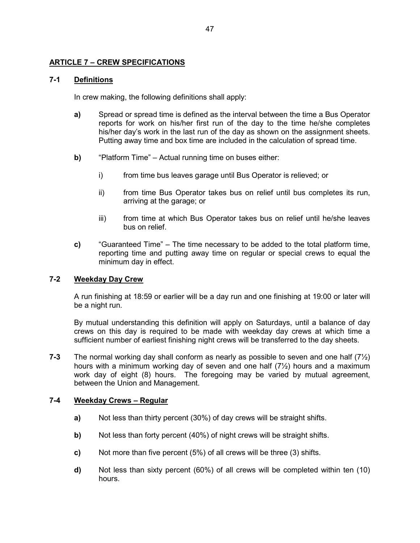# ARTICLE 7 – CREW SPECIFICATIONS

# 7-1 Definitions

In crew making, the following definitions shall apply:

- a) Spread or spread time is defined as the interval between the time a Bus Operator reports for work on his/her first run of the day to the time he/she completes his/her day's work in the last run of the day as shown on the assignment sheets. Putting away time and box time are included in the calculation of spread time.
- b) "Platform Time" Actual running time on buses either:
	- i) from time bus leaves garage until Bus Operator is relieved; or
	- ii) from time Bus Operator takes bus on relief until bus completes its run, arriving at the garage; or
	- iii) from time at which Bus Operator takes bus on relief until he/she leaves bus on relief.
- c) "Guaranteed Time" The time necessary to be added to the total platform time, reporting time and putting away time on regular or special crews to equal the minimum day in effect.

# 7-2 Weekday Day Crew

A run finishing at 18:59 or earlier will be a day run and one finishing at 19:00 or later will be a night run.

By mutual understanding this definition will apply on Saturdays, until a balance of day crews on this day is required to be made with weekday day crews at which time a sufficient number of earliest finishing night crews will be transferred to the day sheets.

**7-3** The normal working day shall conform as nearly as possible to seven and one half  $(7\frac{1}{2})$ hours with a minimum working day of seven and one half (7½) hours and a maximum work day of eight (8) hours. The foregoing may be varied by mutual agreement, between the Union and Management.

# 7-4 Weekday Crews – Regular

- a) Not less than thirty percent (30%) of day crews will be straight shifts.
- b) Not less than forty percent (40%) of night crews will be straight shifts.
- c) Not more than five percent (5%) of all crews will be three (3) shifts.
- d) Not less than sixty percent (60%) of all crews will be completed within ten (10) hours.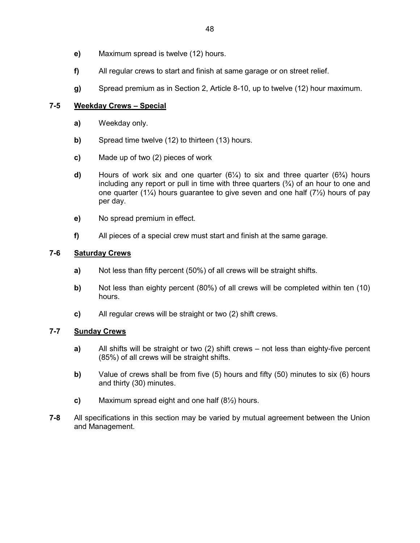- e) Maximum spread is twelve (12) hours.
- f) All regular crews to start and finish at same garage or on street relief.
- g) Spread premium as in Section 2, Article 8-10, up to twelve (12) hour maximum.

# 7-5 Weekday Crews – Special

- a) Weekday only.
- b) Spread time twelve (12) to thirteen (13) hours.
- c) Made up of two (2) pieces of work
- **d)** Hours of work six and one quarter  $(6\frac{1}{4})$  to six and three quarter  $(6\frac{3}{4})$  hours including any report or pull in time with three quarters  $(3/4)$  of an hour to one and one quarter (1¼) hours guarantee to give seven and one half (7½) hours of pay per day.
- e) No spread premium in effect.
- f) All pieces of a special crew must start and finish at the same garage.

# 7-6 Saturday Crews

- a) Not less than fifty percent (50%) of all crews will be straight shifts.
- b) Not less than eighty percent (80%) of all crews will be completed within ten (10) hours.
- c) All regular crews will be straight or two (2) shift crews.

# 7-7 Sunday Crews

- a) All shifts will be straight or two (2) shift crews not less than eighty-five percent (85%) of all crews will be straight shifts.
- b) Value of crews shall be from five  $(5)$  hours and fifty  $(50)$  minutes to six  $(6)$  hours and thirty (30) minutes.
- c) Maximum spread eight and one half (8½) hours.
- 7-8 All specifications in this section may be varied by mutual agreement between the Union and Management.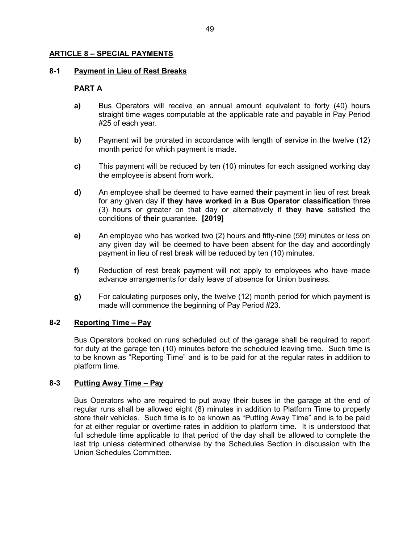## ARTICLE 8 – SPECIAL PAYMENTS

## 8-1 Payment in Lieu of Rest Breaks

## PART A

- a) Bus Operators will receive an annual amount equivalent to forty (40) hours straight time wages computable at the applicable rate and payable in Pay Period #25 of each year.
- b) Payment will be prorated in accordance with length of service in the twelve (12) month period for which payment is made.
- c) This payment will be reduced by ten (10) minutes for each assigned working day the employee is absent from work.
- d) An employee shall be deemed to have earned their payment in lieu of rest break for any given day if they have worked in a Bus Operator classification three (3) hours or greater on that day or alternatively if they have satisfied the conditions of their guarantee. [2019]
- e) An employee who has worked two (2) hours and fifty-nine (59) minutes or less on any given day will be deemed to have been absent for the day and accordingly payment in lieu of rest break will be reduced by ten (10) minutes.
- f) Reduction of rest break payment will not apply to employees who have made advance arrangements for daily leave of absence for Union business.
- g) For calculating purposes only, the twelve (12) month period for which payment is made will commence the beginning of Pay Period #23.

# 8-2 Reporting Time – Pay

Bus Operators booked on runs scheduled out of the garage shall be required to report for duty at the garage ten (10) minutes before the scheduled leaving time. Such time is to be known as "Reporting Time" and is to be paid for at the regular rates in addition to platform time.

# 8-3 Putting Away Time – Pay

Bus Operators who are required to put away their buses in the garage at the end of regular runs shall be allowed eight (8) minutes in addition to Platform Time to properly store their vehicles. Such time is to be known as "Putting Away Time" and is to be paid for at either regular or overtime rates in addition to platform time. It is understood that full schedule time applicable to that period of the day shall be allowed to complete the last trip unless determined otherwise by the Schedules Section in discussion with the Union Schedules Committee.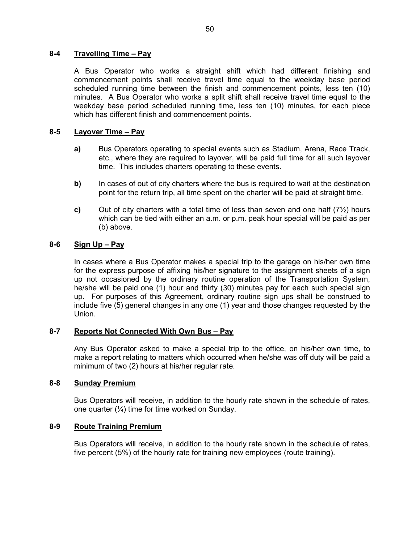## 8-4 Travelling Time – Pay

A Bus Operator who works a straight shift which had different finishing and commencement points shall receive travel time equal to the weekday base period scheduled running time between the finish and commencement points, less ten (10) minutes. A Bus Operator who works a split shift shall receive travel time equal to the weekday base period scheduled running time, less ten (10) minutes, for each piece which has different finish and commencement points.

# 8-5 Layover Time – Pay

- a) Bus Operators operating to special events such as Stadium, Arena, Race Track, etc., where they are required to layover, will be paid full time for all such layover time. This includes charters operating to these events.
- b) In cases of out of city charters where the bus is required to wait at the destination point for the return trip, all time spent on the charter will be paid at straight time.
- c) Out of city charters with a total time of less than seven and one half  $(7/2)$  hours which can be tied with either an a.m. or p.m. peak hour special will be paid as per (b) above.

## 8-6  $Sign Up - Pay$

In cases where a Bus Operator makes a special trip to the garage on his/her own time for the express purpose of affixing his/her signature to the assignment sheets of a sign up not occasioned by the ordinary routine operation of the Transportation System, he/she will be paid one (1) hour and thirty (30) minutes pay for each such special sign up. For purposes of this Agreement, ordinary routine sign ups shall be construed to include five (5) general changes in any one (1) year and those changes requested by the Union.

## 8-7 Reports Not Connected With Own Bus - Pay

Any Bus Operator asked to make a special trip to the office, on his/her own time, to make a report relating to matters which occurred when he/she was off duty will be paid a minimum of two (2) hours at his/her regular rate.

## 8-8 Sunday Premium

Bus Operators will receive, in addition to the hourly rate shown in the schedule of rates, one quarter  $(\frac{1}{4})$  time for time worked on Sunday.

## 8-9 Route Training Premium

Bus Operators will receive, in addition to the hourly rate shown in the schedule of rates, five percent (5%) of the hourly rate for training new employees (route training).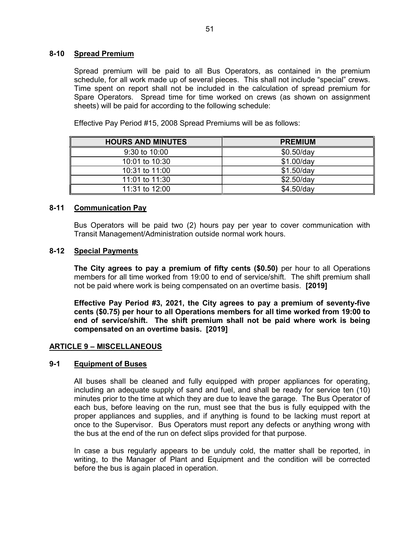## 8-10 Spread Premium

Spread premium will be paid to all Bus Operators, as contained in the premium schedule, for all work made up of several pieces. This shall not include "special" crews. Time spent on report shall not be included in the calculation of spread premium for Spare Operators. Spread time for time worked on crews (as shown on assignment sheets) will be paid for according to the following schedule:

Effective Pay Period #15, 2008 Spread Premiums will be as follows:

| <b>HOURS AND MINUTES</b> | <b>PREMIUM</b> |
|--------------------------|----------------|
| 9:30 to 10:00            | $$0.50$ /day   |
| 10:01 to 10:30           | $$1.00$ /day   |
| 10:31 to 11:00           | $$1.50$ /day   |
| 11:01 to 11:30           | $$2.50$ /day   |
| 11:31 to 12:00           | $$4.50$ /day   |

# 8-11 Communication Pay

Bus Operators will be paid two (2) hours pay per year to cover communication with Transit Management/Administration outside normal work hours.

## 8-12 Special Payments

The City agrees to pay a premium of fifty cents (\$0.50) per hour to all Operations members for all time worked from 19:00 to end of service/shift. The shift premium shall not be paid where work is being compensated on an overtime basis. [2019]

Effective Pay Period #3, 2021, the City agrees to pay a premium of seventy-five cents (\$0.75) per hour to all Operations members for all time worked from 19:00 to end of service/shift. The shift premium shall not be paid where work is being compensated on an overtime basis. [2019]

## ARTICLE 9 – MISCELLANEOUS

## 9-1 Equipment of Buses

All buses shall be cleaned and fully equipped with proper appliances for operating, including an adequate supply of sand and fuel, and shall be ready for service ten (10) minutes prior to the time at which they are due to leave the garage. The Bus Operator of each bus, before leaving on the run, must see that the bus is fully equipped with the proper appliances and supplies, and if anything is found to be lacking must report at once to the Supervisor. Bus Operators must report any defects or anything wrong with the bus at the end of the run on defect slips provided for that purpose.

In case a bus regularly appears to be unduly cold, the matter shall be reported, in writing, to the Manager of Plant and Equipment and the condition will be corrected before the bus is again placed in operation.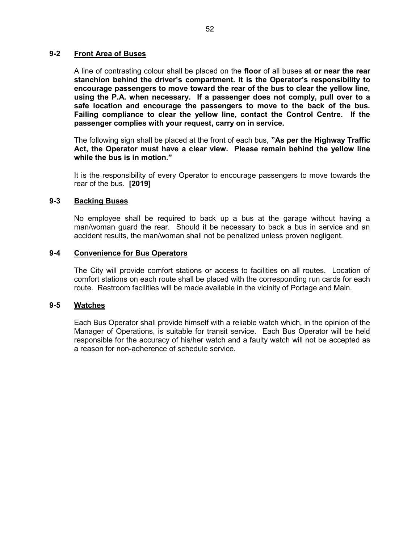## 9-2 Front Area of Buses

A line of contrasting colour shall be placed on the floor of all buses at or near the rear stanchion behind the driver's compartment. It is the Operator's responsibility to encourage passengers to move toward the rear of the bus to clear the yellow line, using the P.A. when necessary. If a passenger does not comply, pull over to a safe location and encourage the passengers to move to the back of the bus. Failing compliance to clear the yellow line, contact the Control Centre. If the passenger complies with your request, carry on in service.

The following sign shall be placed at the front of each bus, "As per the Highway Traffic Act, the Operator must have a clear view. Please remain behind the yellow line while the bus is in motion."

It is the responsibility of every Operator to encourage passengers to move towards the rear of the bus. [2019]

# 9-3 Backing Buses

No employee shall be required to back up a bus at the garage without having a man/woman guard the rear. Should it be necessary to back a bus in service and an accident results, the man/woman shall not be penalized unless proven negligent.

## 9-4 Convenience for Bus Operators

The City will provide comfort stations or access to facilities on all routes. Location of comfort stations on each route shall be placed with the corresponding run cards for each route. Restroom facilities will be made available in the vicinity of Portage and Main.

## 9-5 Watches

Each Bus Operator shall provide himself with a reliable watch which, in the opinion of the Manager of Operations, is suitable for transit service. Each Bus Operator will be held responsible for the accuracy of his/her watch and a faulty watch will not be accepted as a reason for non-adherence of schedule service.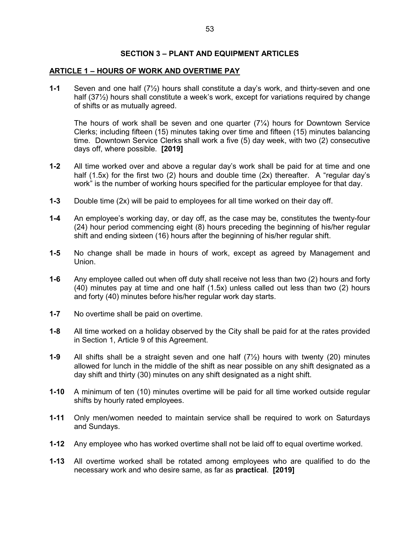## SECTION 3 – PLANT AND EQUIPMENT ARTICLES

## ARTICLE 1 – HOURS OF WORK AND OVERTIME PAY

1-1 Seven and one half (7½) hours shall constitute a day's work, and thirty-seven and one half (37<sup>1</sup>/<sub>2</sub>) hours shall constitute a week's work, except for variations required by change of shifts or as mutually agreed.

The hours of work shall be seven and one quarter (7¼) hours for Downtown Service Clerks; including fifteen (15) minutes taking over time and fifteen (15) minutes balancing time. Downtown Service Clerks shall work a five (5) day week, with two (2) consecutive days off, where possible. [2019]

- 1-2 All time worked over and above a regular day's work shall be paid for at time and one half (1.5x) for the first two (2) hours and double time (2x) thereafter. A "regular day's work" is the number of working hours specified for the particular employee for that day.
- **1-3** Double time  $(2x)$  will be paid to employees for all time worked on their day off.
- 1-4 An employee's working day, or day off, as the case may be, constitutes the twenty-four (24) hour period commencing eight (8) hours preceding the beginning of his/her regular shift and ending sixteen (16) hours after the beginning of his/her regular shift.
- 1-5 No change shall be made in hours of work, except as agreed by Management and Union.
- 1-6 Any employee called out when off duty shall receive not less than two (2) hours and forty (40) minutes pay at time and one half (1.5x) unless called out less than two (2) hours and forty (40) minutes before his/her regular work day starts.
- 1-7 No overtime shall be paid on overtime.
- 1-8 All time worked on a holiday observed by the City shall be paid for at the rates provided in Section 1, Article 9 of this Agreement.
- **1-9** All shifts shall be a straight seven and one half  $(7\frac{1}{2})$  hours with twenty (20) minutes allowed for lunch in the middle of the shift as near possible on any shift designated as a day shift and thirty (30) minutes on any shift designated as a night shift.
- 1-10 A minimum of ten (10) minutes overtime will be paid for all time worked outside regular shifts by hourly rated employees.
- 1-11 Only men/women needed to maintain service shall be required to work on Saturdays and Sundays.
- 1-12 Any employee who has worked overtime shall not be laid off to equal overtime worked.
- 1-13 All overtime worked shall be rotated among employees who are qualified to do the necessary work and who desire same, as far as practical. [2019]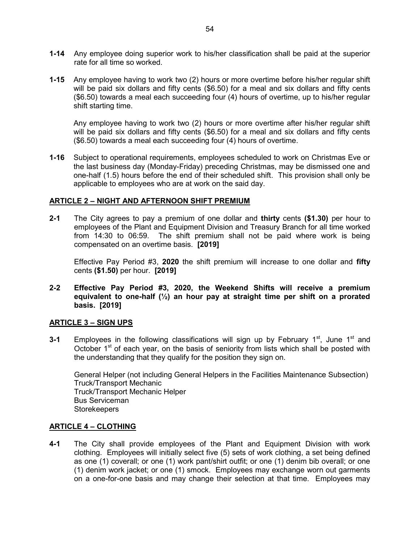- 1-14 Any employee doing superior work to his/her classification shall be paid at the superior rate for all time so worked.
- 1-15 Any employee having to work two (2) hours or more overtime before his/her regular shift will be paid six dollars and fifty cents (\$6.50) for a meal and six dollars and fifty cents (\$6.50) towards a meal each succeeding four (4) hours of overtime, up to his/her regular shift starting time.

Any employee having to work two (2) hours or more overtime after his/her regular shift will be paid six dollars and fifty cents (\$6.50) for a meal and six dollars and fifty cents (\$6.50) towards a meal each succeeding four (4) hours of overtime.

1-16 Subject to operational requirements, employees scheduled to work on Christmas Eve or the last business day (Monday-Friday) preceding Christmas, may be dismissed one and one-half (1.5) hours before the end of their scheduled shift. This provision shall only be applicable to employees who are at work on the said day.

# ARTICLE 2 – NIGHT AND AFTERNOON SHIFT PREMIUM

2-1 The City agrees to pay a premium of one dollar and thirty cents (\$1.30) per hour to employees of the Plant and Equipment Division and Treasury Branch for all time worked from 14:30 to 06:59. The shift premium shall not be paid where work is being compensated on an overtime basis. [2019]

Effective Pay Period #3, 2020 the shift premium will increase to one dollar and fifty cents (\$1.50) per hour. [2019]

2-2 Effective Pay Period #3, 2020, the Weekend Shifts will receive a premium equivalent to one-half  $(\frac{1}{2})$  an hour pay at straight time per shift on a prorated basis. [2019]

## ARTICLE 3 – SIGN UPS

3-1 Employees in the following classifications will sign up by February  $1<sup>st</sup>$ , June  $1<sup>st</sup>$  and October  $1<sup>st</sup>$  of each year, on the basis of seniority from lists which shall be posted with the understanding that they qualify for the position they sign on.

General Helper (not including General Helpers in the Facilities Maintenance Subsection) Truck/Transport Mechanic Truck/Transport Mechanic Helper Bus Serviceman **Storekeepers** 

## ARTICLE 4 – CLOTHING

4-1 The City shall provide employees of the Plant and Equipment Division with work clothing. Employees will initially select five (5) sets of work clothing, a set being defined as one (1) coverall; or one (1) work pant/shirt outfit; or one (1) denim bib overall; or one (1) denim work jacket; or one (1) smock. Employees may exchange worn out garments on a one-for-one basis and may change their selection at that time. Employees may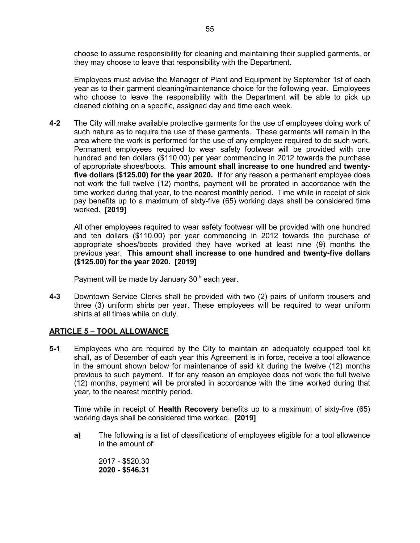choose to assume responsibility for cleaning and maintaining their supplied garments, or they may choose to leave that responsibility with the Department.

Employees must advise the Manager of Plant and Equipment by September 1st of each year as to their garment cleaning/maintenance choice for the following year. Employees who choose to leave the responsibility with the Department will be able to pick up cleaned clothing on a specific, assigned day and time each week.

4-2 The City will make available protective garments for the use of employees doing work of such nature as to require the use of these garments. These garments will remain in the area where the work is performed for the use of any employee required to do such work. Permanent employees required to wear safety footwear will be provided with one hundred and ten dollars (\$110.00) per year commencing in 2012 towards the purchase of appropriate shoes/boots. This amount shall increase to one hundred and twentyfive dollars (\$125.00) for the year 2020. If for any reason a permanent employee does not work the full twelve (12) months, payment will be prorated in accordance with the time worked during that year, to the nearest monthly period. Time while in receipt of sick pay benefits up to a maximum of sixty-five (65) working days shall be considered time worked. [2019]

 All other employees required to wear safety footwear will be provided with one hundred and ten dollars (\$110.00) per year commencing in 2012 towards the purchase of appropriate shoes/boots provided they have worked at least nine (9) months the previous year. This amount shall increase to one hundred and twenty-five dollars (\$125.00) for the year 2020. [2019]

Payment will be made by January  $30<sup>th</sup>$  each year.

4-3 Downtown Service Clerks shall be provided with two (2) pairs of uniform trousers and three (3) uniform shirts per year. These employees will be required to wear uniform shirts at all times while on duty.

# ARTICLE 5 – TOOL ALLOWANCE

5-1 Employees who are required by the City to maintain an adequately equipped tool kit shall, as of December of each year this Agreement is in force, receive a tool allowance in the amount shown below for maintenance of said kit during the twelve (12) months previous to such payment. If for any reason an employee does not work the full twelve (12) months, payment will be prorated in accordance with the time worked during that year, to the nearest monthly period.

Time while in receipt of **Health Recovery** benefits up to a maximum of sixty-five (65) working days shall be considered time worked. [2019]

a) The following is a list of classifications of employees eligible for a tool allowance in the amount of:

2017 - \$520.30 2020 - \$546.31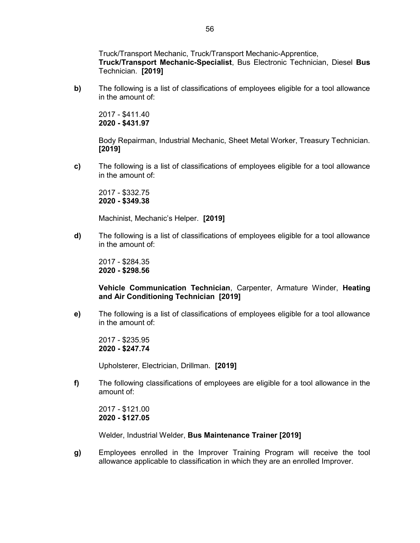Truck/Transport Mechanic, Truck/Transport Mechanic-Apprentice, Truck/Transport Mechanic-Specialist, Bus Electronic Technician, Diesel Bus Technician. [2019]

b) The following is a list of classifications of employees eligible for a tool allowance in the amount of:

2017 - \$411.40 2020 - \$431.97

Body Repairman, Industrial Mechanic, Sheet Metal Worker, Treasury Technician. [2019]

c) The following is a list of classifications of employees eligible for a tool allowance in the amount of:

2017 - \$332.75 2020 - \$349.38

Machinist, Mechanic's Helper. [2019]

d) The following is a list of classifications of employees eligible for a tool allowance in the amount of:

2017 - \$284.35 2020 - \$298.56

## Vehicle Communication Technician, Carpenter, Armature Winder, Heating and Air Conditioning Technician [2019]

e) The following is a list of classifications of employees eligible for a tool allowance in the amount of:

2017 - \$235.95 2020 - \$247.74

Upholsterer, Electrician, Drillman. [2019]

f) The following classifications of employees are eligible for a tool allowance in the amount of:

 2017 - \$121.00 2020 - \$127.05

Welder, Industrial Welder, Bus Maintenance Trainer [2019]

g) Employees enrolled in the Improver Training Program will receive the tool allowance applicable to classification in which they are an enrolled Improver.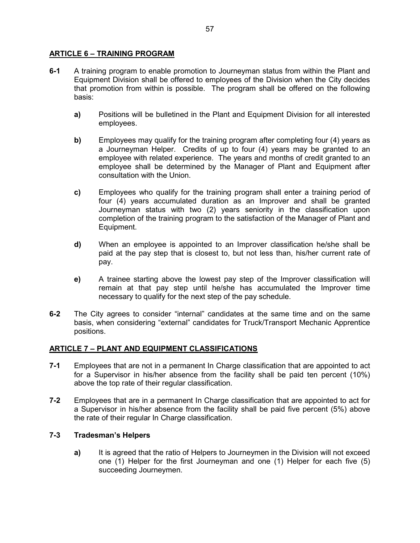# ARTICLE 6 – TRAINING PROGRAM

- 6-1 A training program to enable promotion to Journeyman status from within the Plant and Equipment Division shall be offered to employees of the Division when the City decides that promotion from within is possible. The program shall be offered on the following basis:
	- a) Positions will be bulletined in the Plant and Equipment Division for all interested employees.
	- b) Employees may qualify for the training program after completing four (4) years as a Journeyman Helper. Credits of up to four (4) years may be granted to an employee with related experience. The years and months of credit granted to an employee shall be determined by the Manager of Plant and Equipment after consultation with the Union.
	- c) Employees who qualify for the training program shall enter a training period of four (4) years accumulated duration as an Improver and shall be granted Journeyman status with two (2) years seniority in the classification upon completion of the training program to the satisfaction of the Manager of Plant and Equipment.
	- d) When an employee is appointed to an Improver classification he/she shall be paid at the pay step that is closest to, but not less than, his/her current rate of pay.
	- e) A trainee starting above the lowest pay step of the Improver classification will remain at that pay step until he/she has accumulated the Improver time necessary to qualify for the next step of the pay schedule.
- 6-2 The City agrees to consider "internal" candidates at the same time and on the same basis, when considering "external" candidates for Truck/Transport Mechanic Apprentice positions.

# ARTICLE 7 – PLANT AND EQUIPMENT CLASSIFICATIONS

- 7-1 Employees that are not in a permanent In Charge classification that are appointed to act for a Supervisor in his/her absence from the facility shall be paid ten percent (10%) above the top rate of their regular classification.
- 7-2 Employees that are in a permanent In Charge classification that are appointed to act for a Supervisor in his/her absence from the facility shall be paid five percent (5%) above the rate of their regular In Charge classification.

# 7-3 Tradesman's Helpers

a) It is agreed that the ratio of Helpers to Journeymen in the Division will not exceed one (1) Helper for the first Journeyman and one (1) Helper for each five (5) succeeding Journeymen.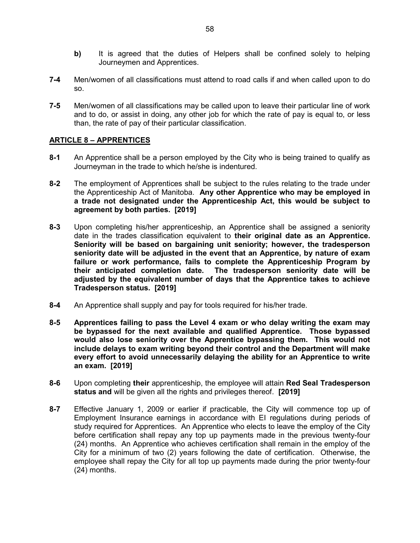- b) It is agreed that the duties of Helpers shall be confined solely to helping Journeymen and Apprentices.
- 7-4 Men/women of all classifications must attend to road calls if and when called upon to do so.
- 7-5 Men/women of all classifications may be called upon to leave their particular line of work and to do, or assist in doing, any other job for which the rate of pay is equal to, or less than, the rate of pay of their particular classification.

# ARTICLE 8 – APPRENTICES

- 8-1 An Apprentice shall be a person employed by the City who is being trained to qualify as Journeyman in the trade to which he/she is indentured.
- 8-2 The employment of Apprentices shall be subject to the rules relating to the trade under the Apprenticeship Act of Manitoba. Any other Apprentice who may be employed in a trade not designated under the Apprenticeship Act, this would be subject to agreement by both parties. [2019]
- 8-3 Upon completing his/her apprenticeship, an Apprentice shall be assigned a seniority date in the trades classification equivalent to their original date as an Apprentice. Seniority will be based on bargaining unit seniority; however, the tradesperson seniority date will be adjusted in the event that an Apprentice, by nature of exam failure or work performance, fails to complete the Apprenticeship Program by their anticipated completion date. The tradesperson seniority date will be adjusted by the equivalent number of days that the Apprentice takes to achieve Tradesperson status. [2019]
- 8-4 An Apprentice shall supply and pay for tools required for his/her trade.
- 8-5 Apprentices failing to pass the Level 4 exam or who delay writing the exam may be bypassed for the next available and qualified Apprentice. Those bypassed would also lose seniority over the Apprentice bypassing them. This would not include delays to exam writing beyond their control and the Department will make every effort to avoid unnecessarily delaying the ability for an Apprentice to write an exam. [2019]
- 8-6 Upon completing their apprenticeship, the employee will attain Red Seal Tradesperson status and will be given all the rights and privileges thereof. [2019]
- 8-7 Effective January 1, 2009 or earlier if practicable, the City will commence top up of Employment Insurance earnings in accordance with EI regulations during periods of study required for Apprentices. An Apprentice who elects to leave the employ of the City before certification shall repay any top up payments made in the previous twenty-four (24) months. An Apprentice who achieves certification shall remain in the employ of the City for a minimum of two (2) years following the date of certification. Otherwise, the employee shall repay the City for all top up payments made during the prior twenty-four (24) months.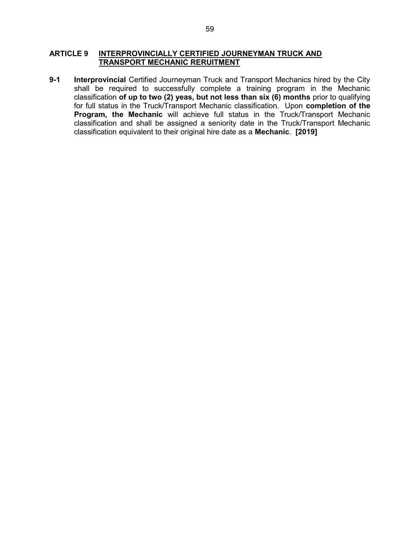# ARTICLE 9 INTERPROVINCIALLY CERTIFIED JOURNEYMAN TRUCK AND TRANSPORT MECHANIC RERUITMENT

9-1 Interprovincial Certified Journeyman Truck and Transport Mechanics hired by the City shall be required to successfully complete a training program in the Mechanic classification of up to two (2) yeas, but not less than six (6) months prior to qualifying for full status in the Truck/Transport Mechanic classification. Upon completion of the Program, the Mechanic will achieve full status in the Truck/Transport Mechanic classification and shall be assigned a seniority date in the Truck/Transport Mechanic classification equivalent to their original hire date as a Mechanic. [2019]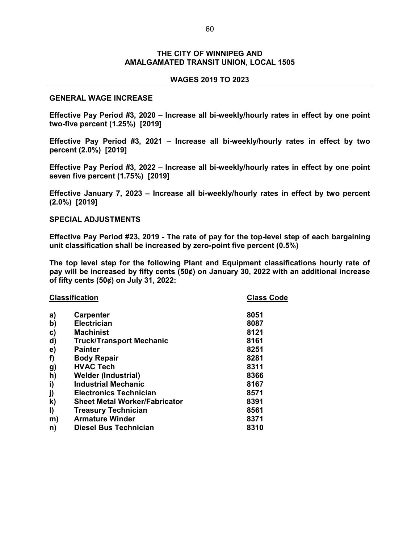## THE CITY OF WINNIPEG AND AMALGAMATED TRANSIT UNION, LOCAL 1505

### WAGES 2019 TO 2023

### GENERAL WAGE INCREASE

Effective Pay Period #3, 2020 – Increase all bi-weekly/hourly rates in effect by one point two-five percent (1.25%) [2019]

Effective Pay Period #3, 2021 – Increase all bi-weekly/hourly rates in effect by two percent (2.0%) [2019]

Effective Pay Period #3, 2022 – Increase all bi-weekly/hourly rates in effect by one point seven five percent (1.75%) [2019]

Effective January 7, 2023 – Increase all bi-weekly/hourly rates in effect by two percent (2.0%) [2019]

### SPECIAL ADJUSTMENTS

Effective Pay Period #23, 2019 - The rate of pay for the top-level step of each bargaining unit classification shall be increased by zero-point five percent (0.5%)

The top level step for the following Plant and Equipment classifications hourly rate of pay will be increased by fifty cents (50¢) on January 30, 2022 with an additional increase of fifty cents (50¢) on July 31, 2022:

| <b>Classification</b> |                                      | <b>Class Code</b> |
|-----------------------|--------------------------------------|-------------------|
| a)                    | <b>Carpenter</b>                     | 8051              |
| $\mathbf{b}$          | <b>Electrician</b>                   | 8087              |
| C)                    | <b>Machinist</b>                     | 8121              |
| d)                    | <b>Truck/Transport Mechanic</b>      | 8161              |
| $\mathbf{e})$         | <b>Painter</b>                       | 8251              |
| f)                    | <b>Body Repair</b>                   | 8281              |
| g)                    | <b>HVAC Tech</b>                     | 8311              |
| h)                    | <b>Welder (Industrial)</b>           | 8366              |
| i)                    | <b>Industrial Mechanic</b>           | 8167              |
| j)                    | <b>Electronics Technician</b>        | 8571              |
| k)                    | <b>Sheet Metal Worker/Fabricator</b> | 8391              |
| I)                    | <b>Treasury Technician</b>           | 8561              |
| m)                    | <b>Armature Winder</b>               | 8371              |
| n)                    | Diesel Bus Technician                | 8310              |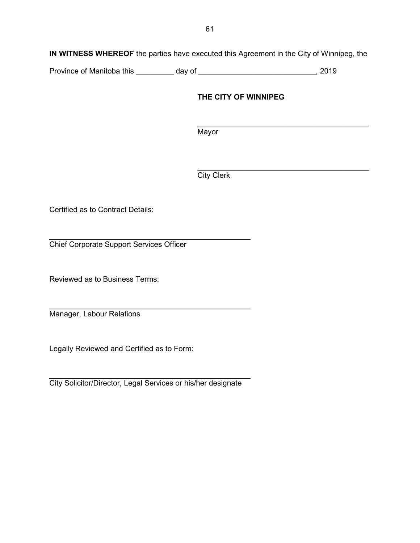Province of Manitoba this \_\_\_\_\_\_\_\_ day of \_\_\_\_\_\_\_\_\_\_\_\_\_\_\_\_\_\_\_\_\_\_\_\_\_\_\_\_, 2019

# THE CITY OF WINNIPEG

 $\mathcal{L}_\text{max}$  , which is a set of the set of the set of the set of the set of the set of the set of the set of the set of the set of the set of the set of the set of the set of the set of the set of the set of the set of Mayor

 $\mathcal{L}_\mathcal{L} = \mathcal{L}_\mathcal{L} = \mathcal{L}_\mathcal{L} = \mathcal{L}_\mathcal{L} = \mathcal{L}_\mathcal{L} = \mathcal{L}_\mathcal{L} = \mathcal{L}_\mathcal{L} = \mathcal{L}_\mathcal{L} = \mathcal{L}_\mathcal{L} = \mathcal{L}_\mathcal{L} = \mathcal{L}_\mathcal{L} = \mathcal{L}_\mathcal{L} = \mathcal{L}_\mathcal{L} = \mathcal{L}_\mathcal{L} = \mathcal{L}_\mathcal{L} = \mathcal{L}_\mathcal{L} = \mathcal{L}_\mathcal{L}$ **City Clerk** 

Certified as to Contract Details:

 $\mathcal{L}_\text{max}$  , and the contract of the contract of the contract of the contract of the contract of the contract of the contract of the contract of the contract of the contract of the contract of the contract of the contr Chief Corporate Support Services Officer

Reviewed as to Business Terms:

Manager, Labour Relations

Legally Reviewed and Certified as to Form:

City Solicitor/Director, Legal Services or his/her designate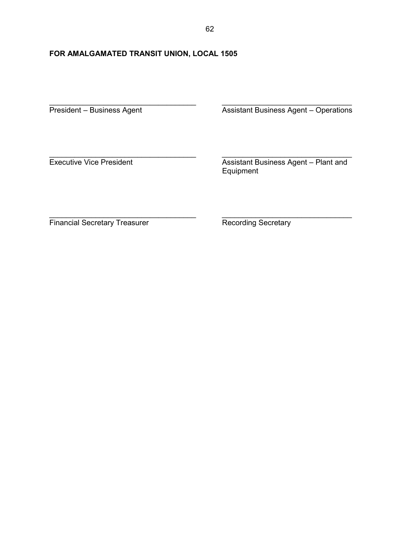# FOR AMALGAMATED TRANSIT UNION, LOCAL 1505

President – Business Agent **Assistant Business Agent – Operations** 

Executive Vice President **Assistant Business Agent – Plant and** Equipment

Financial Secretary Treasurer **Recording Secretary** 

\_\_\_\_\_\_\_\_\_\_\_\_\_\_\_\_\_\_\_\_\_\_\_\_\_\_\_\_\_\_\_\_\_\_\_ \_\_\_\_\_\_\_\_\_\_\_\_\_\_\_\_\_\_\_\_\_\_\_\_\_\_\_\_\_\_\_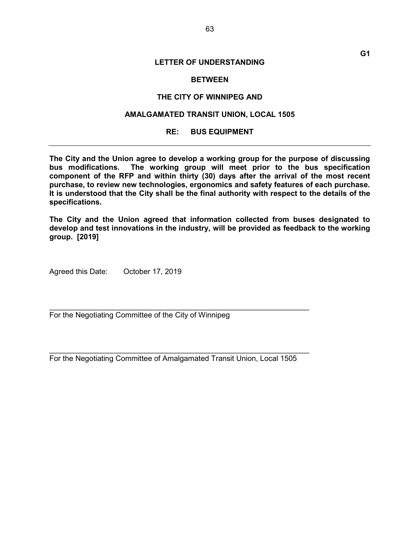### **BETWEEN**

### THE CITY OF WINNIPEG AND

## AMALGAMATED TRANSIT UNION, LOCAL 1505

### RE: BUS EQUIPMENT

The City and the Union agree to develop a working group for the purpose of discussing bus modifications. The working group will meet prior to the bus specification component of the RFP and within thirty (30) days after the arrival of the most recent purchase, to review new technologies, ergonomics and safety features of each purchase. It is understood that the City shall be the final authority with respect to the details of the specifications.

The City and the Union agreed that information collected from buses designated to develop and test innovations in the industry, will be provided as feedback to the working group. [2019]

Agreed this Date: October 17, 2019

For the Negotiating Committee of the City of Winnipeg

For the Negotiating Committee of Amalgamated Transit Union, Local 1505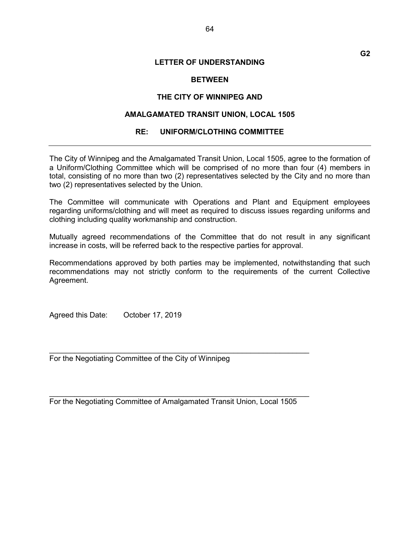## **BETWEEN**

## THE CITY OF WINNIPEG AND

## AMALGAMATED TRANSIT UNION, LOCAL 1505

## RE: UNIFORM/CLOTHING COMMITTEE

The City of Winnipeg and the Amalgamated Transit Union, Local 1505, agree to the formation of a Uniform/Clothing Committee which will be comprised of no more than four (4) members in total, consisting of no more than two (2) representatives selected by the City and no more than two (2) representatives selected by the Union.

The Committee will communicate with Operations and Plant and Equipment employees regarding uniforms/clothing and will meet as required to discuss issues regarding uniforms and clothing including quality workmanship and construction.

Mutually agreed recommendations of the Committee that do not result in any significant increase in costs, will be referred back to the respective parties for approval.

Recommendations approved by both parties may be implemented, notwithstanding that such recommendations may not strictly conform to the requirements of the current Collective Agreement.

Agreed this Date: October 17, 2019

For the Negotiating Committee of the City of Winnipeg

For the Negotiating Committee of Amalgamated Transit Union, Local 1505

 $\mathcal{L}_\text{max}$  , and the contract of the contract of the contract of the contract of the contract of the contract of the contract of the contract of the contract of the contract of the contract of the contract of the contr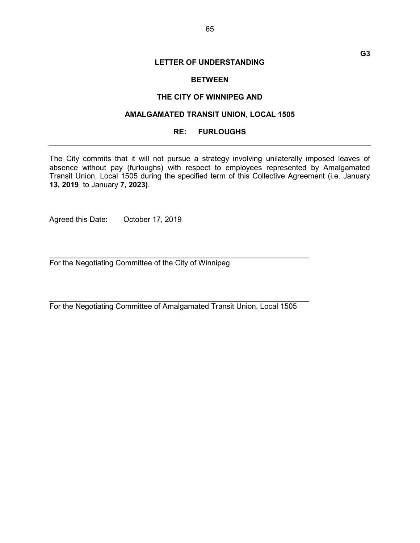## **BETWEEN**

### THE CITY OF WINNIPEG AND

## AMALGAMATED TRANSIT UNION, LOCAL 1505

### RE: FURLOUGHS

The City commits that it will not pursue a strategy involving unilaterally imposed leaves of absence without pay (furloughs) with respect to employees represented by Amalgamated Transit Union, Local 1505 during the specified term of this Collective Agreement (i.e. January 13, 2019 to January 7, 2023).

Agreed this Date: October 17, 2019

For the Negotiating Committee of the City of Winnipeg

For the Negotiating Committee of Amalgamated Transit Union, Local 1505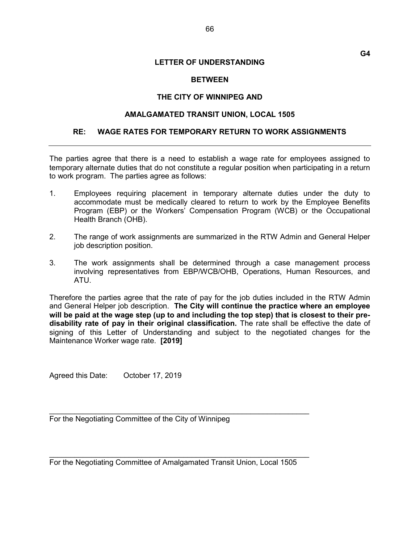G4

## **BETWEEN**

## THE CITY OF WINNIPEG AND

## AMALGAMATED TRANSIT UNION, LOCAL 1505

## RE: WAGE RATES FOR TEMPORARY RETURN TO WORK ASSIGNMENTS

The parties agree that there is a need to establish a wage rate for employees assigned to temporary alternate duties that do not constitute a regular position when participating in a return to work program. The parties agree as follows:

- 1. Employees requiring placement in temporary alternate duties under the duty to accommodate must be medically cleared to return to work by the Employee Benefits Program (EBP) or the Workers' Compensation Program (WCB) or the Occupational Health Branch (OHB).
- 2. The range of work assignments are summarized in the RTW Admin and General Helper job description position.
- 3. The work assignments shall be determined through a case management process involving representatives from EBP/WCB/OHB, Operations, Human Resources, and ATU.

Therefore the parties agree that the rate of pay for the job duties included in the RTW Admin and General Helper job description. The City will continue the practice where an employee will be paid at the wage step (up to and including the top step) that is closest to their predisability rate of pay in their original classification. The rate shall be effective the date of signing of this Letter of Understanding and subject to the negotiated changes for the Maintenance Worker wage rate. [2019]

Agreed this Date: October 17, 2019

For the Negotiating Committee of the City of Winnipeg

For the Negotiating Committee of Amalgamated Transit Union, Local 1505

 $\mathcal{L}_\text{max}$  , and the contract of the contract of the contract of the contract of the contract of the contract of the contract of the contract of the contract of the contract of the contract of the contract of the contr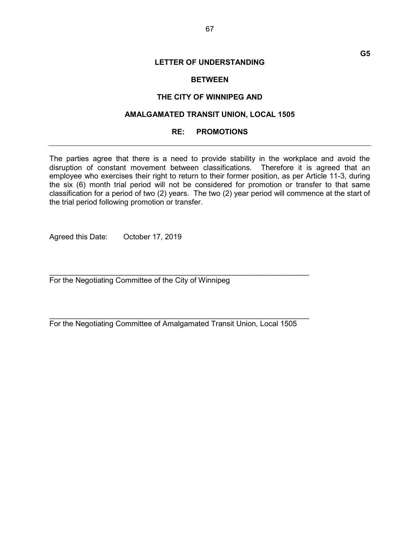## **BETWEEN**

### THE CITY OF WINNIPEG AND

## AMALGAMATED TRANSIT UNION, LOCAL 1505

### RE: PROMOTIONS

The parties agree that there is a need to provide stability in the workplace and avoid the disruption of constant movement between classifications. Therefore it is agreed that an employee who exercises their right to return to their former position, as per Article 11-3, during the six (6) month trial period will not be considered for promotion or transfer to that same classification for a period of two (2) years. The two (2) year period will commence at the start of the trial period following promotion or transfer.

Agreed this Date: October 17, 2019

For the Negotiating Committee of the City of Winnipeg

For the Negotiating Committee of Amalgamated Transit Union, Local 1505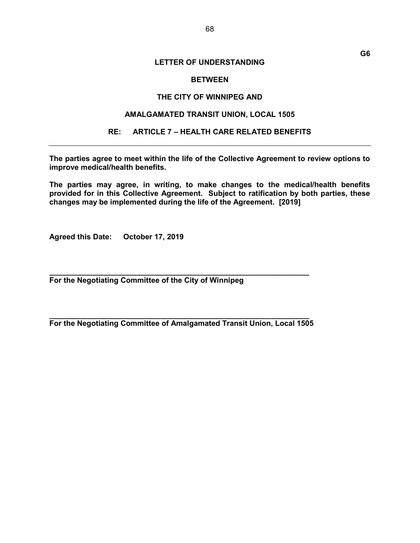## **BETWEEN**

### THE CITY OF WINNIPEG AND

### AMALGAMATED TRANSIT UNION, LOCAL 1505

### RE: ARTICLE 7 – HEALTH CARE RELATED BENEFITS

The parties agree to meet within the life of the Collective Agreement to review options to improve medical/health benefits.

The parties may agree, in writing, to make changes to the medical/health benefits provided for in this Collective Agreement. Subject to ratification by both parties, these changes may be implemented during the life of the Agreement. [2019]

Agreed this Date: October 17, 2019

For the Negotiating Committee of the City of Winnipeg

 $\_$  , and the set of the set of the set of the set of the set of the set of the set of the set of the set of the set of the set of the set of the set of the set of the set of the set of the set of the set of the set of th For the Negotiating Committee of Amalgamated Transit Union, Local 1505

 $\_$  , and the set of the set of the set of the set of the set of the set of the set of the set of the set of the set of the set of the set of the set of the set of the set of the set of the set of the set of the set of th

G6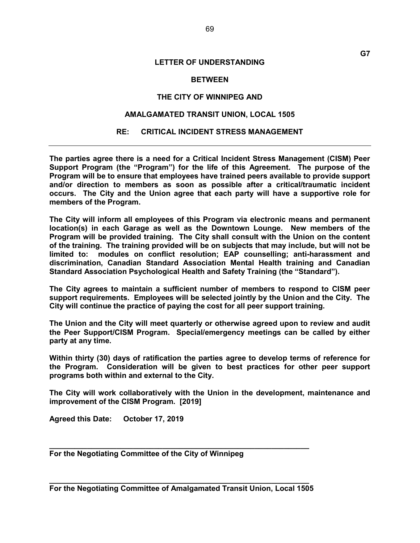### **BETWEEN**

### THE CITY OF WINNIPEG AND

## AMALGAMATED TRANSIT UNION, LOCAL 1505

### RE: CRITICAL INCIDENT STRESS MANAGEMENT

The parties agree there is a need for a Critical Incident Stress Management (CISM) Peer Support Program (the "Program") for the life of this Agreement. The purpose of the Program will be to ensure that employees have trained peers available to provide support and/or direction to members as soon as possible after a critical/traumatic incident occurs. The City and the Union agree that each party will have a supportive role for members of the Program.

The City will inform all employees of this Program via electronic means and permanent location(s) in each Garage as well as the Downtown Lounge. New members of the Program will be provided training. The City shall consult with the Union on the content of the training. The training provided will be on subjects that may include, but will not be limited to: modules on conflict resolution; EAP counselling; anti-harassment and discrimination, Canadian Standard Association Mental Health training and Canadian Standard Association Psychological Health and Safety Training (the "Standard").

The City agrees to maintain a sufficient number of members to respond to CISM peer support requirements. Employees will be selected jointly by the Union and the City. The City will continue the practice of paying the cost for all peer support training.

The Union and the City will meet quarterly or otherwise agreed upon to review and audit the Peer Support/CISM Program. Special/emergency meetings can be called by either party at any time.

Within thirty (30) days of ratification the parties agree to develop terms of reference for the Program. Consideration will be given to best practices for other peer support programs both within and external to the City.

The City will work collaboratively with the Union in the development, maintenance and improvement of the CISM Program. [2019]

Agreed this Date: October 17, 2019

For the Negotiating Committee of the City of Winnipeg

 $\_$  , and the set of the set of the set of the set of the set of the set of the set of the set of the set of the set of the set of the set of the set of the set of the set of the set of the set of the set of the set of th For the Negotiating Committee of Amalgamated Transit Union, Local 1505

 $\_$  , and the set of the set of the set of the set of the set of the set of the set of the set of the set of the set of the set of the set of the set of the set of the set of the set of the set of the set of the set of th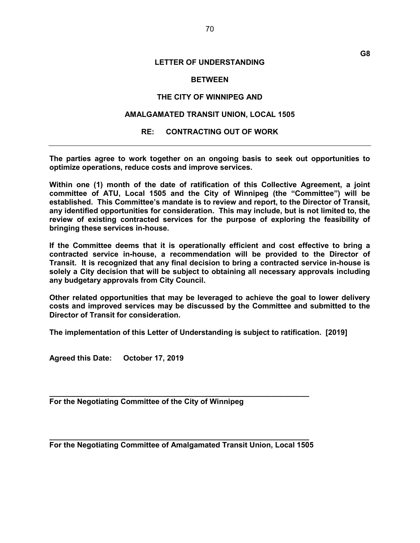### **BETWEEN**

### THE CITY OF WINNIPEG AND

### AMALGAMATED TRANSIT UNION, LOCAL 1505

### RE: CONTRACTING OUT OF WORK

The parties agree to work together on an ongoing basis to seek out opportunities to optimize operations, reduce costs and improve services.

Within one (1) month of the date of ratification of this Collective Agreement, a joint committee of ATU, Local 1505 and the City of Winnipeg (the "Committee") will be established. This Committee's mandate is to review and report, to the Director of Transit, any identified opportunities for consideration. This may include, but is not limited to, the review of existing contracted services for the purpose of exploring the feasibility of bringing these services in-house.

If the Committee deems that it is operationally efficient and cost effective to bring a contracted service in-house, a recommendation will be provided to the Director of Transit. It is recognized that any final decision to bring a contracted service in-house is solely a City decision that will be subject to obtaining all necessary approvals including any budgetary approvals from City Council.

Other related opportunities that may be leveraged to achieve the goal to lower delivery costs and improved services may be discussed by the Committee and submitted to the Director of Transit for consideration.

The implementation of this Letter of Understanding is subject to ratification. [2019]

Agreed this Date: October 17, 2019

For the Negotiating Committee of the City of Winnipeg

 $\_$  , and the set of the set of the set of the set of the set of the set of the set of the set of the set of the set of the set of the set of the set of the set of the set of the set of the set of the set of the set of th For the Negotiating Committee of Amalgamated Transit Union, Local 1505

 $\_$  , and the set of the set of the set of the set of the set of the set of the set of the set of the set of the set of the set of the set of the set of the set of the set of the set of the set of the set of the set of th

G8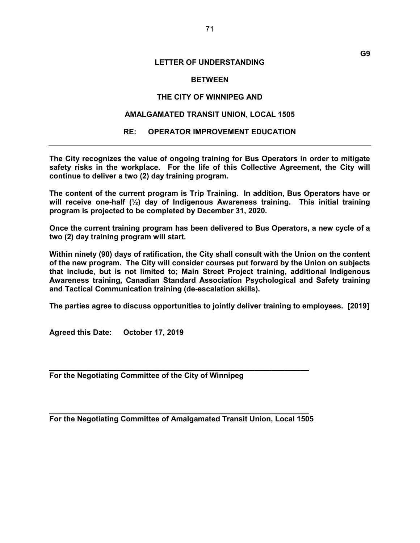### **BETWEEN**

### THE CITY OF WINNIPEG AND

## AMALGAMATED TRANSIT UNION, LOCAL 1505

### RE: OPERATOR IMPROVEMENT EDUCATION

The City recognizes the value of ongoing training for Bus Operators in order to mitigate safety risks in the workplace. For the life of this Collective Agreement, the City will continue to deliver a two (2) day training program.

The content of the current program is Trip Training. In addition, Bus Operators have or will receive one-half ( $\frac{1}{2}$ ) day of Indigenous Awareness training. This initial training program is projected to be completed by December 31, 2020.

Once the current training program has been delivered to Bus Operators, a new cycle of a two (2) day training program will start.

Within ninety (90) days of ratification, the City shall consult with the Union on the content of the new program. The City will consider courses put forward by the Union on subjects that include, but is not limited to; Main Street Project training, additional Indigenous Awareness training, Canadian Standard Association Psychological and Safety training and Tactical Communication training (de-escalation skills).

The parties agree to discuss opportunities to jointly deliver training to employees. [2019]

Agreed this Date: October 17, 2019

For the Negotiating Committee of the City of Winnipeg

 $\_$  , and the set of the set of the set of the set of the set of the set of the set of the set of the set of the set of the set of the set of the set of the set of the set of the set of the set of the set of the set of th For the Negotiating Committee of Amalgamated Transit Union, Local 1505

 $\_$  , and the set of the set of the set of the set of the set of the set of the set of the set of the set of the set of the set of the set of the set of the set of the set of the set of the set of the set of the set of th

G9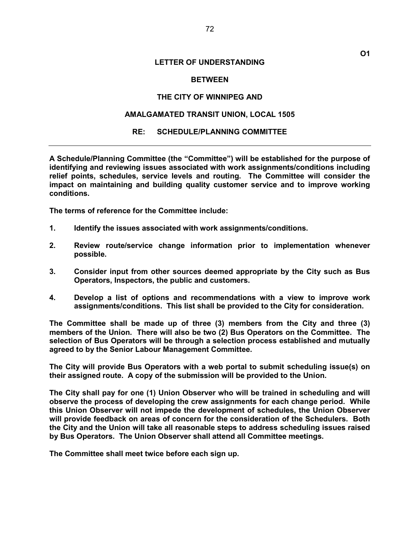### **BETWEEN**

### THE CITY OF WINNIPEG AND

## AMALGAMATED TRANSIT UNION, LOCAL 1505

### RE: SCHEDULE/PLANNING COMMITTEE

A Schedule/Planning Committee (the "Committee") will be established for the purpose of identifying and reviewing issues associated with work assignments/conditions including relief points, schedules, service levels and routing. The Committee will consider the impact on maintaining and building quality customer service and to improve working conditions.

The terms of reference for the Committee include:

- 1. Identify the issues associated with work assignments/conditions.
- 2. Review route/service change information prior to implementation whenever possible.
- 3. Consider input from other sources deemed appropriate by the City such as Bus Operators, Inspectors, the public and customers.
- 4. Develop a list of options and recommendations with a view to improve work assignments/conditions. This list shall be provided to the City for consideration.

The Committee shall be made up of three (3) members from the City and three (3) members of the Union. There will also be two (2) Bus Operators on the Committee. The selection of Bus Operators will be through a selection process established and mutually agreed to by the Senior Labour Management Committee.

The City will provide Bus Operators with a web portal to submit scheduling issue(s) on their assigned route. A copy of the submission will be provided to the Union.

The City shall pay for one (1) Union Observer who will be trained in scheduling and will observe the process of developing the crew assignments for each change period. While this Union Observer will not impede the development of schedules, the Union Observer will provide feedback on areas of concern for the consideration of the Schedulers. Both the City and the Union will take all reasonable steps to address scheduling issues raised by Bus Operators. The Union Observer shall attend all Committee meetings.

The Committee shall meet twice before each sign up.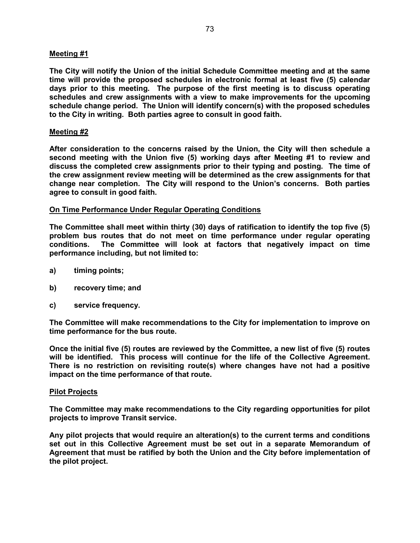# Meeting #1

The City will notify the Union of the initial Schedule Committee meeting and at the same time will provide the proposed schedules in electronic formal at least five (5) calendar days prior to this meeting. The purpose of the first meeting is to discuss operating schedules and crew assignments with a view to make improvements for the upcoming schedule change period. The Union will identify concern(s) with the proposed schedules to the City in writing. Both parties agree to consult in good faith.

# Meeting #2

After consideration to the concerns raised by the Union, the City will then schedule a second meeting with the Union five (5) working days after Meeting #1 to review and discuss the completed crew assignments prior to their typing and posting. The time of the crew assignment review meeting will be determined as the crew assignments for that change near completion. The City will respond to the Union's concerns. Both parties agree to consult in good faith.

## On Time Performance Under Regular Operating Conditions

The Committee shall meet within thirty (30) days of ratification to identify the top five (5) problem bus routes that do not meet on time performance under regular operating conditions. The Committee will look at factors that negatively impact on time performance including, but not limited to:

- a) timing points;
- b) recovery time; and
- c) service frequency.

The Committee will make recommendations to the City for implementation to improve on time performance for the bus route.

Once the initial five (5) routes are reviewed by the Committee, a new list of five (5) routes will be identified. This process will continue for the life of the Collective Agreement. There is no restriction on revisiting route(s) where changes have not had a positive impact on the time performance of that route.

## Pilot Projects

The Committee may make recommendations to the City regarding opportunities for pilot projects to improve Transit service.

Any pilot projects that would require an alteration(s) to the current terms and conditions set out in this Collective Agreement must be set out in a separate Memorandum of Agreement that must be ratified by both the Union and the City before implementation of the pilot project.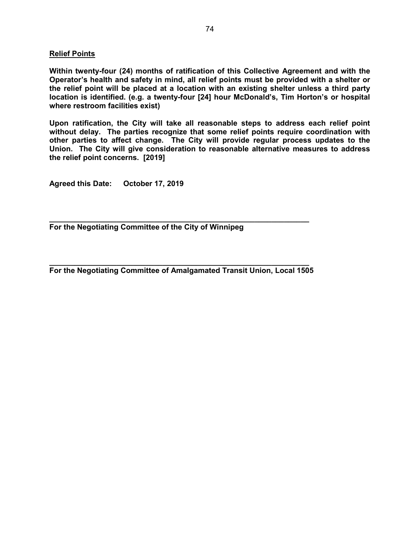# Relief Points

Within twenty-four (24) months of ratification of this Collective Agreement and with the Operator's health and safety in mind, all relief points must be provided with a shelter or the relief point will be placed at a location with an existing shelter unless a third party location is identified. (e.g. a twenty-four [24] hour McDonald's, Tim Horton's or hospital where restroom facilities exist)

Upon ratification, the City will take all reasonable steps to address each relief point without delay. The parties recognize that some relief points require coordination with other parties to affect change. The City will provide regular process updates to the Union. The City will give consideration to reasonable alternative measures to address the relief point concerns. [2019]

Agreed this Date: October 17, 2019

For the Negotiating Committee of the City of Winnipeg

\_\_\_\_\_\_\_\_\_\_\_\_\_\_\_\_\_\_\_\_\_\_\_\_\_\_\_\_\_\_\_\_\_\_\_\_\_\_\_\_\_\_\_\_\_\_\_\_\_\_\_\_\_\_\_\_\_\_\_\_\_\_ For the Negotiating Committee of Amalgamated Transit Union, Local 1505

 $\_$  , and the set of the set of the set of the set of the set of the set of the set of the set of the set of the set of the set of the set of the set of the set of the set of the set of the set of the set of the set of th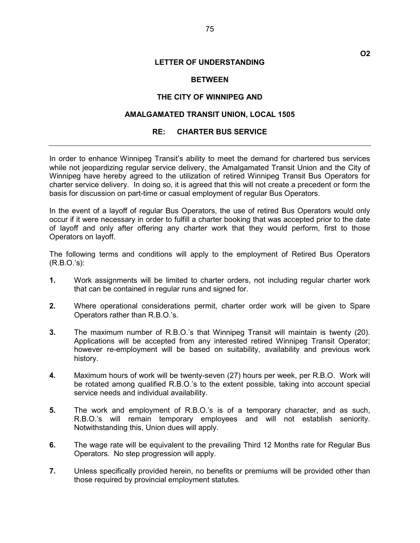## **BETWEEN**

#### THE CITY OF WINNIPEG AND

# AMALGAMATED TRANSIT UNION, LOCAL 1505

#### RE: CHARTER BUS SERVICE

In order to enhance Winnipeg Transit's ability to meet the demand for chartered bus services while not jeopardizing regular service delivery, the Amalgamated Transit Union and the City of Winnipeg have hereby agreed to the utilization of retired Winnipeg Transit Bus Operators for charter service delivery. In doing so, it is agreed that this will not create a precedent or form the basis for discussion on part-time or casual employment of regular Bus Operators.

In the event of a layoff of regular Bus Operators, the use of retired Bus Operators would only occur if it were necessary in order to fulfill a charter booking that was accepted prior to the date of layoff and only after offering any charter work that they would perform, first to those Operators on layoff.

The following terms and conditions will apply to the employment of Retired Bus Operators (R.B.O.'s):

- 1. Work assignments will be limited to charter orders, not including regular charter work that can be contained in regular runs and signed for.
- 2. Where operational considerations permit, charter order work will be given to Spare Operators rather than R.B.O.'s.
- 3. The maximum number of R.B.O.'s that Winnipeg Transit will maintain is twenty (20). Applications will be accepted from any interested retired Winnipeg Transit Operator; however re-employment will be based on suitability, availability and previous work history.
- 4. Maximum hours of work will be twenty-seven (27) hours per week, per R.B.O. Work will be rotated among qualified R.B.O.'s to the extent possible, taking into account special service needs and individual availability.
- 5. The work and employment of R.B.O.'s is of a temporary character, and as such, R.B.O.'s will remain temporary employees and will not establish seniority. Notwithstanding this, Union dues will apply.
- 6. The wage rate will be equivalent to the prevailing Third 12 Months rate for Regular Bus Operators. No step progression will apply.
- 7. Unless specifically provided herein, no benefits or premiums will be provided other than those required by provincial employment statutes.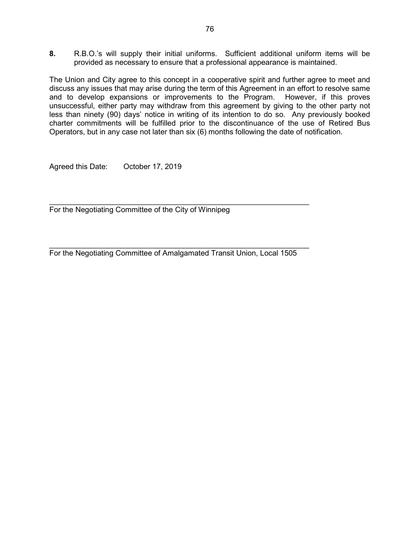8. R.B.O.'s will supply their initial uniforms. Sufficient additional uniform items will be provided as necessary to ensure that a professional appearance is maintained.

The Union and City agree to this concept in a cooperative spirit and further agree to meet and discuss any issues that may arise during the term of this Agreement in an effort to resolve same and to develop expansions or improvements to the Program. However, if this proves unsuccessful, either party may withdraw from this agreement by giving to the other party not less than ninety (90) days' notice in writing of its intention to do so. Any previously booked charter commitments will be fulfilled prior to the discontinuance of the use of Retired Bus Operators, but in any case not later than six (6) months following the date of notification.

Agreed this Date: October 17, 2019

For the Negotiating Committee of the City of Winnipeg

For the Negotiating Committee of Amalgamated Transit Union, Local 1505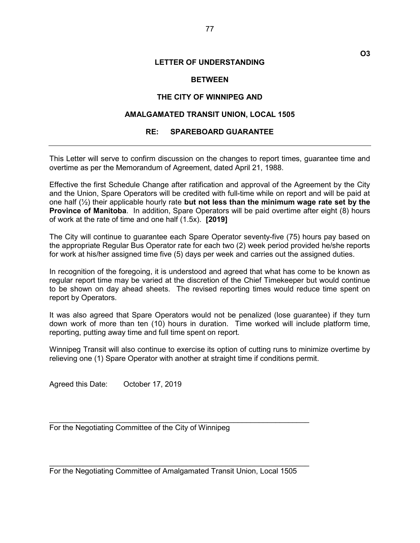O3

#### **BETWEEN**

#### THE CITY OF WINNIPEG AND

## AMALGAMATED TRANSIT UNION, LOCAL 1505

#### RE: SPAREBOARD GUARANTEE

This Letter will serve to confirm discussion on the changes to report times, guarantee time and overtime as per the Memorandum of Agreement, dated April 21, 1988.

Effective the first Schedule Change after ratification and approval of the Agreement by the City and the Union, Spare Operators will be credited with full-time while on report and will be paid at one half  $(\frac{1}{2})$  their applicable hourly rate but not less than the minimum wage rate set by the **Province of Manitoba.** In addition, Spare Operators will be paid overtime after eight (8) hours of work at the rate of time and one half (1.5x). [2019]

The City will continue to guarantee each Spare Operator seventy-five (75) hours pay based on the appropriate Regular Bus Operator rate for each two (2) week period provided he/she reports for work at his/her assigned time five (5) days per week and carries out the assigned duties.

In recognition of the foregoing, it is understood and agreed that what has come to be known as regular report time may be varied at the discretion of the Chief Timekeeper but would continue to be shown on day ahead sheets. The revised reporting times would reduce time spent on report by Operators.

It was also agreed that Spare Operators would not be penalized (lose guarantee) if they turn down work of more than ten (10) hours in duration. Time worked will include platform time, reporting, putting away time and full time spent on report.

Winnipeg Transit will also continue to exercise its option of cutting runs to minimize overtime by relieving one (1) Spare Operator with another at straight time if conditions permit.

Agreed this Date: October 17, 2019

For the Negotiating Committee of the City of Winnipeg

For the Negotiating Committee of Amalgamated Transit Union, Local 1505

 $\mathcal{L}_\text{max}$  , and the contract of the contract of the contract of the contract of the contract of the contract of the contract of the contract of the contract of the contract of the contract of the contract of the contr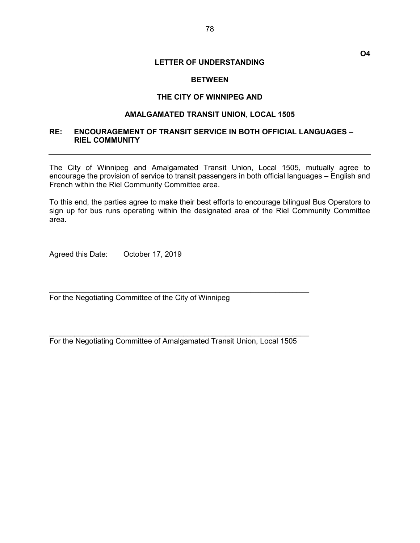### **BETWEEN**

#### THE CITY OF WINNIPEG AND

## AMALGAMATED TRANSIT UNION, LOCAL 1505

# RE: ENCOURAGEMENT OF TRANSIT SERVICE IN BOTH OFFICIAL LANGUAGES – RIEL COMMUNITY

The City of Winnipeg and Amalgamated Transit Union, Local 1505, mutually agree to encourage the provision of service to transit passengers in both official languages – English and French within the Riel Community Committee area.

To this end, the parties agree to make their best efforts to encourage bilingual Bus Operators to sign up for bus runs operating within the designated area of the Riel Community Committee area.

Agreed this Date: October 17, 2019

For the Negotiating Committee of the City of Winnipeg

For the Negotiating Committee of Amalgamated Transit Union, Local 1505

 $\mathcal{L}_\text{max}$  , and the contract of the contract of the contract of the contract of the contract of the contract of the contract of the contract of the contract of the contract of the contract of the contract of the contr

 $\mathcal{L}_\text{max}$  , and the contract of the contract of the contract of the contract of the contract of the contract of the contract of the contract of the contract of the contract of the contract of the contract of the contr

O4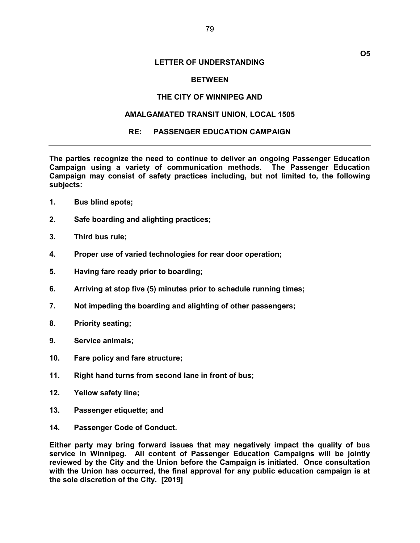#### **BETWEEN**

#### THE CITY OF WINNIPEG AND

# AMALGAMATED TRANSIT UNION, LOCAL 1505

#### RE: PASSENGER EDUCATION CAMPAIGN

The parties recognize the need to continue to deliver an ongoing Passenger Education Campaign using a variety of communication methods. The Passenger Education Campaign may consist of safety practices including, but not limited to, the following subjects:

- 1. Bus blind spots;
- 2. Safe boarding and alighting practices;
- 3. Third bus rule;
- 4. Proper use of varied technologies for rear door operation;
- 5. Having fare ready prior to boarding;
- 6. Arriving at stop five (5) minutes prior to schedule running times;
- 7. Not impeding the boarding and alighting of other passengers;
- 8. Priority seating;
- 9. Service animals;
- 10. Fare policy and fare structure;
- 11. Right hand turns from second lane in front of bus;
- 12. Yellow safety line;
- 13. Passenger etiquette; and
- 14. Passenger Code of Conduct.

Either party may bring forward issues that may negatively impact the quality of bus service in Winnipeg. All content of Passenger Education Campaigns will be jointly reviewed by the City and the Union before the Campaign is initiated. Once consultation with the Union has occurred, the final approval for any public education campaign is at the sole discretion of the City. [2019]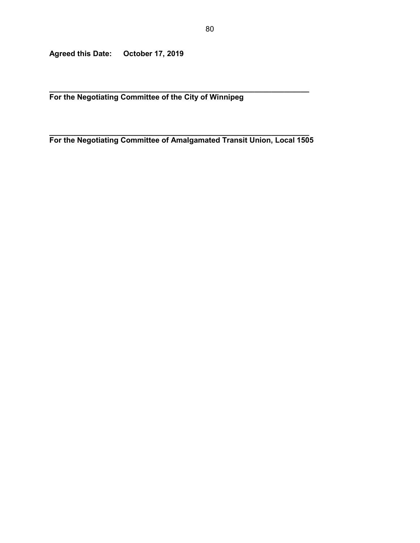Agreed this Date: October 17, 2019

 $\_$  , and the set of the set of the set of the set of the set of the set of the set of the set of the set of the set of the set of the set of the set of the set of the set of the set of the set of the set of the set of th For the Negotiating Committee of the City of Winnipeg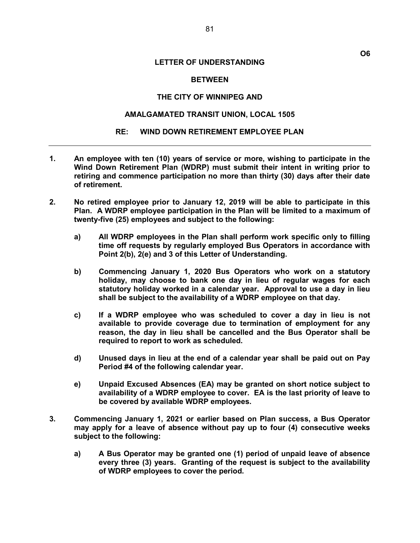#### **BETWEEN**

#### THE CITY OF WINNIPEG AND

## AMALGAMATED TRANSIT UNION, LOCAL 1505

#### RE: WIND DOWN RETIREMENT EMPLOYEE PLAN

- 1. An employee with ten (10) years of service or more, wishing to participate in the Wind Down Retirement Plan (WDRP) must submit their intent in writing prior to retiring and commence participation no more than thirty (30) days after their date of retirement.
- 2. No retired employee prior to January 12, 2019 will be able to participate in this Plan. A WDRP employee participation in the Plan will be limited to a maximum of twenty-five (25) employees and subject to the following:
	- a) All WDRP employees in the Plan shall perform work specific only to filling time off requests by regularly employed Bus Operators in accordance with Point 2(b), 2(e) and 3 of this Letter of Understanding.
	- b) Commencing January 1, 2020 Bus Operators who work on a statutory holiday, may choose to bank one day in lieu of regular wages for each statutory holiday worked in a calendar year. Approval to use a day in lieu shall be subject to the availability of a WDRP employee on that day.
	- c) If a WDRP employee who was scheduled to cover a day in lieu is not available to provide coverage due to termination of employment for any reason, the day in lieu shall be cancelled and the Bus Operator shall be required to report to work as scheduled.
	- d) Unused days in lieu at the end of a calendar year shall be paid out on Pay Period #4 of the following calendar year.
	- e) Unpaid Excused Absences (EA) may be granted on short notice subject to availability of a WDRP employee to cover. EA is the last priority of leave to be covered by available WDRP employees.
- 3. Commencing January 1, 2021 or earlier based on Plan success, a Bus Operator may apply for a leave of absence without pay up to four (4) consecutive weeks subject to the following:
	- a) A Bus Operator may be granted one (1) period of unpaid leave of absence every three (3) years. Granting of the request is subject to the availability of WDRP employees to cover the period.

O6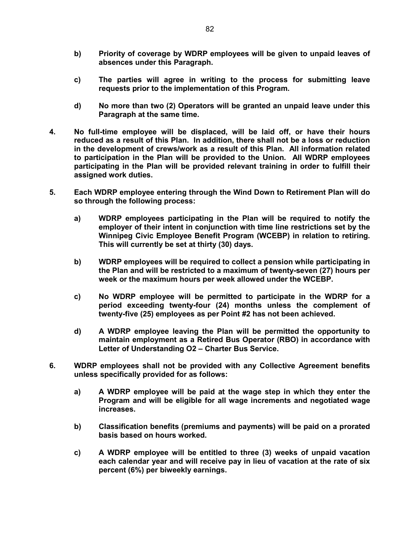- b) Priority of coverage by WDRP employees will be given to unpaid leaves of absences under this Paragraph.
- c) The parties will agree in writing to the process for submitting leave requests prior to the implementation of this Program.
- d) No more than two (2) Operators will be granted an unpaid leave under this Paragraph at the same time.
- 4. No full-time employee will be displaced, will be laid off, or have their hours reduced as a result of this Plan. In addition, there shall not be a loss or reduction in the development of crews/work as a result of this Plan. All information related to participation in the Plan will be provided to the Union. All WDRP employees participating in the Plan will be provided relevant training in order to fulfill their assigned work duties.
- 5. Each WDRP employee entering through the Wind Down to Retirement Plan will do so through the following process:
	- a) WDRP employees participating in the Plan will be required to notify the employer of their intent in conjunction with time line restrictions set by the Winnipeg Civic Employee Benefit Program (WCEBP) in relation to retiring. This will currently be set at thirty (30) days.
	- b) WDRP employees will be required to collect a pension while participating in the Plan and will be restricted to a maximum of twenty-seven (27) hours per week or the maximum hours per week allowed under the WCEBP.
	- c) No WDRP employee will be permitted to participate in the WDRP for a period exceeding twenty-four (24) months unless the complement of twenty-five (25) employees as per Point #2 has not been achieved.
	- d) A WDRP employee leaving the Plan will be permitted the opportunity to maintain employment as a Retired Bus Operator (RBO) in accordance with Letter of Understanding O2 – Charter Bus Service.
- 6. WDRP employees shall not be provided with any Collective Agreement benefits unless specifically provided for as follows:
	- a) A WDRP employee will be paid at the wage step in which they enter the Program and will be eligible for all wage increments and negotiated wage increases.
	- b) Classification benefits (premiums and payments) will be paid on a prorated basis based on hours worked.
	- c) A WDRP employee will be entitled to three (3) weeks of unpaid vacation each calendar year and will receive pay in lieu of vacation at the rate of six percent (6%) per biweekly earnings.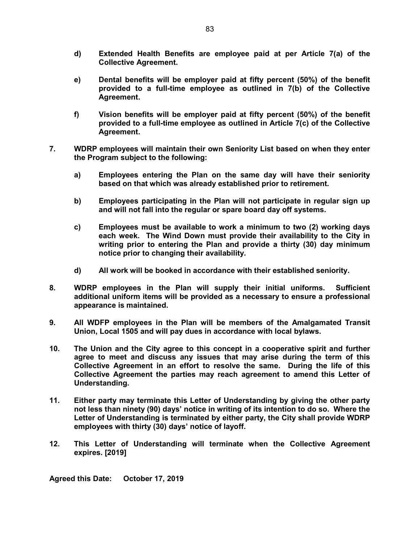- d) Extended Health Benefits are employee paid at per Article 7(a) of the Collective Agreement.
- e) Dental benefits will be employer paid at fifty percent (50%) of the benefit provided to a full-time employee as outlined in 7(b) of the Collective Agreement.
- f) Vision benefits will be employer paid at fifty percent (50%) of the benefit provided to a full-time employee as outlined in Article 7(c) of the Collective Agreement.
- 7. WDRP employees will maintain their own Seniority List based on when they enter the Program subject to the following:
	- a) Employees entering the Plan on the same day will have their seniority based on that which was already established prior to retirement.
	- b) Employees participating in the Plan will not participate in regular sign up and will not fall into the regular or spare board day off systems.
	- c) Employees must be available to work a minimum to two (2) working days each week. The Wind Down must provide their availability to the City in writing prior to entering the Plan and provide a thirty (30) day minimum notice prior to changing their availability.
	- d) All work will be booked in accordance with their established seniority.
- 8. WDRP employees in the Plan will supply their initial uniforms. Sufficient additional uniform items will be provided as a necessary to ensure a professional appearance is maintained.
- 9. All WDFP employees in the Plan will be members of the Amalgamated Transit Union, Local 1505 and will pay dues in accordance with local bylaws.
- 10. The Union and the City agree to this concept in a cooperative spirit and further agree to meet and discuss any issues that may arise during the term of this Collective Agreement in an effort to resolve the same. During the life of this Collective Agreement the parties may reach agreement to amend this Letter of Understanding.
- 11. Either party may terminate this Letter of Understanding by giving the other party not less than ninety (90) days' notice in writing of its intention to do so. Where the Letter of Understanding is terminated by either party, the City shall provide WDRP employees with thirty (30) days' notice of layoff.
- 12. This Letter of Understanding will terminate when the Collective Agreement expires. [2019]

Agreed this Date: October 17, 2019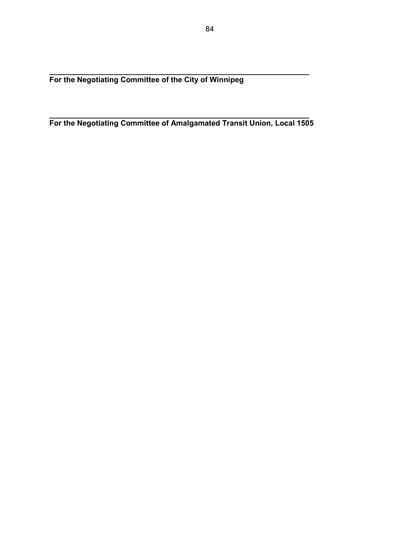$\_$  , and the set of the set of the set of the set of the set of the set of the set of the set of the set of the set of the set of the set of the set of the set of the set of the set of the set of the set of the set of th For the Negotiating Committee of the City of Winnipeg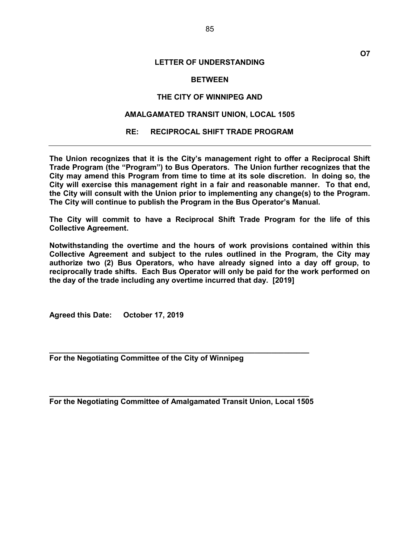#### **BETWEEN**

#### THE CITY OF WINNIPEG AND

# AMALGAMATED TRANSIT UNION, LOCAL 1505

#### RE: RECIPROCAL SHIFT TRADE PROGRAM

The Union recognizes that it is the City's management right to offer a Reciprocal Shift Trade Program (the "Program") to Bus Operators. The Union further recognizes that the City may amend this Program from time to time at its sole discretion. In doing so, the City will exercise this management right in a fair and reasonable manner. To that end, the City will consult with the Union prior to implementing any change(s) to the Program. The City will continue to publish the Program in the Bus Operator's Manual.

The City will commit to have a Reciprocal Shift Trade Program for the life of this Collective Agreement.

Notwithstanding the overtime and the hours of work provisions contained within this Collective Agreement and subject to the rules outlined in the Program, the City may authorize two (2) Bus Operators, who have already signed into a day off group, to reciprocally trade shifts. Each Bus Operator will only be paid for the work performed on the day of the trade including any overtime incurred that day. [2019]

Agreed this Date: October 17, 2019

For the Negotiating Committee of the City of Winnipeg

 $\_$  , and the set of the set of the set of the set of the set of the set of the set of the set of the set of the set of the set of the set of the set of the set of the set of the set of the set of the set of the set of th For the Negotiating Committee of Amalgamated Transit Union, Local 1505

 $\_$  , and the set of the set of the set of the set of the set of the set of the set of the set of the set of the set of the set of the set of the set of the set of the set of the set of the set of the set of the set of th

O7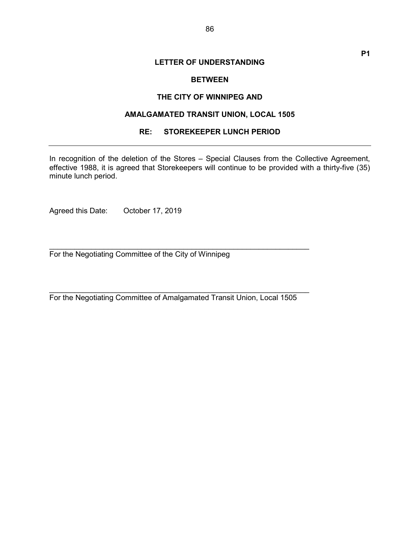### **BETWEEN**

#### THE CITY OF WINNIPEG AND

# AMALGAMATED TRANSIT UNION, LOCAL 1505

# RE: STOREKEEPER LUNCH PERIOD

In recognition of the deletion of the Stores – Special Clauses from the Collective Agreement, effective 1988, it is agreed that Storekeepers will continue to be provided with a thirty-five (35) minute lunch period.

Agreed this Date: October 17, 2019

For the Negotiating Committee of the City of Winnipeg

For the Negotiating Committee of Amalgamated Transit Union, Local 1505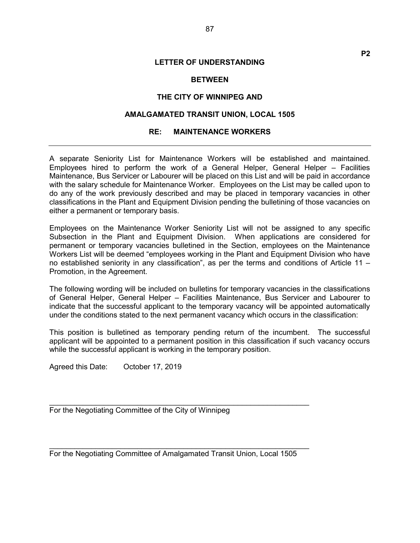#### **BETWEEN**

#### THE CITY OF WINNIPEG AND

## AMALGAMATED TRANSIT UNION, LOCAL 1505

#### RE: MAINTENANCE WORKERS

A separate Seniority List for Maintenance Workers will be established and maintained. Employees hired to perform the work of a General Helper, General Helper – Facilities Maintenance, Bus Servicer or Labourer will be placed on this List and will be paid in accordance with the salary schedule for Maintenance Worker. Employees on the List may be called upon to do any of the work previously described and may be placed in temporary vacancies in other classifications in the Plant and Equipment Division pending the bulletining of those vacancies on either a permanent or temporary basis.

Employees on the Maintenance Worker Seniority List will not be assigned to any specific Subsection in the Plant and Equipment Division. When applications are considered for permanent or temporary vacancies bulletined in the Section, employees on the Maintenance Workers List will be deemed "employees working in the Plant and Equipment Division who have no established seniority in any classification", as per the terms and conditions of Article 11 – Promotion, in the Agreement.

The following wording will be included on bulletins for temporary vacancies in the classifications of General Helper, General Helper – Facilities Maintenance, Bus Servicer and Labourer to indicate that the successful applicant to the temporary vacancy will be appointed automatically under the conditions stated to the next permanent vacancy which occurs in the classification:

This position is bulletined as temporary pending return of the incumbent. The successful applicant will be appointed to a permanent position in this classification if such vacancy occurs while the successful applicant is working in the temporary position.

Agreed this Date: October 17, 2019

For the Negotiating Committee of the City of Winnipeg

For the Negotiating Committee of Amalgamated Transit Union, Local 1505

 $\_$  , and the contribution of the contribution of  $\mathcal{L}_\mathcal{A}$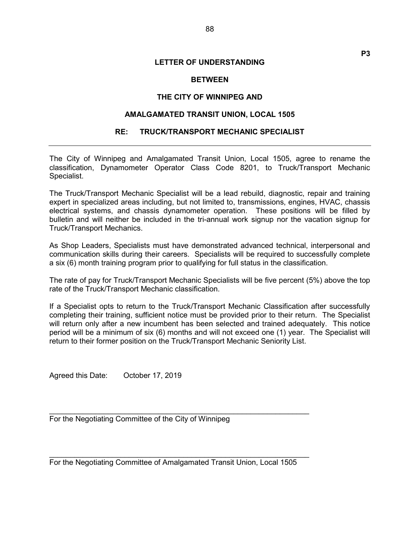P3

# **BETWEEN**

# THE CITY OF WINNIPEG AND

# AMALGAMATED TRANSIT UNION, LOCAL 1505

# RE: TRUCK/TRANSPORT MECHANIC SPECIALIST

The City of Winnipeg and Amalgamated Transit Union, Local 1505, agree to rename the classification, Dynamometer Operator Class Code 8201, to Truck/Transport Mechanic Specialist.

The Truck/Transport Mechanic Specialist will be a lead rebuild, diagnostic, repair and training expert in specialized areas including, but not limited to, transmissions, engines, HVAC, chassis electrical systems, and chassis dynamometer operation. These positions will be filled by bulletin and will neither be included in the tri-annual work signup nor the vacation signup for Truck/Transport Mechanics.

As Shop Leaders, Specialists must have demonstrated advanced technical, interpersonal and communication skills during their careers. Specialists will be required to successfully complete a six (6) month training program prior to qualifying for full status in the classification.

The rate of pay for Truck/Transport Mechanic Specialists will be five percent (5%) above the top rate of the Truck/Transport Mechanic classification.

If a Specialist opts to return to the Truck/Transport Mechanic Classification after successfully completing their training, sufficient notice must be provided prior to their return. The Specialist will return only after a new incumbent has been selected and trained adequately. This notice period will be a minimum of six (6) months and will not exceed one (1) year. The Specialist will return to their former position on the Truck/Transport Mechanic Seniority List.

Agreed this Date: October 17, 2019

For the Negotiating Committee of the City of Winnipeg

For the Negotiating Committee of Amalgamated Transit Union, Local 1505

 $\mathcal{L}_\text{max}$  , and the contract of the contract of the contract of the contract of the contract of the contract of the contract of the contract of the contract of the contract of the contract of the contract of the contr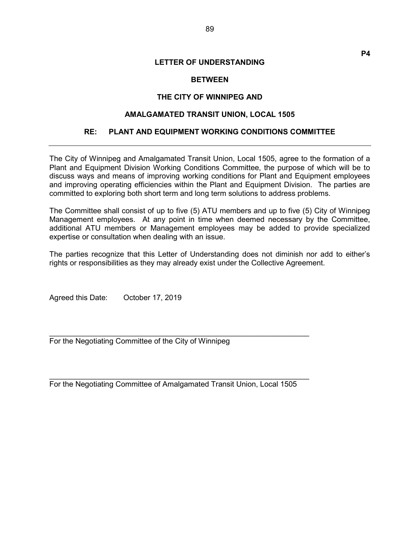# **BETWEEN**

# THE CITY OF WINNIPEG AND

# AMALGAMATED TRANSIT UNION, LOCAL 1505

# RE: PLANT AND EQUIPMENT WORKING CONDITIONS COMMITTEE

The City of Winnipeg and Amalgamated Transit Union, Local 1505, agree to the formation of a Plant and Equipment Division Working Conditions Committee, the purpose of which will be to discuss ways and means of improving working conditions for Plant and Equipment employees and improving operating efficiencies within the Plant and Equipment Division. The parties are committed to exploring both short term and long term solutions to address problems.

The Committee shall consist of up to five (5) ATU members and up to five (5) City of Winnipeg Management employees. At any point in time when deemed necessary by the Committee, additional ATU members or Management employees may be added to provide specialized expertise or consultation when dealing with an issue.

The parties recognize that this Letter of Understanding does not diminish nor add to either's rights or responsibilities as they may already exist under the Collective Agreement.

Agreed this Date: October 17, 2019

For the Negotiating Committee of the City of Winnipeg

For the Negotiating Committee of Amalgamated Transit Union, Local 1505

 $\mathcal{L}_\text{max}$  , and the contract of the contract of the contract of the contract of the contract of the contract of the contract of the contract of the contract of the contract of the contract of the contract of the contr

P4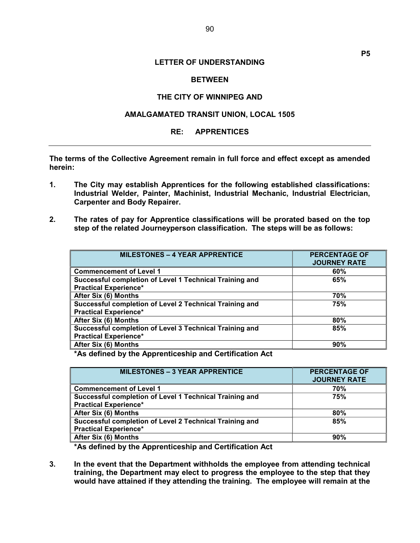P5

# **BETWEEN**

# THE CITY OF WINNIPEG AND

# AMALGAMATED TRANSIT UNION, LOCAL 1505

## RE: APPRENTICES

The terms of the Collective Agreement remain in full force and effect except as amended herein:

- 1. The City may establish Apprentices for the following established classifications: Industrial Welder, Painter, Machinist, Industrial Mechanic, Industrial Electrician, Carpenter and Body Repairer.
- 2. The rates of pay for Apprentice classifications will be prorated based on the top step of the related Journeyperson classification. The steps will be as follows:

| <b>MILESTONES - 4 YEAR APPRENTICE</b>                   | <b>PERCENTAGE OF</b><br><b>JOURNEY RATE</b> |
|---------------------------------------------------------|---------------------------------------------|
| <b>Commencement of Level 1</b>                          | 60%                                         |
| Successful completion of Level 1 Technical Training and | 65%                                         |
| <b>Practical Experience*</b>                            |                                             |
| After Six (6) Months                                    | 70%                                         |
| Successful completion of Level 2 Technical Training and | 75%                                         |
| <b>Practical Experience*</b>                            |                                             |
| After Six (6) Months                                    | 80%                                         |
| Successful completion of Level 3 Technical Training and | 85%                                         |
| <b>Practical Experience*</b>                            |                                             |
| After Six (6) Months                                    | 90%                                         |

\*As defined by the Apprenticeship and Certification Act

| <b>MILESTONES - 3 YEAR APPRENTICE</b>                   | <b>PERCENTAGE OF</b><br><b>JOURNEY RATE</b> |
|---------------------------------------------------------|---------------------------------------------|
| <b>Commencement of Level 1</b>                          | 70%                                         |
| Successful completion of Level 1 Technical Training and | 75%                                         |
| <b>Practical Experience*</b>                            |                                             |
| After Six (6) Months                                    | 80%                                         |
| Successful completion of Level 2 Technical Training and | 85%                                         |
| <b>Practical Experience*</b>                            |                                             |
| After Six (6) Months                                    | 90%                                         |

\*As defined by the Apprenticeship and Certification Act

3. In the event that the Department withholds the employee from attending technical training, the Department may elect to progress the employee to the step that they would have attained if they attending the training. The employee will remain at the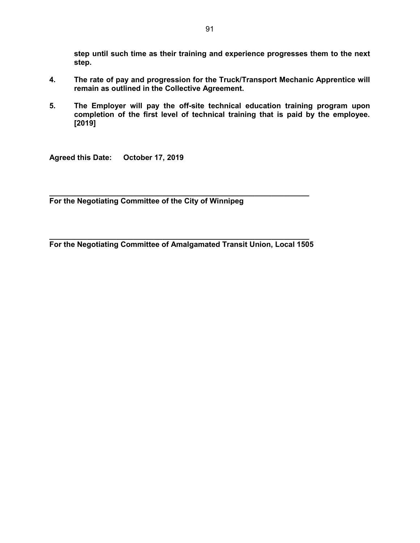step until such time as their training and experience progresses them to the next step.

- 4. The rate of pay and progression for the Truck/Transport Mechanic Apprentice will remain as outlined in the Collective Agreement.
- 5. The Employer will pay the off-site technical education training program upon completion of the first level of technical training that is paid by the employee. [2019]

Agreed this Date: October 17, 2019

 $\_$  , and the set of the set of the set of the set of the set of the set of the set of the set of the set of the set of the set of the set of the set of the set of the set of the set of the set of the set of the set of th For the Negotiating Committee of the City of Winnipeg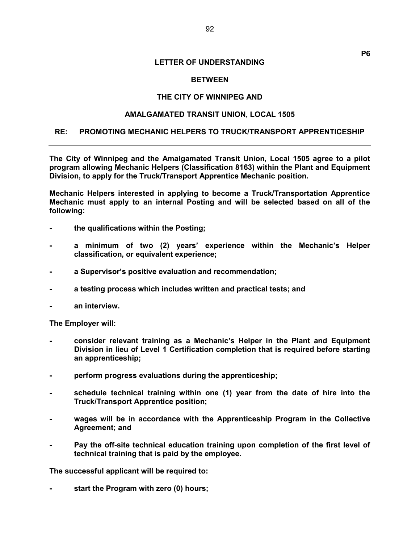## **BETWEEN**

## THE CITY OF WINNIPEG AND

#### AMALGAMATED TRANSIT UNION, LOCAL 1505

#### RE: PROMOTING MECHANIC HELPERS TO TRUCK/TRANSPORT APPRENTICESHIP

The City of Winnipeg and the Amalgamated Transit Union, Local 1505 agree to a pilot program allowing Mechanic Helpers (Classification 8163) within the Plant and Equipment Division, to apply for the Truck/Transport Apprentice Mechanic position.

Mechanic Helpers interested in applying to become a Truck/Transportation Apprentice Mechanic must apply to an internal Posting and will be selected based on all of the following:

- the qualifications within the Posting;
- a minimum of two (2) years' experience within the Mechanic's Helper classification, or equivalent experience;
- a Supervisor's positive evaluation and recommendation;
- a testing process which includes written and practical tests; and
- an interview.

The Employer will:

- consider relevant training as a Mechanic's Helper in the Plant and Equipment Division in lieu of Level 1 Certification completion that is required before starting an apprenticeship;
- perform progress evaluations during the apprenticeship;
- schedule technical training within one (1) year from the date of hire into the Truck/Transport Apprentice position;
- wages will be in accordance with the Apprenticeship Program in the Collective Agreement; and
- Pay the off-site technical education training upon completion of the first level of technical training that is paid by the employee.

The successful applicant will be required to:

start the Program with zero (0) hours;